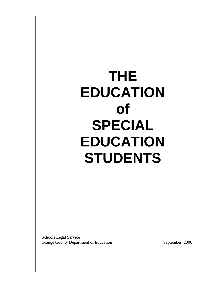# **THE EDUCATION of SPECIAL EDUCATION STUDENTS**

Schools Legal Service Orange County Department of Education September, 2006

 $\overline{\phantom{a}}$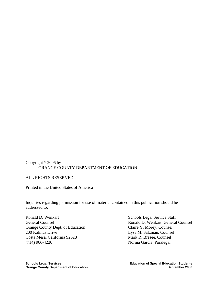# Copyright  $\circ$  2006 by ORANGE COUNTY DEPARTMENT OF EDUCATION

## ALL RIGHTS RESERVED

Printed in the United States of America

Inquiries regarding permission for use of material contained in this publication should be addressed to:

Ronald D. Wenkart Schools Legal Service Staff Orange County Dept. of Education Claire Y. Morey, Counsel 200 Kalmus Drive Lysa M. Salzman, Counsel Costa Mesa, California 92628 Mark R. Bresee, Counsel (714) 966-4220 Norma Garcia, Paralegal

General Counsel **Ronald D. Wenkart, General Counsel**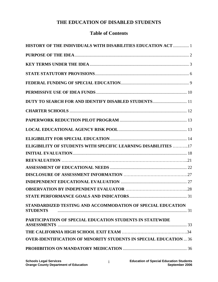# **Table of Contents**

| HISTORY OF THE INDIVIDUALS WITH DISABILITIES EDUCATION ACT  1                  |  |
|--------------------------------------------------------------------------------|--|
|                                                                                |  |
|                                                                                |  |
|                                                                                |  |
|                                                                                |  |
|                                                                                |  |
| DUTY TO SEARCH FOR AND IDENTIFY DISABLED STUDENTS 11                           |  |
|                                                                                |  |
|                                                                                |  |
|                                                                                |  |
|                                                                                |  |
| <b>ELIGIBILITY OF STUDENTS WITH SPECIFIC LEARNING DISABILITIES 17</b>          |  |
|                                                                                |  |
|                                                                                |  |
|                                                                                |  |
|                                                                                |  |
|                                                                                |  |
|                                                                                |  |
|                                                                                |  |
| STANDARDIZED TESTING AND ACCOMMODATION OF SPECIAL EDUCATION<br><b>STUDENTS</b> |  |
| PARTICIPATION OF SPECIAL EDUCATION STUDENTS IN STATEWIDE                       |  |
|                                                                                |  |
| <b>OVER-IDENTIFICATION OF MINORITY STUDENTS IN SPECIAL EDUCATION  36</b>       |  |
|                                                                                |  |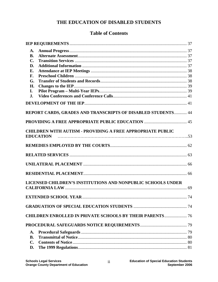# **Table of Contents**

| A.<br><b>B.</b> |                                                                   |  |
|-----------------|-------------------------------------------------------------------|--|
| $\mathbf{C}$ .  |                                                                   |  |
| D.<br>E.        |                                                                   |  |
| F.              |                                                                   |  |
| G.              |                                                                   |  |
| H.              |                                                                   |  |
| I.              |                                                                   |  |
| J.              |                                                                   |  |
|                 |                                                                   |  |
|                 | REPORT CARDS, GRADES AND TRANSCRIPTS OF DISABLED STUDENTS 44      |  |
|                 |                                                                   |  |
|                 | <b>CHILDREN WITH AUTISM - PROVIDING A FREE APPROPRIATE PUBLIC</b> |  |
|                 | <b>EDUCATION</b>                                                  |  |
|                 |                                                                   |  |
|                 |                                                                   |  |
|                 |                                                                   |  |
|                 |                                                                   |  |
|                 | LICENSED CHILDREN'S INSTITUTIONS AND NONPUBLIC SCHOOLS UNDER      |  |
|                 |                                                                   |  |
|                 |                                                                   |  |
|                 | <b>CHILDREN ENROLLED IN PRIVATE SCHOOLS BY THEIR PARENTS 76</b>   |  |
|                 |                                                                   |  |
| A.              |                                                                   |  |
| <b>B.</b>       |                                                                   |  |
| C.              |                                                                   |  |
| D.              |                                                                   |  |

 $ii$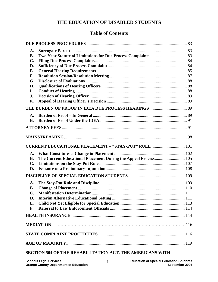# **Table of Contents**

| A.<br>В.<br>$\mathbf{C}$ .<br>D.<br>Е.<br>F.<br>G.<br>Н.<br>I.<br>J.<br>Κ. |                                                                 |  |
|----------------------------------------------------------------------------|-----------------------------------------------------------------|--|
|                                                                            |                                                                 |  |
| $\mathbf{A}$ .<br><b>B.</b>                                                |                                                                 |  |
|                                                                            |                                                                 |  |
|                                                                            | <b>CURRENT EDUCATIONAL PLACEMENT - "STAY-PUT" RULE  101</b>     |  |
| A.<br><b>B.</b><br>$\mathbf{C}$ .<br>D.                                    | The Current Educational Placement During the Appeal Process 105 |  |
| A.<br><b>B.</b><br>$\mathbf{C}$ .<br>D.<br>Е.<br>F.                        |                                                                 |  |
|                                                                            |                                                                 |  |
|                                                                            | <b>MEDIATION</b>                                                |  |
|                                                                            |                                                                 |  |
|                                                                            |                                                                 |  |
|                                                                            | SECTION 504 OF THE REHABILITATION ACT, THE AMERICANS WITH       |  |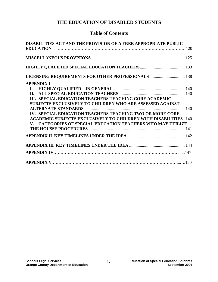# **Table of Contents**

| DISABILITIES ACT AND THE PROVISION OF A FREE APPROPRIATE PUBLIC          |  |
|--------------------------------------------------------------------------|--|
|                                                                          |  |
|                                                                          |  |
|                                                                          |  |
| LICENSING REQUIREMENTS FOR OTHER PROFESSIONALS  138                      |  |
| <b>APPENDIX I</b>                                                        |  |
| $\mathbf{I}$ .                                                           |  |
| $\Pi$ .                                                                  |  |
| III. SPECIAL EDUCATION TEACHERS TEACHING CORE ACADEMIC                   |  |
| SUBJECTS EXCLUSIVELY TO CHILDREN WHO ARE ASSESSED AGAINST                |  |
|                                                                          |  |
| IV. SPECIAL EDUCATION TEACHERS TEACHING TWO OR MORE CORE                 |  |
| <b>ACADEMIC SUBJECTS EXCLUSIVELY TO CHILDREN WITH DISABILITIES . 140</b> |  |
| V. CATEGORIES OF SPECIAL EDUCATION TEACHERS WHO MAY UTILIZE              |  |
|                                                                          |  |
|                                                                          |  |
|                                                                          |  |
|                                                                          |  |
|                                                                          |  |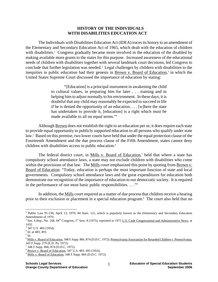## **HISTORY OF THE INDIVIDUALS WITH DISABILITIES EDUCATION ACT**

The Individuals with Disabilities Education Act (IDEA) traces its history to an amendment of the Elementary and Secondary Education Act of 1965, which dealt with the education of children with disabilities.<sup>1</sup> Congress gradually became more involved in the education of the disabled by making available more grants to the states for this purpose. Increased awareness of the educational needs of children with disabilities together with several landmark court decisions, led Congress to conclude that further legislation was needed.<sup>2</sup> Legal challenges by children with disabilities to the inequities in public education had their genesis in Brown v. Board of Education,<sup>3</sup> in which the United States Supreme Court discussed the importance of education by stating:

> "[Education] is a principal instrument in awakening the child to cultural values, in preparing him for later . . . training and in helping him to adjust normally to his environment. In these days, it is doubtful that any child may reasonably be expected to succeed in life if he is denied the opportunity of an education. . . . [w]here the state has undertaken to provide it, [education] is a right which must be made available to all on equal terms."4

Although Brown does not establish the right to an education per se, it does require each state to provide equal opportunity to publicly supported education to all persons who qualify under state law.<sup>5</sup> Based on this premise, two lower courts have held that under the equal protection clause of the Fourteenth Amendment and the due process clause of the Fifth Amendment, states cannot deny children with disabilities access to public education.<sup>6</sup>

The federal district court, in Mills v. Board of Education,<sup>7</sup> held that where a state has compulsory school attendance laws, a state may not exclude children with disabilities who come within the provisions of that law. The Mills court emphasized this point by quoting from Brown v. Board of Education: "Today, education is perhaps the most important function of state and local governments. Compulsory school attendance laws and the great expenditures for education both demonstrate our recognition of the importance of education to our democratic society. It is required in the performance of our most basic public responsibilities. . . ."8

In addition, the Mills court required as a matter of due process that children receive a hearing prior to their exclusion or placement in a special education program.<sup>9</sup> The court also held that no

 $\overline{a}$ <sup>1</sup> Public Law 91-230, April 13, 1970, 84 Stats. 121, which is popularly known as the Elementary and Secondary Education Amendments of 1970.

<sup>&</sup>lt;sup>2</sup> See, S.Rep., No. 168, 94<sup>th</sup> Congress, 1<sup>st</sup> Sess. 8 (1975), reprinted in 1975 <u>U.S. Code Congressional and Administrative News</u>, at 1432.

 $3$  347 U.S. 483 (1954).

<sup>4</sup> Id. at 483, 493.

 $<sup>5</sup>$  Id.</sup>

<sup>&</sup>lt;sup>6</sup> Mills v. Board of Education, 348 F.Supp. 866, 874 (D.D.C. 1972); <u>Pennsylvania Association for Retarded Children v. Pennsylvania</u>, 343 F.Supp. 279 (E.D. Pa. 1972).

<sup>7</sup> 348 F.Supp. 866, 874 (D.D.C. 1972).

 $\frac{8}{9}$  Brown v. Board of Education, 347 U.S. 483, 493 (1954).

<sup>&</sup>lt;sup>9</sup> Mills v. Board of Education, 348 F.Supp. 866 (D.D.C. 1972).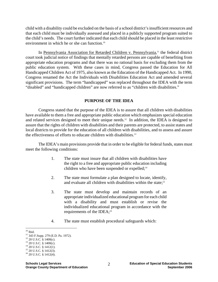child with a disability could be excluded on the basis of a school district's insufficient resources and that each child must be individually assessed and placed in a publicly supported program suited to the child's needs. The court further indicated that each child should be placed in the least restrictive environment in which he or she can function.10

In Pennsylvania Association for Retarded Children v. Pennsylvania,<sup>11</sup> the federal district court took judicial notice of findings that mentally retarded persons are capable of benefiting from appropriate education programs and that there was no rational basis for excluding them from the public education system. With these cases in mind, Congress passed the Education for All Handicapped Children Act of 1975, also known as the Education of the Handicapped Act. In 1990, Congress renamed the Act the Individuals with Disabilities Education Act and amended several significant provisions. The term "handicapped" was replaced throughout the IDEA with the term "disabled" and "handicapped children" are now referred to as "children with disabilities."

#### **PURPOSE OF THE IDEA**

Congress stated that the purpose of the IDEA is to assure that all children with disabilities have available to them a free and appropriate public education which emphasizes special education and related services designed to meet their unique needs.12 In addition, the IDEA is designed to assure that the rights of children with disabilities and their parents are protected, to assist states and local districts to provide for the education of all children with disabilities, and to assess and assure the effectiveness of efforts to educate children with disabilities.13

The IDEA's main provisions provide that in order to be eligible for federal funds, states must meet the following conditions:

- 1. The state must insure that all children with disabilities have the right to a free and appropriate public education including children who have been suspended or expelled;<sup>14</sup>
- 2. The state must formulate a plan designed to locate, identify, and evaluate all children with disabilities within the state:<sup>15</sup>
- 3. The state must develop and maintain records of an appropriate individualized educational program for each child with a disability and must establish or revise the individualized educational program in accordance with the requirements of the IDEA;<sup>16</sup>
- 4. The state must establish procedural safeguards which:

 $10$  Ibid.

<sup>11 343</sup> F.Supp. 279 (E.D. Pa. 1972).

 $12$  20 U.S.C. § 1400(c).

 $13$  20 U.S.C. § 1400(c).

 $14$  20 U.S.C. § 1412(1).

 $15$  20 U.S.C. § 1412(3).

 $16$  20 U.S.C. § 1412(4).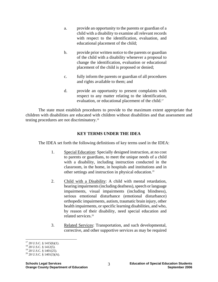- a. provide an opportunity to the parents or guardian of a child with a disability to examine all relevant records with respect to the identification, evaluation, and educational placement of the child;
- b. provide prior written notice to the parents or guardian of the child with a disability whenever a proposal to change the identification, evaluation or educational placement of the child is proposed or denied;
- c. fully inform the parents or guardian of all procedures and rights available to them; and
- d. provide an opportunity to present complaints with respect to any matter relating to the identification, evaluation, or educational placement of the child.<sup>17</sup>

The state must establish procedures to provide to the maximum extent appropriate that children with disabilities are educated with children without disabilities and that assessment and testing procedures are not discriminatory.18

## **KEY TERMS UNDER THE IDEA**

The IDEA set forth the following definitions of key terms used in the IDEA:

- 1. Special Education: Specially designed instruction, at no cost to parents or guardians, to meet the unique needs of a child with a disability, including instruction conducted in the classroom, in the home, in hospitals and institutions and in other settings and instruction in physical education.19
- 2. Child with a Disability: A child with mental retardation, hearing impairments (including deafness), speech or language impairments, visual impairments (including blindness), serious emotional disturbance (emotional disturbance) orthopedic impairments, autism, traumatic brain injury, other health impairments, or specific learning disabilities, and who, by reason of their disability, need special education and related services.20
- 3. Related Services: Transportation, and such developmental, corrective, and other supportive services as may be required

 $17$  20 U.S.C. § 1415(b)(1).

 $18$  20 U.S.C. § 1412(5).

 $19$  20 U.S.C. § 1401(25).

 $20$  20 U.S.C. § 1401(3)(A).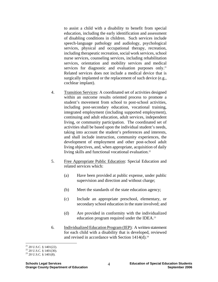to assist a child with a disability to benefit from special education, including the early identification and assessment of disabling conditions in children. Such services include speech-language pathology and audiology, psychological services, physical and occupational therapy, recreation, including therapeutic recreation, social work services, school nurse services, counseling services, including rehabilitation services, orientation and mobility services and medical services for diagnostic and evaluation purposes only.<sup>21</sup> Related services does not include a medical device that is surgically implanted or the replacement of such device (e.g., cochlear implant).

- 4. Transition Services: A coordinated set of activities designed within an outcome results oriented process to promote a student's movement from school to post-school activities, including post-secondary education, vocational training, integrated employment (including supported employment), continuing and adult education, adult services, independent living, or community participation. The coordinated set of activities shall be based upon the individual student's needs, taking into account the student's preferences and interests, and shall include instruction, community experiences, the development of employment and other post-school adult living objectives, and, when appropriate, acquisition of daily living skills and functional vocational evaluation.<sup>22</sup>
- 5. Free Appropriate Public Education: Special Education and related services which:
	- (a) Have been provided at public expense, under public supervision and direction and without charge;
	- (b) Meet the standards of the state education agency;
	- (c) Include an appropriate preschool, elementary, or secondary school education in the state involved; and
	- (d) Are provided in conformity with the individualized education program required under the IDEA.23
- 6. Individualized Education Program (IEP): A written statement for each child with a disability that is developed, reviewed and revised in accordance with Section  $1414(d)$ .<sup>24</sup>

 $\overline{a}$  $21$  20 U.S.C. § 1401(22).

 $22$  20 U.S.C. § 1401(30).

 $23$  20 U.S.C. § 1401(8).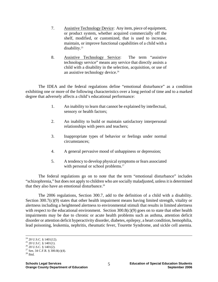- 7. Assistive Technology Device: Any item, piece of equipment, or product system, whether acquired commercially off the shelf, modified, or customized, that is used to increase, maintain, or improve functional capabilities of a child with a disability.25
- 8. Assistive Technology Service: The term "assistive technology service" means any service that directly assists a child with a disability in the selection, acquisition, or use of an assistive technology device.<sup>26</sup>

 The IDEA and the federal regulations define "emotional disturbance" as a condition exhibiting one or more of the following characteristics over a long period of time and to a marked degree that adversely affects a child's educational performance:

- 1. An inability to learn that cannot be explained by intellectual, sensory or health factors;
- 2. An inability to build or maintain satisfactory interpersonal relationships with peers and teachers;
- 3. Inappropriate types of behavior or feelings under normal circumstances;
- 4. A general pervasive mood of unhappiness or depression;
- 5. A tendency to develop physical symptoms or fears associated with personal or school problems.<sup>27</sup>

The federal regulations go on to note that the term "emotional disturbance" includes "schizophrenia," but does not apply to children who are socially maladjusted, unless it is determined that they also have an emotional disturbance.<sup>28</sup>

The 2006 regulations, Section 300.7, add to the definition of a child with a disability. Section 300.7(c)(9) states that other health impairment means having limited strength, vitality or alertness including a heightened alertness to environmental stimuli that results in limited alertness with respect to the educational environment. Section 300.8(c)(9) goes on to state that other health impairments may be due to chronic or acute health problems such as asthma, attention deficit disorder or attention deficit hyperactivity disorder, diabetes, epilepsy, a heart condition, hemophilia, lead poisoning, leukemia, nephritis, rheumatic fever, Tourette Syndrome, and sickle cell anemia.

 <sup>24 20</sup> U.S.C. § 1401(12).

 $25$  20 U.S.C. § 1401(1).

 $26$  20 U.S.C. § 1401(2).

<sup>&</sup>lt;sup>27</sup> See, 34 C.F.R. § 300.8(c)(4).

 $28$  Ibid.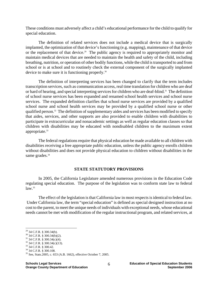These conditions must adversely affect a child's educational performance for the child to qualify for special education.

The definition of related services does not include a medical device that is surgically implanted, the optimization of that device's functioning (e.g. mapping), maintenance of that device or the replacement of that device.<sup>29</sup> The public agency is required to appropriately monitor and maintain medical devices that are needed to maintain the health and safety of the child, including breathing, nutrition, or operation of other bodily functions, while the child is transported to and from school or is at school and to routinely check the external component of the surgically implanted device to make sure it is functioning properly.30

The definition of interpreting services has been changed to clarify that the term includes transcription services, such as communication access, real time translation for children who are deaf or hard of hearing, and special interpreting services for children who are deaf-blind.<sup>31</sup> The definition of school nurse services has been expanded and renamed school health services and school nurse services. The expanded definition clarifies that school nurse services are provided by a qualified school nurse and school health services may be provided by a qualified school nurse or other qualified person.<sup>32</sup> The definition of supplementary aides and services has been modified to specify that aides, services, and other supports are also provided to enable children with disabilities to participate in extracurricular and nonacademic settings as well as regular education classes so that children with disabilities may be educated with nondisabled children to the maximum extent appropriate.<sup>33</sup>

The federal regulations require that physical education be made available to all children with disabilities receiving a free appropriate public education, unless the public agency enrolls children without disabilities and does not provide physical education to children without disabilities in the same grades.<sup>34</sup>

#### **STATE STATUTORY PROVISIONS**

In 2005, the California Legislature amended numerous provisions in the Education Code regulating special education. The purpose of the legislation was to conform state law to federal  $law<sup>35</sup>$ 

The effect of the legislation is that California law in most respects is identical to federal law. Under California law, the term "special education" is defined as special designed instruction at no cost to the parent, to meet the unique needs of individuals with exceptional needs, whose educational needs cannot be met with modification of the regular instructional program, and related services, at

 $32$  34 C.F.R. § 300.34(c)(13).

 $^{29}$  34 C.F.R. § 300.34(b).

<sup>30 34</sup> C.F.R. § 300.34(b)(2).

<sup>31 34</sup> C.F.R. § 300.34(c)(4).

<sup>33 34</sup> C.F.R. § 300.42.

<sup>34 34</sup> C.F.R. § 300.108.

<sup>35</sup> See, Stats.2005, c. 653 (A.B. 1662), effective October 7, 2005.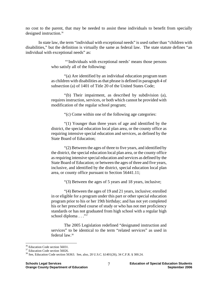no cost to the parent, that may be needed to assist these individuals to benefit from specially designed instruction.36

In state law, the term "individual with exceptional needs" is used rather than "children with disabilities," but the definition is virtually the same as federal law. The state statute defines "an individual with exceptional needs" as:

> "'Individuals with exceptional needs' means those persons who satisfy all of the following:

> "(a) Are identified by an individual education program team as children with disabilities as that phrase is defined in paragraph 4 of subsection (a) of 1401 of Title 20 of the United States Code;

> "(b) Their impairment, as described by subdivision (a), requires instruction, services, or both which cannot be provided with modification of the regular school program;

> > "(c) Come within one of the following age categories:

"(1) Younger than three years of age and identified by the district, the special education local plan area, or the county office as requiring intensive special education and services, as defined by the State Board of Education;

"(2) Between the ages of three to five years, and identified by the district, the special education local plan area, or the county office as requiring intensive special education and services as defined by the State Board of Education; or between the ages of three and five years, inclusive, and identified by the district, special education local plan area, or county office pursuant to Section 56441.11;

"(3) Between the ages of 5 years and 18 years, inclusive;

"(4) Between the ages of 19 and 21 years, inclusive; enrolled in or eligible for a program under this part or other special education program prior to his or her 19th birthday; and has not yet completed his or her prescribed course of study or who has not met proficiency standards or has not graduated from high school with a regular high school diploma . . ."37

The 2005 Legislation redefined "designated instruction and services" to be identical to the term "related services" as used in federal law.38

1

<sup>36</sup> Education Code section 56031.

<sup>&</sup>lt;sup>37</sup> Education Code section 56026.

<sup>38</sup> See, Education Code section 56363. See, also, 20 U.S.C. §1401(26), 34 C.F.R. § 300.24.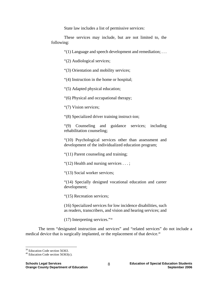State law includes a list of permissive services:

These services may include, but are not limited to, the following:

"(1) Language and speech development and remediation; . . .

"(2) Audiological services;

"(3) Orientation and mobility services;

"(4) Instruction in the home or hospital;

"(5) Adapted physical education;

"(6) Physical and occupational therapy;

"(7) Vision services;

"(8) Specialized driver training instruct-ion;

"(9) Counseling and guidance services; including rehabilitation counseling;

"(10) Psychological services other than assessment and development of the individualized education program;

"(11) Parent counseling and training;

" $(12)$  Health and nursing services ...;

"(13) Social worker services;

"(14) Specially designed vocational education and career development;

"(15) Recreation services;

(16) Specialized services for low incidence disabilities, such as readers, transcribers, and vision and hearing services; and

(17) Interpreting services."39

The term "designated instruction and services" and "related services" do not include a medical device that is surgically implanted, or the replacement of that device.<sup>40</sup>

<sup>&</sup>lt;sup>39</sup> Education Code section 56363.

<sup>40</sup> Education Code section 56363(c).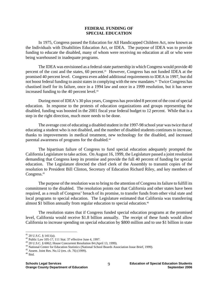#### **FEDERAL FUNDING OF SPECIAL EDUCATION**

In 1975, Congress passed the Education for All Handicapped Children Act, now known as the Individuals with Disabilities Education Act, or IDEA. The purpose of IDEA was to provide funding to educate the disabled, many of whom were receiving no education at all or who were being warehoused in inadequate programs.

The IDEA was envisioned as a federal-state partnership in which Congress would provide 40 percent of the cost and the states, 60 percent.<sup>41</sup> However, Congress has not funded IDEA at the promised 40 percent level. Congress even added additional requirements to IDEA in 1997, but did not boost federal funding to assist states in complying with the new mandates.42 Twice Congress has chastised itself for its failure, once in a 1994 law and once in a 1999 resolution, but it has never increased funding to the 40 percent level.<sup>43</sup>

During most of IDEA's 30 plus years, Congress has provided 8 percent of the cost of special education. In response to the protests of education organizations and groups representing the disabled, funding was boosted in the 2001 fiscal year federal budget to 12 percent. While that is a step in the right direction, much more needs to be done.

The average cost of educating a disabled student in the 1997-98 school year was twice that of educating a student who is not disabled, and the number of disabled students continues to increase, thanks to improvements in medical treatment, new technology for the disabled, and increased parental awareness of programs for the disabled.<sup>44</sup>

The bipartisan failure of Congress to fund special education adequately prompted the California Legislature to take action. On August 16, 1999, the Legislature passed a joint resolution demanding that Congress keep its promise and provide the full 40 percent of funding for special education. The Legislature directed the chief clerk of the Assembly to transmit copies of the resolution to President Bill Clinton, Secretary of Education Richard Riley, and key members of Congress.<sup>45</sup>

The purpose of the resolution was to bring to the attention of Congress its failure to fulfill its commitment to the disabled. The resolution points out that California and other states have been required, as a result of Congress' breach of its promise, to transfer funds from other vital state and local programs to special education. The Legislature estimated that California was transferring almost \$1 billion annually from regular education to special education.<sup>46</sup>

The resolution states that if Congress funded special education programs at the promised level, California would receive \$1.8 billion annually. The receipt of these funds would allow California to increase spending on special education by \$800 million and to use \$1 billion in state

 $41$  20 U.S.C. § 1411(a).

<sup>&</sup>lt;sup>42</sup> Public Law 105-17, 111 Stat. 37 effective June 4, 1997.<br><sup>43</sup> 20 U.S.C. § 6062; House Concurrent Resolution 84 (April 13, 1999).

<sup>&</sup>lt;sup>44</sup> National Center for Education Statistics (National School Boards Association Issue Brief, 1999).  $45$  Assem. Joint Res. No.12 (res. ch. 76) (1999).

 $^{46}$  Ibid.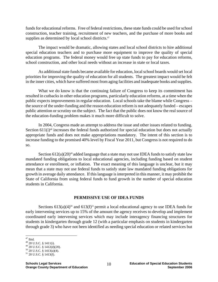funds for educational reforms. Free of federal restrictions, these state funds could be used for school construction, teacher training, recruitment of new teachers, and the purchase of more books and supplies as determined by local school districts.<sup>47</sup>

The impact would be dramatic, allowing states and local school districts to hire additional special education teachers and to purchase more equipment to improve the quality of special education programs. The federal money would free up state funds to pay for education reforms, school construction, and other local needs without an increase in state or local taxes.

As additional state funds became available for education, local school boards would set local priorities for improving the quality of education for all students. The greatest impact would be felt in the inner cities, which have suffered most from aging facilities and inadequate books and supplies.

What we do know is that the continuing failure of Congress to keep its commitment has resulted in cutbacks in other education programs, particularly education reforms, at a time when the public expects improvements in regular education. Local schools take the blame while Congress – the source of the under-funding and the reason education reform is not adequately funded – escapes public attention or scrutiny on the subject. The fact that the public does not know the real source of the education-funding problem makes it much more difficult to solve.

In 2004, Congress made an attempt to address the issue and other issues related to funding. Section  $611(i)^{48}$  increases the federal funds authorized for special education but does not actually appropriate funds and does not make appropriations mandatory. The intent of this section is to increase funding to the promised 40% level by Fiscal Year 2011, but Congress is not required to do so.

Section  $612(a)(20)^{49}$  added language that a state may not use IDEA funds to satisfy state law mandated funding obligations to local educational agencies, including funding based on student attendance or enrollment, or inflation. The exact meaning of this language is unclear, but it may mean that a state may not use federal funds to satisfy state law mandated funding obligations for growth in average daily attendance. If this language is interpreted in this manner, it may prohibit the State of California from using federal funds to fund growth in the number of special education students in California.

#### **PERMISSIVE USE OF IDEA FUNDS**

Sections  $613(a)(4)^{50}$  and  $613(f)^{51}$  permit a local educational agency to use IDEA funds for early intervening services up to 15% of the amount the agency receives to develop and implement coordinated early intervening services which may include interagency financing structures for students in kindergarten through grade 12 (with a particular emphasis on students in kindergarten through grade 3) who have not been identified as needing special education or related services but

<sup>&</sup>lt;u>.</u>  $47$  Ibid.

 $48$  20 U.S.C. § 1411(i).

<sup>49 20</sup> U.S.C. § 1412(d)(20).

 $50$  20 U.S.C. § 1413(a)(4).

<sup>51 20</sup> U.S.C. § 1413(f).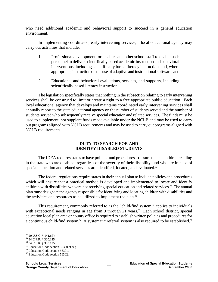who need additional academic and behavioral support to succeed in a general education environment.

 In implementing coordinated, early intervening services, a local educational agency may carry out activities that include:

- 1. Professional development for teachers and other school staff to enable such personnel to deliver scientifically based academic instruction and behavioral interventions, including scientifically based literacy instruction, and, where appropriate, instruction on the use of adaptive and instructional software; and
- 2. Educational and behavioral evaluations, services, and supports, including scientifically based literacy instruction.

 The legislation specifically states that nothing in the subsection relating to early intervening services shall be construed to limit or create a right to a free appropriate public education. Each local educational agency that develops and maintains coordinated early intervening services shall annually report to the state educational agency on the number of students served and the number of students served who subsequently receive special education and related services. The funds must be used to supplement, not supplant funds made available under the NCLB and may be used to carry out programs aligned with NCLB requirements and may be used to carry out programs aligned with NCLB requirements.

## **DUTY TO SEARCH FOR AND IDENTIFY DISABLED STUDENTS**

The IDEA requires states to have policies and procedures to assure that all children residing in the state who are disabled, regardless of the severity of their disability, and who are in need of special education and related services are identified, located, and evaluated.<sup>52</sup>

The federal regulations require states in their annual plan to include policies and procedures which will ensure that a practical method is developed and implemented to locate and identify children with disabilities who are not receiving special education and related services.53 The annual plan must designate the agency responsible for identifying and locating children with disabilities and the activities and resources to be utilized to implement the plan.54

This requirement, commonly referred to as the "child-find system," applies to individuals with exceptional needs ranging in age from 0 through 21 years.<sup>55</sup> Each school district, special education local plan area or county office is required to establish written policies and procedures for a continuous child-find system.<sup>56</sup> A systematic referral system is also required to be established.<sup>57</sup>

<u>.</u>

 $52$  20 U.S.C. § 1412(3).

<sup>53 34</sup> C.F.R. § 300.125.

<sup>54 34</sup> C.F.R. § 300.125.

<sup>55</sup> Education Code section 56300 et seq.

<sup>56</sup> Education Code section 56301.

<sup>57</sup> Education Code section 56302.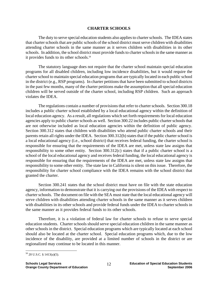#### **CHARTER SCHOOLS**

The duty to serve special education students also applies to charter schools. The IDEA states that charter schools that are public schools of the school district must serve children with disabilities attending charter schools in the same manner as it serves children with disabilities in its other schools. In addition, the school district must provide funds to charter schools in the same manner as it provides funds to its other schools.<sup>58</sup>

The statutory language does not require that the charter school maintain special education programs for all disabled children, including low incidence disabilities, but it would require the charter school to maintain special education programs that are typically located in each public school in the district (e.g., RSP programs). In charter petitions that have been submitted to school districts in the past few months, many of the charter petitions make the assumption that all special education children will be served outside of the charter school, including RSP children. Such an approach violates the IDEA.

The regulations contain a number of provisions that refer to charter schools. Section 300.18 includes a public charter school established by a local educational agency within the definition of local education agency. As a result, all regulations which set forth requirements for local education agencies apply to public charter schools as well. Section 300.22 includes public charter schools that are not otherwise included as local education agencies within the definition of public agency. Section 300.312 states that children with disabilities who attend public charter schools and their parents retain all rights under the IDEA. Section 300.312(b) states that if the public charter school is a local educational agency (i.e., school district) that receives federal funding, the charter school is responsible for ensuring that the requirements of the IDEA are met, unless state law assigns that responsibility to some other entity. Section 300.312(c) states that if a public charter school is a school of the local educational agency and receives federal funding, the local educational agency is responsible for ensuring that the requirements of the IDEA are met, unless state law assigns that responsibility to some other entity. The state law in California is silent on this issue. Therefore, the responsibility for charter school compliance with the IDEA remains with the school district that granted the charter.

Section 300.241 states that the school district must have on file with the state education agency, information to demonstrate that it is carrying out the provisions of the IDEA with respect to charter schools. The document on file with the SEA must state that the local educational agency will serve children with disabilities attending charter schools in the same manner as it serves children with disabilities in its other schools and provide federal funds under the IDEA to charter schools in the same manner as it provides federal funds to its other schools.

Therefore, it is a violation of federal law for charter schools to refuse to serve special education students. Charter schools should serve special education children in the same manner as other schools in the district. Special education programs which are typically located at each school should also be located at the charter school. Special education programs which, due to the low incidence of the disability, are provided at a limited number of schools in the district or are regionalized may continue to be located in this manner.

<sup>1</sup> 58 20 U.S.C. § 1413(a)(5).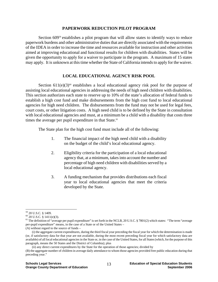#### **PAPERWORK REDUCTION PILOT PROGRAM**

Section 609<sup>59</sup> establishes a pilot program that will allow states to identify ways to reduce paperwork burdens and other administrative duties that are directly associated with the requirements of the IDEA in order to increase the time and resources available for instruction and other activities aimed at improving educational and functional results for children with disabilities. States will be given the opportunity to apply for a waiver to participate in the program. A maximum of 15 states may apply. It is unknown at this time whether the State of California intends to apply for the waiver.

## **LOCAL EDUCATIONAL AGENCY RISK POOL**

Section  $611(e)(3)^{60}$  establishes a local educational agency risk pool for the purpose of assisting local educational agencies in addressing the needs of high need children with disabilities. This section authorizes each state to reserve up to 10% of the state's allocation of federal funds to establish a high cost fund and make disbursements from the high cost fund to local educational agencies for high need children. The disbursements from the fund may not be used for legal fees, court costs, or other litigation costs. A high need child is to be defined by the State in consultation with local educational agencies and must, at a minimum be a child with a disability that costs three times the average per pupil expenditure in that State.<sup>61</sup>

The State plan for the high cost fund must include all of the following:

- 1. The financial impact of the high need child with a disability on the budget of the child's local educational agency.
- 2. Eligibility criteria for the participation of a local educational agency that, at a minimum, takes into account the number and percentage of high need children with disabilities served by a local educational agency.
- 3. A funding mechanism that provides distributions each fiscal year to local educational agencies that meet the criteria developed by the State.

<u>.</u>

<sup>59 20</sup> U.S.C. § 1409.

 $60$  20 U.S.C. § 1411(e)(3).

 $61$  The definition of "average per pupil expenditure" is set forth in the NCLB, 20 U.S.C. § 7801(2) which states: "The term "average per-pupil expenditure" means, in the case of a State or of the United States –

<sup>(</sup>A) without regard to the source of funds –

 <sup>(</sup>i) the aggregate current expenditures, during the third fiscal year preceding the fiscal year for which the determination is made (or, if satisfactory data for that year are not available, during the most recent preceding fiscal year for which satisfactory data are available) of all local educational agencies in the State or, in the case of the United States, for all States (which, for the purpose of this paragraph, means the 50 States and the District of Columbia); plus

 <sup>(</sup>ii) any direct current expenditures by the State for the operation of those agencies; divided by

<sup>(</sup>B) the aggregate number of children in average daily attendance to whom those agencies provided free public education during that preceding year."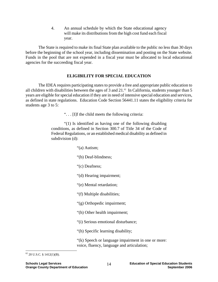4. An annual schedule by which the State educational agency will make its distributions from the high cost fund each fiscal year.

 The State is required to make its final State plan available to the public no less than 30 days before the beginning of the school year, including dissemination and posting on the State website. Funds in the pool that are not expended in a fiscal year must be allocated to local educational agencies for the succeeding fiscal year.

## **ELIGIBILITY FOR SPECIAL EDUCATION**

The IDEA requires participating states to provide a free and appropriate public education to all children with disabilities between the ages of 3 and  $21<sup>.62</sup>$  In California, students younger than 5 years are eligible for special education if they are in need of intensive special education and services, as defined in state regulations. Education Code Section 56441.11 states the eligibility criteria for students age 3 to 5:

". . . [I]f the child meets the following criteria:

"(1) Is identified as having one of the following disabling conditions, as defined in Section 300.7 of Title 34 of the Code of Federal Regulations, or an established medical disability as defined in subdivision (d):

"(a) Autism;

"(b) Deaf-blindness;

"(c) Deafness;

"(d) Hearing impairment;

"(e) Mental retardation;

"(f) Multiple disabilities;

"(g) Orthopedic impairment;

"(h) Other health impairment;

"(i) Serious emotional disturbance;

"(h) Specific learning disability;

"(k) Speech or language impairment in one or more: voice, fluency, language and articulation;

 $62$  20 U.S.C. § 1412(1)(B).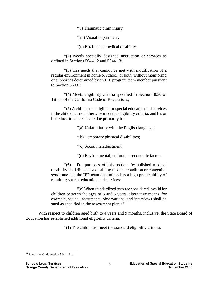"(l) Traumatic brain injury;

"(m) Visual impairment;

"(n) Established medical disability.

"(2) Needs specially designed instruction or services as defined in Sections 56441.2 and 56441.3;

"(3) Has needs that cannot be met with modification of a regular environment in home or school, or both, without monitoring or support as determined by an IEP program team member pursuant to Section 56431;

"(4) Meets eligibility criteria specified in Section 3030 of Title 5 of the California Code of Regulations;

"(5) A child is not eligible for special education and services if the child does not otherwise meet the eligibility criteria, and his or her educational needs are due primarily to:

"(a) Unfamiliarity with the English language;

"(b) Temporary physical disabilities;

"(c) Social maladjustment;

"(d) Environmental, cultural, or economic factors;

"(6) For purposes of this section, 'established medical disability' is defined as a disabling medical condition or congenital syndrome that the IEP team determines has a high predictability of requiring special education and services;

"(e) When standardized tests are considered invalid for children between the ages of 3 and 5 years, alternative means, for example, scales, instruments, observations, and interviews shall be sued as specified in the assessment plan."<sup>63</sup>

With respect to children aged birth to 4 years and 9 months, inclusive, the State Board of Education has established additional eligibility criteria:

"(1) The child must meet the standard eligibility criteria;

 $\overline{a}$ 63 Education Code section 56441.11.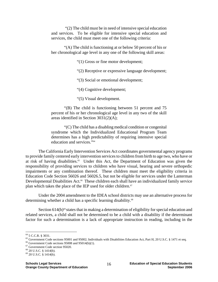"(2) The child must be in need of intensive special education and services. To be eligible for intensive special education and services, the child must meet one of the following criteria:

"(A) The child is functioning at or below 50 percent of his or her chronological age level in any one of the following skill areas:

"(1) Gross or fine motor development;

- "(2) Receptive or expressive language development;
- "(3) Social or emotional development;

"(4) Cognitive development;

"(5) Visual development.

"(B) The child is functioning between 51 percent and 75 percent of his or her chronological age level in any two of the skill areas identified in Section 3031(2)(A);

"(C) The child has a disabling medical condition or congenital syndrome which the Individualized Educational Program Team determines has a high predictability of requiring intensive special education and services."64

The California Early Intervention Services Act coordinates governmental agency programs to provide family centered early intervention services to children from birth to age two, who have or at risk of having disabilities.65 Under this Act, the Department of Education was given the responsibility of providing services to children who have visual, hearing and severe orthopedic impairments or any combination thereof. These children must meet the eligibility criteria in Education Code Section 56026 and 56026.5, but not be eligible for services under the Lanterman Developmental Disabilities Act.<sup>66</sup> These children each shall have an individualized family service plan which takes the place of the IEP used for older children.<sup>67</sup>

Under the 2004 amendment to the IDEA school districts may use an alternative process for determining whether a child has a specific learning disability.<sup>68</sup>

Section  $614(b)$ <sup>69</sup> states that in making a determination of eligibility for special education and related services, a child shall not be determined to be a child with a disability if the determinant factor for such a determination is a lack of appropriate instruction in reading, including in the

<sup>64 5</sup> C.C.R. § 3031.

<sup>&</sup>lt;sup>65</sup> Government Code sections 95001 and 95002; Individuals with Disabilities Education Act, Part H, 20 U.S.C. § 1471 et seq. <sup>66</sup> Government Code sections 95008 and 95014(b)(1).

<sup>67</sup> Government Code section 95020.

<sup>68 20</sup> U.S.C. § 1414(b).

<sup>69 20</sup> U.S.C. § 1414(b).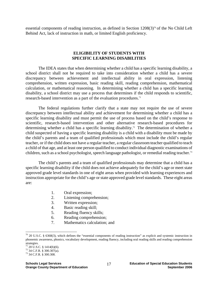essential components of reading instruction, as defined in Section  $1208(3)^{70}$  of the No Child Left Behind Act, lack of instruction in math, or limited English proficiency.

#### **ELIGIBILITY OF STUDENTS WITH SPECIFIC LEARNING DISABILITIES**

The IDEA states that when determining whether a child has a specific learning disability, a school district shall not be required to take into consideration whether a child has a severe discrepancy between achievement and intellectual ability in oral expression, listening comprehension, written expression, basic reading skill, reading comprehension, mathematical calculation, or mathematical reasoning. In determining whether a child has a specific learning disability, a school district may use a process that determines if the child responds to scientific, research-based intervention as a part of the evaluation procedures.<sup>71</sup>

 The federal regulations further clarify that a state may not require the use of severe discrepancy between intellectual ability and achievement for determining whether a child has a specific learning disability and must permit the use of process based on the child's response to scientific, research-based intervention and other alternative research-based procedures for determining whether a child has a specific learning disability.<sup>72</sup> The determination of whether a child suspected of having a specific learning disability is a child with a disability must be made by the child's parents and a team of qualified professionals which must include the child's regular teacher, or if the child does not have a regular teacher, a regular classroom teacher qualified to teach a child of that age, and at least one person qualified to conduct individual diagnostic examinations of children, such as a school psychologist, speech language pathologist, or remedial reading teacher.<sup>73</sup>

 The child's parents and a team of qualified professionals may determine that a child has a specific learning disability if the child does not achieve adequately for the child's age or meet state approved grade level standards in one of eight areas when provided with learning experiences and instruction appropriate for the child's age or state approved grade level standards. These eight areas are:

- 1. Oral expression;
- 2. Listening comprehension;
- 3. Written expression;
- 4. Basic reading skill;
- 5. Reading fluency skills;
- 6. Reading comprehension;
- 7. Mathematics calculation; and

<u>.</u>

 $70$  20 U.S.C. § 6368(3), which defines the "essential components of reading instruction" as explicit and systemic instruction in phonemic awareness, phonics, vocabulary development, reading fluency, including oral reading skills and reading comprehension strategies.

 $71$  20 U.S.C. § 1414(b)(6).

 $72$  34 C.F.R. § 300.307(a).

<sup>73 34</sup> C.F.R. § 300.308.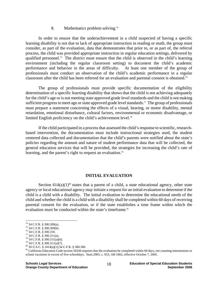#### 8. Mathematics problem solving.<sup>74</sup>

In order to ensure that the underachievement in a child suspected of having a specific learning disability is not due to lack of appropriate instruction in reading or math, the group must consider, as part of the evaluation, data that demonstrates that prior to, or as part of, the referral process, the child was provided appropriate instruction in regular education settings, delivered by qualified personnel.75 The district must ensure that the child is observed in the child's learning environment (including the regular classroom setting) to document the child's academic performance and behavior in the areas of difficulty. At least one member of the group of professionals must conduct an observation of the child's academic performance in a regular classroom after the child has been referred for an evaluation and parental consent is obtained.76

The group of professionals must provide specific documentation of the eligibility determination of a specific learning disability that shows that the child is not achieving adequately for the child's age or is not meeting state approved grade level standards and the child is not making sufficient progress to meet age or state approved grade level standards.<sup>77</sup> The group of professionals must prepare a statement concerning the effects of a visual, hearing, or motor disability, mental retardation, emotional disturbance, cultural factors, environmental or economic disadvantage, or limited English proficiency on the child's achievement level.<sup>78</sup>

If the child participated in a process that assessed the child's response to scientific, researchbased intervention, the documentation must include instructional strategies used, the student centered data collected and documentation that the child's parents were notified about the state's policies regarding the amount and nature of student performance data that will be collected, the general education services that will be provided, the strategies for increasing the child's rate of learning, and the parent's right to request an evaluation.<sup>79</sup>

#### **INITIAL EVALUATION**

Section  $614(a)(1)^{80}$  states that a parent of a child, a state educational agency, other state agency or local educational agency may initiate a request for an initial evaluation to determine if the child is a child with a disability. The initial evaluation to determine the educational needs of the child and whether the child is a child with a disability shall be completed within 60 days of receiving parental consent for the evaluation, or if the state establishes a time frame within which the evaluation must be conducted within the state's timeframe.<sup>81</sup>

1

 $74$  34 C.F.R. § 300.309(a).

<sup>75 34</sup> C.F.R. § 300.309(b).

<sup>76 34</sup> C.F.R. § 300.310.

<sup>77 34</sup> C.F.R. § 300.311(a).

 $^{78}$  34 C.F.R. § 300.311(a)(6).

 $^{79}$  34 C.F.R. § 300.311(a)(7).<br><sup>80</sup> 20 U.S.C. § 1414(a)(1);34 C.F.R. § 300.300.

 $81$  California Education Code section 56344 requires that the evaluation be completed within 60 days, not counting intersessions or school vacations in excess of five schooldays. Stats.2005, c. 653, AB 1662, effective October 7, 2005.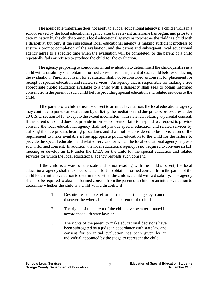The applicable timeframe does not apply to a local educational agency if a child enrolls in a school served by the local educational agency after the relevant timeframe has begun, and prior to a determination by the child's previous local educational agency as to whether the child is a child with a disability, but only if the subsequent local educational agency is making sufficient progress to ensure a prompt completion of the evaluation, and the parent and subsequent local educational agency agree to a specific time when the evaluation will be completed, or the parent of a child repeatedly fails or refuses to produce the child for the evaluation.

 The agency proposing to conduct an initial evaluation to determine if the child qualifies as a child with a disability shall obtain informed consent from the parent of such child before conducting the evaluation. Parental consent for evaluation shall not be construed as consent for placement for receipt of special education and related services. An agency that is responsible for making a free appropriate public education available to a child with a disability shall seek to obtain informed consent from the parent of such child before providing special education and related services to the child.

If the parents of a child refuse to consent to an initial evaluation, the local educational agency may continue to pursue an evaluation by utilizing the mediation and due process procedures under 20 U.S.C. section 1415, except to the extent inconsistent with state law relating to parental consent. If the parent of a child does not provide informed consent or fails to respond to a request to provide consent, the local educational agency shall not provide special education and related services by utilizing the due process hearing procedures and shall not be considered to be in violation of the requirement to make available a free appropriate public education to the child for the failure to provide the special education and related services for which the local educational agency requests such informed consent. In addition, the local educational agency is not required to convene an IEP meeting or develop an IEP under the IDEA for the child for the special education and related services for which the local educational agency requests such consent.

 If the child is a ward of the state and is not residing with the child's parent, the local educational agency shall make reasonable efforts to obtain informed consent from the parent of the child for an initial evaluation to determine whether the child is a child with a disability. The agency shall not be required to obtain informed consent from the parent of a child for an initial evaluation to determine whether the child is a child with a disability if:

- 1. Despite reasonable efforts to do so, the agency cannot discover the whereabouts of the parent of the child;
- 2. The rights of the parent of the child have been terminated in accordance with state law; or
- 3. The rights of the parent to make educational decisions have been subrogated by a judge in accordance with state law and consent for an initial evaluation has been given by an individual appointed by the judge to represent the child.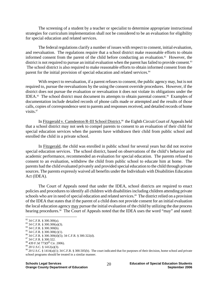The screening of a student by a teacher or specialist to determine appropriate instructional strategies for curriculum implementation shall not be considered to be an evaluation for eligibility for special education and related services.

 The federal regulations clarify a number of issues with respect to consent, initial evaluation, and reevaluation. The regulations require that a school district make reasonable efforts to obtain informed consent from the parent of the child before conducting an evaluation.<sup>82</sup> However, the district is not required to pursue an initial evaluation when the parent has failed to provide consent.<sup>83</sup> The school district is also required to make reasonable efforts to obtain informed consent from the parent for the initial provision of special education and related services.<sup>84</sup>

With respect to reevaluation, if a parent refuses to consent, the public agency may, but is not required to, pursue the reevaluations by the using the consent override procedures. However, if the district does not pursue the evaluation or reevaluation it does not violate its obligations under the IDEA.85 The school district must document its attempts to obtain parental consent.86 Examples of documentation include detailed records of phone calls made or attempted and the results of those calls, copies of correspondence sent to parents and responses received, and detailed records of home visits.<sup>87</sup>

In Fitzgerald v. Camdenton R-III School District,<sup>88</sup> the Eighth Circuit Court of Appeals held that a school district may not seek to compel parents to consent to an evaluation of their child for special education services when the parents have withdrawn their child from public school and enrolled the child in a private school.

 In Fitzgerald, the child was enrolled in public school for several years but did not receive special education services. The school district, based on observations of the child's behavior and academic performance, recommended an evaluation for special education. The parents refused to consent to an evaluation, withdrew the child from public school to educate him at home. The parents had the child evaluated privately and provided special education to the child through private sources. The parents expressly waived all benefits under the Individuals with Disabilities Education Act (IDEA).

 The Court of Appeals noted that under the IDEA, school districts are required to enact policies and procedures to identify all children with disabilities including children attending private schools who are in need of special education and related services.<sup>89</sup> The district relied on a provision of the IDEA that states that if the parent of a child does not provide consent for an initial evaluation the local education agency may pursue the initial evaluation of the child by utilizing the due process hearing procedures.<sup>90</sup> The Court of Appeals noted that the IDEA uses the word "may" and stated:

 $82$  34 C.F.R. § 300.300(a).

<sup>83 34</sup> C.F.R. § 300.300(a)(3).

<sup>84 34</sup> C.F.R. § 300.300(b).

<sup>85 34</sup> C.F.R. § 300.300(c)(1).

 $^{86}$  34 C.F.R. § 300.300(d)(5); 34 C.F.R. § 300.322(d).  $^{87}$  34 C.F.R. § 300.322.

 $88 \overline{439}$  F.3d 773(9<sup>th</sup> Cir. 2006).<br>  $89 \overline{20}$  U.S.C. § 1412(a)(3).

 $90$  20 U.S.C. § 1414(a)(1); 34 C.F.R. § 300.505(b). The court indicated that for purposes of their decision, home school and private school programs should be treated in a similar manner.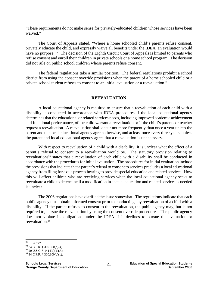"These requirements do not make sense for privately-educated children whose services have been waived."

 The Court of Appeals stated, "Where a home schooled child's parents refuse consent, privately educate the child, and expressly waive all benefits under the IDEA, an evaluation would have no purpose."<sup>91</sup> The decision of the Eighth Circuit Court of Appeals is limited to parents who refuse consent and enroll their children in private schools or a home school program. The decision did not rule on public school children whose parents refuse consent.

 The federal regulations take a similar position. The federal regulations prohibit a school district from using the consent override provisions when the parent of a home schooled child or a private school student refuses to consent to an initial evaluation or a reevaluation.<sup>92</sup>

## **REEVALUATION**

 A local educational agency is required to ensure that a reevaluation of each child with a disability is conducted in accordance with IDEA procedures if the local educational agency determines that the educational or related services needs, including improved academic achievement and functional performance, of the child warrant a reevaluation or if the child's parents or teacher request a reevaluation. A reevaluation shall occur not more frequently than once a year unless the parent and the local educational agency agree otherwise, and at least once every three years, unless the parent and local educational agency agree that a reevaluation is unnecessary.

With respect to reevaluation of a child with a disability, it is unclear what the effect of a parent's refusal to consent to a reevaluation would be. The statutory provision relating to reevaluations<sup>93</sup> states that a reevaluation of each child with a disability shall be conducted in accordance with the procedures for initial evaluation. The procedures for initial evaluation include the provisions that indicate that a parent's refusal to consent to services precludes a local educational agency from filing for a due process hearing to provide special education and related services. How this will affect children who are receiving services when the local educational agency seeks to reevaluate a child to determine if a modification in special education and related services is needed is unclear.

 The 2006 regulations have clarified the issue somewhat. The regulations indicate that each public agency must obtain informed consent prior to conducting any reevaluation of a child with a disability. If the parent refuses to consent to the reevaluation, the pubic agency may, but is not required to, pursue the reevaluation by using the consent override procedures. The public agency does not violate its obligations under the IDEA if it declines to pursue the evaluation or reevaluation.<sup>94</sup>

1

<sup>91</sup> Id. at 777.

<sup>92 34</sup> C.F.R. § 300.300(d)(4).

 $93$  20 U.S.C. § 1414(a)(2)(A).

<sup>94 34</sup> C.F.R. § 300.300(c)(1).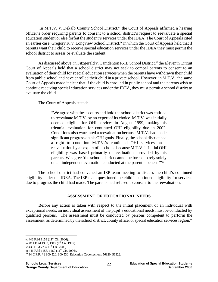In <u>M.T.V. v. Dekalb County School District</u>,<sup>95</sup> the Court of Appeals affirmed a hearing officer's order requiring parents to consent to a school district's request to reevaluate a special education student or else forfeit the student's services under the IDEA. The Court of Appeals cited an earlier case, Gregory K. v. Longview School District,<sup>96</sup> in which the Court of Appeals held that if parents want their child to receive special education services under the IDEA they must permit the school district to assess or evaluate the student.

As discussed above, in Fitzgerald v. Camdenton R-III School District,<sup>97</sup> the Eleventh Circuit Court of Appeals held that a school district may not seek to compel parents to consent to an evaluation of their child for special education services when the parents have withdrawn their child from public school and have enrolled their child in a private school. However, in M.T.V., the same Court of Appeals made it clear that if the child is enrolled in public school and the parents wish to continue receiving special education services under the IDEA, they must permit a school district to evaluate the child.

The Court of Appeals stated:

"We agree with these courts and hold the school district was entitled to reevaluate M.T.V. by an expert of its choice. M.T.V. was initially deemed eligible for OHI services in August 1999, making his triennial evaluation for continued OHI eligibility due in 2002. Conditions also warranted a reevaluation because M.T.V. had made significant progress on his OHI goals. Finally, the school district had a right to condition M.T.V.'s continued OHI services on a reevaluation by an expert of its choice because M.T.V.'s initial OHI eligibility was based primarily on evaluations provided by his parents. We agree 'the school district cannot be forced to rely solely on an independent evaluation conducted at the parent's behest.'"98

 The school district had convened an IEP team meeting to discuss the child's continued eligibility under the IDEA. The IEP team questioned the child's continued eligibility for services due to progress the child had made. The parents had refused to consent to the reevaluation.

## **ASSESSMENT OF EDUCATIONAL NEEDS**

Before any action is taken with respect to the initial placement of an individual with exceptional needs, an individual assessment of the pupil's educational needs must be conducted by qualified persons. The assessment must be conducted by persons competent to perform the assessment, as determined by the school district, county office, or special education services region.<sup>99</sup>

<u>.</u>

<sup>95 446</sup> F.3d 1153 (11<sup>th</sup> Cir. 2006).

<sup>96 811</sup> F.2d 1307, 1315 (9<sup>th</sup> Cir. 1987).

<sup>97 439</sup> F.3d 773 (11<sup>th</sup> Cir. 2006).<br>98 446 F.3d 1153, 1160 (11<sup>th</sup> Cir. 2006).

<sup>99 34</sup> C.F.R. §§ 300.520, 300.530; Education Code sections 56320, 56322.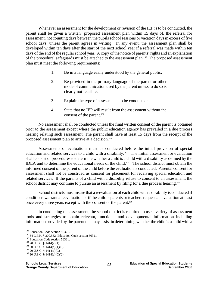Whenever an assessment for the development or revision of the IEP is to be conducted, the parent shall be given a written proposed assessment plan within 15 days of, the referral for assessment, not counting days between the pupils school sessions or vacation days in excess of five school days, unless the parent agrees in writing. In any event, the assessment plan shall be developed within ten days after the start of the next school year if a referral was made within ten days of the end of the regular school year. A copy of the notice of parents' rights and an explanation of the procedural safeguards must be attached to the assessment plan.<sup>100</sup> The proposed assessment plan must meet the following requirements:

- 1. Be in a language easily understood by the general public;
- 2. Be provided in the primary language of the parent or other mode of communication used by the parent unless to do so is clearly not feasible;
- 3. Explain the type of assessments to be conducted;
- 4. State that no IEP will result from the assessment without the consent of the parent.<sup>101</sup>

No assessment shall be conducted unless the final written consent of the parent is obtained prior to the assessment except where the public education agency has prevailed in a due process hearing relating such assessment. The parent shall have at least 15 days from the receipt of the proposed assessment plan to arrive at a decision.<sup>102</sup>

Assessments or evaluations must be conducted before the initial provision of special education and related services to a child with a disability.<sup>103</sup> The initial assessment or evaluation shall consist of procedures to determine whether a child is a child with a disability as defined by the IDEA and to determine the educational needs of the child.<sup>104</sup> The school district must obtain the informed consent of the parent of the child before the evaluation is conducted. Parental consent for assessment shall not be construed as consent for placement for receiving special education and related services. If the parents of a child with a disability refuse to consent to an assessment, the school district may continue to pursue an assessment by filing for a due process hearing.<sup>105</sup>

School districts must insure that a reevaluation of each child with a disability is conducted if conditions warrant a reevaluation or if the child's parents or teachers request an evaluation at least once every three years except with the consent of the parent.<sup>106</sup>

In conducting the assessment, the school district is required to use a variety of assessment tools and strategies to obtain relevant, functional and developmental information including information provided by the parent that may assist in determining whether the child is a child with a

 $100$  Education Code section 56321.

<sup>&</sup>lt;sup>101</sup> 34 C.F.R. § 300.532, Education Code section 56321.<br><sup>102</sup> Education Code section 56321.<br><sup>103</sup> 20 U.S.C. § 1414(a)(1).<br><sup>104</sup> 20 U.S.C. § 1414(a)(1)(B).<br><sup>105</sup> 20 U.S.C. § 1414(a)(C).<br><sup>106</sup> 20 U.S.C. § 1414(a)(C)(2).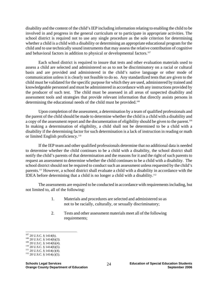disability and the content of the child's IEP including information relating to enabling the child to be involved in and progress in the general curriculum or to participate in appropriate activities. The school district is required not to use any single procedure as the sole criterion for determining whether a child is a child with a disability or determining an appropriate educational program for the child and to use technically sound instruments that may assess the relative contribution of cognitive and behavioral factors in addition to physical or developmental factors.<sup>107</sup>

Each school district is required to insure that tests and other evaluation materials used to assess a child are selected and administered so as to not be discriminatory on a racial or cultural basis and are provided and administered in the child's native language or other mode of communication unless it is clearly not feasible to do so. Any standardized tests that are given to the child must be validated for the specific purpose for which they are used, administered by trained and knowledgeable personnel and must be administered in accordance with any instructions provided by the producer of such test. The child must be assessed in all areas of suspected disability and assessment tools and strategies that provide relevant information that directly assists persons in determining the educational needs of the child must be provided.<sup>108</sup>

Upon completion of the assessment, a determination by a team of qualified professionals and the parent of the child should be made to determine whether the child is a child with a disability and a copy of the assessment report and the documentation of eligibility should be given to the parent.<sup>109</sup> In making a determination of eligibility, a child shall not be determined to be a child with a disability if the determining factor for such determination is a lack of instruction in reading or math or limited English proficiency.<sup>110</sup>

If the IEP team and other qualified professionals determine that no additional data is needed to determine whether the child continues to be a child with a disability, the school district shall notify the child's parents of that determination and the reasons for it and the right of such parents to request an assessment to determine whether the child continues to be a child with a disability. The school district should not be required to conduct such an assessment unless requested by the child's parents.111 However, a school district shall evaluate a child with a disability in accordance with the IDEA before determining that a child is no longer a child with a disability.112

The assessments are required to be conducted in accordance with requirements including, but not limited to, all of the following:

- 1. Materials and procedures are selected and administered so as not to be racially, culturally, or sexually discriminatory;
- 2. Tests and other assessment materials meet all of the following requirements;

 $107$  20 U.S.C. § 1414(b).

<sup>108 20</sup> U.S.C. § 1414(b)(3).<br>
109 20 U.S.C. § 1414(b)(4).<br>
110 20 U.S.C. § 1414(b)(5).<br>
111 20 U.S.C. § 1414(c)(4).<br>
112 20 U.S.C. § 1414(c)(5).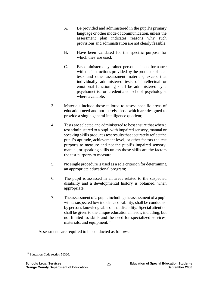- A. Be provided and administered in the pupil's primary language or other mode of communication, unless the assessment plan indicates reasons why such provisions and administration are not clearly feasible;
- B. Have been validated for the specific purpose for which they are used;
- C. Be administered by trained personnel in conformance with the instructions provided by the producer of such tests and other assessment materials, except that individually administered tests of intellectual or emotional functioning shall be administered by a psychometrist or credentialed school psychologist where available;
- 3. Materials include those tailored to assess specific areas of education need and not merely those which are designed to provide a single general intelligence quotient;
- 4. Tests are selected and administered to best ensure that when a test administered to a pupil with impaired sensory, manual or speaking skills produces test results that accurately reflect the pupil's aptitude, achievement level, or other factors the test purports to measure and not the pupil's impaired sensory, manual, or speaking skills unless those skills are the factors the test purports to measure;
- 5. No single procedure is used as a sole criterion for determining an appropriate educational program;
- 6. The pupil is assessed in all areas related to the suspected disability and a developmental history is obtained, when appropriate;
- 7. The assessment of a pupil, including the assessment of a pupil with a suspected low incidence disability, shall be conducted by persons knowledgeable of that disability. Special attention shall be given to the unique educational needs, including, but not limited to, skills and the need for specialized services, materials, and equipment.<sup>113</sup>

Assessments are required to be conducted as follows:

 $\overline{a}$ <sup>113</sup> Education Code section 56320.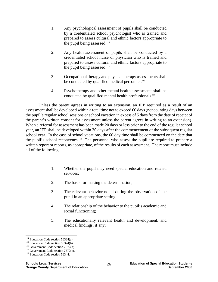- 1. Any psychological assessment of pupils shall be conducted by a credentialed school psychologist who is trained and prepared to assess cultural and ethnic factors appropriate to the pupil being assessed; $114$
- 2. Any health assessment of pupils shall be conducted by a credentialed school nurse or physician who is trained and prepared to assess cultural and ethnic factors appropriate to the pupil being assessed; $115$
- 3. Occupational therapy and physical therapy assessments shall be conducted by qualified medical personnel; $^{116}$
- 4. Psychotherapy and other mental health assessments shall be conducted by qualified mental health professionals.<sup>117</sup>

Unless the parent agrees in writing to an extension, an IEP required as a result of an assessment shall be developed within a total time not to exceed 60 days (not counting days between the pupil's regular school sessions or school vacation in excess of 5 days from the date of receipt of the parent's written consent for assessment unless the parent agrees in writing to an extension). When a referral for assessment has been made 20 days or less prior to the end of the regular school year, an IEP shall be developed within 30 days after the commencement of the subsequent regular school year. In the case of school vacations, the 60 day time shall be commenced on the date that the pupil's school reconvenes.<sup>118</sup> The personnel who assess the pupil are required to prepare a written report or reports, as appropriate, of the results of each assessment. The report must include all of the following:

- 1. Whether the pupil may need special education and related services;
- 2. The basis for making the determination;
- 3. The relevant behavior noted during the observation of the pupil in an appropriate setting;
- 4. The relationship of the behavior to the pupil's academic and social functioning;
- 5. The educationally relevant health and development, and medical findings, if any;

<u>.</u>

<sup>&</sup>lt;sup>114</sup> Education Code section 56324(a). <sup>115</sup> Education Code section 7572(b). <sup>116</sup> Government Code section 7572(c). <sup>118</sup> Education Code section 56344.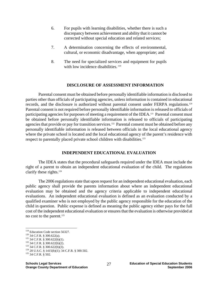- 6. For pupils with learning disabilities, whether there is such a discrepancy between achievement and ability that it cannot be corrected without special education and related services;
- 7. A determination concerning the effects of environmental, cultural, or economic disadvantage, when appropriate; and
- 8. The need for specialized services and equipment for pupils with low incidence disabilities.<sup>119</sup>

#### **DISCLOSURE OF ASSESSMENT INFORMATION**

Parental consent must be obtained before personally identifiable information is disclosed to parties other than officials of participating agencies, unless information is contained in educational records, and the disclosure is authorized without parental consent under FERPA regulations.120 Parental consent is not required before personally identifiable information is released to officials of participating agencies for purposes of meeting a requirement of the IDEA.<sup>121</sup> Parental consent must be obtained before personally identifiable information is released to officials of participating agencies that provide or pay for transition services.<sup>122</sup> Parental consent must be obtained before any personally identifiable information is released between officials in the local educational agency where the private school is located and the local educational agency of the parent's residence with respect to parentally placed private school children with disabilities.<sup>123</sup>

#### **INDEPENDENT EDUCATIONAL EVALUATION**

The IDEA states that the procedural safeguards required under the IDEA must include the right of a parent to obtain an independent educational evaluation of the child. The regulations clarify these rights.124

The 2006 regulations state that upon request for an independent educational evaluation, each public agency shall provide the parents information about where an independent educational evaluation may be obtained and the agency criteria applicable to independent educational evaluations. An independent educational evaluation is defined as an evaluation conducted by a qualified examiner who is not employed by the public agency responsible for the education of the child in question. Public expense is defined as meaning the public agency either pays for the full cost of the independent educational evaluation or ensures that the evaluation is otherwise provided at no cost to the parent.<sup>125</sup>

 $119$  Education Code section 56327.

<sup>120 34</sup> C.F.R. § 300.622(a).<br>
121 34 C.F.R. § 300.622(b)(1).<br>
122 34 C.F.R. § 300.622(b)(2).<br>
123 34 C.F.R. § 300.622(b)(3).<br>
124 20 U.S.C. § 1415(b)(1); 34 C.F.R. § 300.502.<br>
125 34 C.F.R. § 502.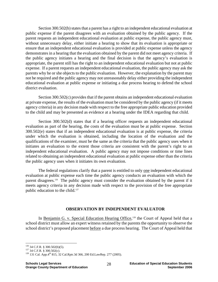Section 300.502(b) states that a parent has a right to an independent educational evaluation at public expense if the parent disagrees with an evaluation obtained by the public agency. If the parent requests an independent educational evaluation at public expense, the public agency must, without unnecessary delay, either initiate a hearing to show that its evaluation is appropriate or ensure that an independent educational evaluation is provided at public expense unless the agency demonstrates in a hearing that the evaluation obtained by the parent did not meet agency criteria. If the public agency initiates a hearing and the final decision is that the agency's evaluation is appropriate, the parent still has the right to an independent educational evaluation but not at public expense. If a parent requests an independent educational evaluation, the public agency may ask the parents why he or she objects to the public evaluation. However, the explanation by the parent may not be required and the public agency may not unreasonably delay either providing the independent educational evaluation at public expense or initiating a due process hearing to defend the school district evaluation.

Section 300.502(c) provides that if the parent obtains an independent educational evaluation at private expense, the results of the evaluation must be considered by the public agency (if it meets agency criteria) in any decision made with respect to the free appropriate public education provided to the child and may be presented as evidence at a hearing under the IDEA regarding that child.

Section 300.502(d) states that if a hearing officer requests an independent educational evaluation as part of the hearing, the costs of the evaluation must be at public expense. Section 300.502(e) states that if an independent educational evaluation is at public expense, the criteria under which the evaluation is obtained, including the location of the evaluation and the qualifications of the examiner, must be the same as the criteria that the public agency uses when it initiates an evaluation to the extent those criteria are consistent with the parent's right to an independent educational evaluation. A public agency may not impose conditions or time lines related to obtaining an independent educational evaluation at public expense other than the criteria the public agency uses when it initiates its own evaluation.

The federal regulations clarify that a parent is entitled to only one independent educational evaluation at public expense each time the public agency conducts an evaluation with which the parent disagrees.<sup>126</sup> The public agency must consider the evaluation obtained by the parent if it meets agency criteria in any decision made with respect to the provision of the free appropriate public education to the child.<sup>127</sup>

## **OBSERVATION BY INDEPENDENT EVALUATOR**

In Benjamin G. v. Special Education Hearing Office,<sup>128</sup> the Court of Appeal held that a school district must allow an expert witness retained by the parents the opportunity to observe the school district's proposed placement before a due process hearing. The Court of Appeal held that

 $126$  34 C.F.R. § 300.502(b)(5).

<sup>&</sup>lt;sup>127</sup> 34 C.F.R. § 300.502(c).  $128$  131 Cal. App.4<sup>th</sup> 815, 32 Cal.Rptr.3d 366, 200 Ed.LawRep. 277 (2005).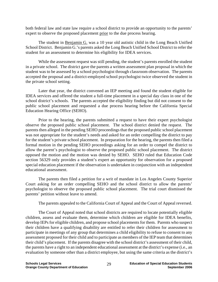both federal law and state law require a school district to provide an opportunity to the parents' expert to observe the proposed placement prior to the due process hearing.

 The student in Benjamin G. was a 10 year old autistic child in the Long Beach Unified School District. Benjamin G.'s parents asked the Long Beach Unified School District to refer the student for an assessment to determine his eligibility for IDEA services.

 While the assessment request was still pending, the student's parents enrolled the student in a private school. The district gave the parents a written assessment plan proposal in which the student was to be assessed by a school psychologist through classroom observation. The parents accepted the proposal and a district-employed school psychologist twice observed the student in the private school setting.

 Later that year, the district convened an IEP meeting and found the student eligible for IDEA services and offered the student a full-time placement in a special day class in one of the school district's schools. The parents accepted the eligibility finding but did not consent to the public school placement and requested a due process hearing before the California Special Education Hearing Office (SEHO).

 Prior to the hearing, the parents submitted a request to have their expert psychologist observe the proposed public school placement. The school district denied the request. The parents then alleged in the pending SEHO proceedings that the proposed public school placement was not appropriate for the student's needs and asked for an order compelling the district to pay for the student's private school placement. In preparation for the hearing, the parents then filed a formal motion in the pending SEHO proceedings asking for an order to compel the district to allow the parent's psychologist to observe the proposed public school placement. The district opposed the motion and the motion was denied by SEHO. SEHO ruled that Education Code section 56329 only provides a student's expert an opportunity for observation for a proposed special education placement if the observation is undertaken in conjunction with an independent educational assessment.

 The parents then filed a petition for a writ of mandate in Los Angeles County Superior Court asking for an order compelling SEHO and the school district to allow the parents' psychologist to observe the proposed public school placement. The trial court dismissed the parents' petition without leave to amend.

The parents appealed to the California Court of Appeal and the Court of Appeal reversed.

 The Court of Appeal noted that school districts are required to locate potentially eligible children, assess and evaluate them, determine which children are eligible for IDEA benefits, develop IEPs for eligible children, and propose school placements for them. Parents who suspect their children have a qualifying disability are entitled to refer their children for assessment to participate in meetings of any group that determines a child eligibility to refuse to consent to any assessment proposed for their child and to participate as members of the IEP team that determines their child's placement. If the parents disagree with the school district's assessment of their child, the parents have a right to an independent educational assessment at the district's expense (i.e., an evaluation by someone other than a district employee, but using the same criteria as the district's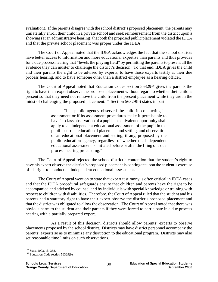evaluation). If the parents disagree with the school district's proposed placement, the parents may unilaterally enroll their child in a private school and seek reimbursement from the district upon a showing (at an administrative hearing) that both the proposed public placement violated the IDEA and that the private school placement was proper under the IDEA.

 The Court of Appeal noted that the IDEA acknowledges the fact that the school districts have better access to information and more educational expertise than parents and thus provides for a due process hearing that "levels the playing field" by permitting the parents to present all the evidence they can muster to challenge the district's decision. To that end, IDEA gives the child and their parents the right to be advised by experts, to have those experts testify at their due process hearing, and to have someone other than a district employee as a hearing officer.

The Court of Appeal noted that Education Codes section  $56329^{129}$  gives the parents the right to have their expert observe the proposed placement without regard to whether their child is present so that they need not remove the child from the present placement while they are in the midst of challenging the proposed placement.<sup>130</sup> Section 56329(b) states in part:

> "If a public agency observed the child in conducting its assessment or if its assessment procedures make it permissible to have in-class observation of a pupil, an equivalent opportunity shall apply to an independent educational assessment of the pupil in the pupil's current educational placement and setting, and observation of an educational placement and setting, if any, proposed by the public education agency, regardless of whether the independent educational assessment is initiated before or after the filing of a due process hearing proceeding."

 The Court of Appeal rejected the school district's contention that the student's right to have his expert observe the district's proposed placement is contingent upon the student's exercise of his right to conduct an independent educational assessment.

 The Court of Appeal went on to state that expert testimony is often critical in IDEA cases and that the IDEA procedural safeguards ensure that children and parents have the right to be accompanied and advised by counsel and by individuals with special knowledge or training with respect to children with disabilities. Therefore, the Court of Appeal ruled that the student and his parents had a statutory right to have their expert observe the district's proposed placement and that the district was obligated to allow the observation. The Court of Appeal noted that there was obvious harm to the student and their parents if they were forced to participate in a due process hearing with a partially prepared expert.

 As a result of this decision, districts should allow parents' experts to observe placements proposed by the school district. Districts may have district personnel accompany the parents' experts so as to minimize any disruption to the educational program. Districts may also set reasonable time limits on such observations.

 $\overline{a}$ 

<sup>&</sup>lt;sup>129</sup> Stats. 2003, ch. 368.<br><sup>130</sup> Education Code section 56329(b).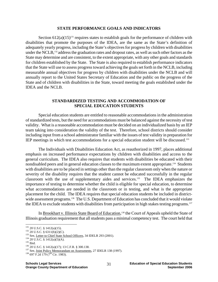#### **STATE PERFORMANCE GOALS AND INDICATORS**

Section  $612(a)(15)^{131}$  requires states to establish goals for the performance of children with disabilities that promote the purposes of the IDEA, are the same as the State's definition of adequately yearly progress, including the State's objectives for progress by children with disabilities under the NCLB,<sup>132</sup> address the graduation rates and dropout rates, as well as such other factors as the State may determine and are consistent, to the extent appropriate, with any other goals and standards for children established by the State. The State is also required to establish performance indicators that the State will use to assess progress toward achieving the goals set forth in the NCLB, including measurable annual objectives for progress by children with disabilities under the NCLB and will annually report to the United States Secretary of Education and the public on the progress of the State and of children with disabilities in the State, toward meeting the goals established under the IDEA and the NCLB.

### **STANDARDIZED TESTING AND ACCOMMODATION OF SPECIAL EDUCATION STUDENTS**

Special education students are entitled to reasonable accommodations in the administration of standardized tests, but the need for accommodations must be balanced against the necessity of test validity. What is a reasonable accommodation must be decided on an individualized basis by an IEP team taking into consideration the validity of the test. Therefore, school districts should consider including input from a school administrator familiar with the issues of test validity in preparation for IEP meetings in which test accommodations for a special education student will be discussed.133

The Individuals with Disabilities Education Act, as reauthorized in 1997, places additional emphasis on increased performance expectations by children with disabilities and access to the general curriculum. The IDEA also requires that students with disabilities be educated with their nondisabled peers and in general education classes to the maximum extent appropriate.134 Students with disabilities are to be placed in settings other than the regular classroom only when the nature or severity of the disability requires that the student cannot be educated successfully in the regular classroom with the use of supplementary aides and services.135 The IDEA emphasizes the importance of testing to determine whether the child is eligible for special education, to determine what accommodations are needed in the classroom or in testing, and what is the appropriate placement for the child. The IDEA requires that special education students be included in districtwide assessment programs.<sup>136</sup> The U.S. Department of Education has concluded that it would violate the IDEA to exclude students with disabilities from participation in high stakes testing programs.<sup>137</sup>

In Brookhart v. Illinois State Board of Education,<sup>138</sup> the Court of Appeals upheld the State of Illinois graduation requirement that all students pass a minimal competency test. The court held that

<sup>&</sup>lt;sup>131</sup> 20 U.S.C. § 1412(a)(15).<br><sup>132</sup> 20 U.S.C. § 6311(b)(2)(C).

<sup>&</sup>lt;sup>133</sup> See, <u>Letter to Chief State School Officers</u>, 34 IDELR 293 (2001).<br><sup>134</sup> 20 U.S.C. § 1412(a)(5)(A).<br><sup>135</sup> Ibid.<br><sup>136</sup> 20 U.S.C. § 1412(a)(17); 13 C.F.R. § 300.138.<br><sup>137</sup> See, <u>Joint Policy Memorandum on Assessments</u>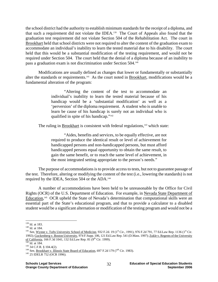the school district had the authority to establish minimum standards for the receipt of a diploma, and that such a requirement did not violate the IDEA.139 The Court of Appeals also found that the graduation test requirement did not violate Section 504 of the Rehabilitation Act. The court in Brookhart held that school districts were not required to alter the content of the graduation exam to accommodate an individual's inability to learn the tested material due to his disability. The court held that this would be a substantial modification of the testing requirement, and would not be required under Section 504. The court held that the denial of a diploma because of an inability to pass a graduation exam is not discrimination under Section 504.140

Modifications are usually defined as changes that lower or fundamentally or substantially alter the standards or requirements.<sup>141</sup> As the court noted in Brookhart, modifications would be a fundamental alteration of the program:

> "Altering the content of the test to accommodate an individual's inability to learn the tested material because of his handicap would be a 'substantial modification' as well as a 'perversion' of the diploma requirement. A student who is unable to learn be cause of his handicap is surely not an individual who is qualified in spite of his handicap."142

The ruling in Brookhart is consistent with federal regulations, $143$  which state:

 "Aides, benefits and services, to be equally effective, are not required to produce the identical result or level of achievement for handicapped persons and non-handicapped persons, but must afford handicapped persons equal opportunity to obtain the same result, to gain the same benefit, or to reach the same level of achievement, in the most integrated setting appropriate to the person's needs."

The purpose of accommodations is to provide access to tests, but not to guarantee passage of the test. Therefore, altering or modifying the content of the test (i.e., lowering the standards) is not required by the IDEA, Section 504 or the ADA.144

A number of accommodations have been held to be unreasonable by the Office for Civil Rights (OCR) of the U.S. Department of Education. For example, in Nevada State Department of Education,<sup>145</sup> OCR upheld the State of Nevada's determination that computational skills were an essential part of the State's educational program, and that to provide a calculator to a disabled student would be a significant alternation or modification of the testing program and would not be a

<sup>&</sup>lt;sup>139</sup> Id. at 183.

<sup>&</sup>lt;sup>140</sup> Id. at 184.<br><sup>141</sup> See, <u>Wynne v. Tufts University School of Medicine</u>, 932 F.2d. 19 (1<sup>st</sup> Cir., 1991), 976 F.2d 791, 77 Ed.Law Rep. 1136 (1<sup>st</sup> Cir. 1992); Guckenberg v. Boston University, 974 F.Supp. 106, 121 Ed.Law Rep. 541 (D.Mass. 1997); Zukle v. Regents of the University of California, 166 F.3d 1041, 132 Ed.Law Rep. 81 (9<sup>th</sup> Cir. 1999).<br><sup>142</sup> Id. at 184.<br><sup>143</sup> 34 C.F.R. § 104.4(2).<br><sup>144</sup> See, <u>Brookhart v. Illinois State Board of Education</u>, 697 F.2d 179 (7<sup>th</sup> Cir. 1983).<br><sup>145</sup> 25 IDELR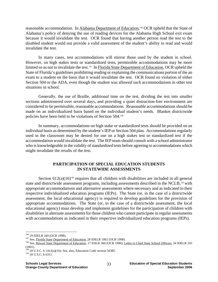reasonable accommodation. In Alabama Department of Education,<sup>146</sup> OCR upheld that the State of Alabama's policy of denying the use of reading devices for the Alabama High School exit exam because it would invalidate the test. OCR found that having another person read the test to the disabled student would not provide a valid assessment of the student's ability to read and would invalidate the test.

In many cases, test accommodations will mirror those used by the student in school. However, on high stakes tests or standardized tests, permissible accommodations may be more limited so as not to invalidate the test.<sup>147</sup> In Florida State Department of Education, OCR upheld the State of Florida's guidelines prohibiting reading or explaining the communications portion of the an exam to a student on the basis that it would invalidate the test. OCR found no violation of either Section 504 or the ADA, even though the student was allowed such accommodations in other test situations in school.

Generally, the use of Braille, additional time on the test, dividing the test into smaller sections administered over several days, and providing a quiet distraction-free environment are considered to be permissible, reasonable accommodations. Reasonable accommodations should be made on an individualized basis based on the individual student's needs. Blanket districtwide policies have been held to be violations of Section 504.148

In summary, accommodations on high stake or standardized tests should be provided on an individual basis as determined by the student's IEP or Section 504 plan. Accommodations regularly used in the classroom may be denied for use on a high stakes test or standardized test if the accommodation would invalidate the test. The IEP team should consult with a school administrator who is knowledgeable in the validity of standardized tests before agreeing to accommodations which might invalidate the results of the test.

## **PARTICIPATION OF SPECIAL EDUCATION STUDENTS IN STATEWIDE ASSESSMENTS**

Section  $612(a)(16)^{149}$  requires that all children with disabilities are included in all general state and districtwide assessment programs, including assessments described in the NCLB,<sup>150</sup> with appropriate accommodations and alternative assessments where necessary and as indicated in their respective individualized education programs (IEPs). The State (or, in the case of a districtwide assessment, the local educational agency) is required to develop guidelines for the provision of appropriate accommodations. The State (or, in the case of a districtwide assessment, the local educational agency) must develop and implement guidelines for the participation of children with disabilities in alternate assessments for those children who cannot participate in regular assessments with accommodations as indicated in their respective individualized education programs (IEPs).

<sup>&</sup>lt;sup>146</sup> 29 IDELR 249 (OCR 1998).

<sup>&</sup>lt;sup>147</sup> See, *Florida State Department of Education*, 28 IDELR 1002 (OCR 1998).<br><sup>148</sup> See, Hawaii State Department of Education, 17 EHLR 360 (OCR 1990); Letter to Chief State School Officers, 34 IDELR 293 (2001).

<sup>&</sup>lt;sup>149</sup> 20 U.S.C. § 1412(a)(16); See, also, Education Code section 56385. <sup>150</sup> 20 U.S.C. § 6311.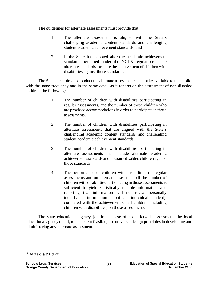The guidelines for alternate assessments must provide that:

- 1. The alternate assessment is aligned with the State's challenging academic content standards and challenging student academic achievement standards; and
- 2. If the State has adopted alternate academic achievement standards permitted under the NCLB regulations,<sup>151</sup> the alternate standards measure the achievement of children with disabilities against those standards.

 The State is required to conduct the alternate assessments and make available to the public, with the same frequency and in the same detail as it reports on the assessment of non-disabled children, the following:

- 1. The number of children with disabilities participating in regular assessments, and the number of those children who are provided accommodations in order to participate in those assessments.
- 2. The number of children with disabilities participating in alternate assessments that are aligned with the State's challenging academic content standards and challenging student academic achievement standards.
- 3. The number of children with disabilities participating in alternate assessments that include alternate academic achievement standards and measure disabled children against those standards.
- 4. The performance of children with disabilities on regular assessments and on alternate assessment (if the number of children with disabilities participating in those assessments is sufficient to yield statistically reliable information and reporting that information will not reveal personally identifiable information about an individual student), compared with the achievement of all children, including children with disabilities, on those assessments.

 The state educational agency (or, in the case of a districtwide assessment, the local educational agency) shall, to the extent feasible, use universal design principles in developing and administering any alternate assessment.

 $\overline{a}$  $151$  20 U.S.C. § 6311(b)(1).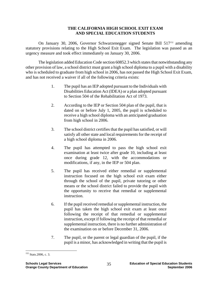## **THE CALIFORNIA HIGH SCHOOL EXIT EXAM AND SPECIAL EDUCATION STUDENTS**

On January 30, 2006, Governor Schwarzenegger signed Senate Bill 517<sup>152</sup> amending statutory provisions relating to the High School Exit Exam. The legislation was passed as an urgency measure and took effect immediately on January 30, 2006.

 The legislation added Education Code section 60852.3 which states that notwithstanding any other provision of law, a school district must grant a high school diploma to a pupil with a disability who is scheduled to graduate from high school in 2006, has not passed the High School Exit Exam, and has not received a waiver if all of the following criteria exists:

- 1. The pupil has an IEP adopted pursuant to the Individuals with Disabilities Education Act (IDEA) or a plan adopted pursuant to Section 504 of the Rehabilitation Act of 1973.
- 2. According to the IEP or Section 504 plan of the pupil, that is dated on or before July 1, 2005, the pupil is scheduled to receive a high school diploma with an anticipated graduation from high school in 2006.
- 3. The school district certifies that the pupil has satisfied, or will satisfy all other state and local requirements for the receipt of a high school diploma in 2006.
- 4. The pupil has attempted to pass the high school exit examination at least twice after grade 10, including at least once during grade 12, with the accommodations or modifications, if any, in the IEP or 504 plan.
- 5. The pupil has received either remedial or supplemental instruction focused on the high school exit exam either through the school of the pupil, private tutoring or other means or the school district failed to provide the pupil with the opportunity to receive that remedial or supplemental instruction.
- 6. If the pupil received remedial or supplemental instruction, the pupil has taken the high school exit exam at least once following the receipt of that remedial or supplemental instruction, except if following the receipt of that remedial or supplemental instruction, there is no further administration of the examination on or before December 31, 2006.
- 7. The pupil, or the parent or legal guardian of the pupil, if the pupil is a minor, has acknowledged in writing that the pupil is

 $\overline{a}$  $152$  Stats. 2006, c. 3.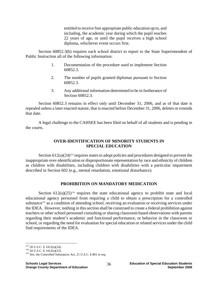entitled to receive free appropriate public education up to, and including, the academic year during which the pupil reaches 22 years of age, or until the pupil receives a high school diploma, whichever event occurs first.

 Section 60852.3(b) requires each school district to report to the State Superintendent of Public Instruction all of the following information:

- 1. Documentation of the procedure used to implement Section 60852.3.
- 2. The number of pupils granted diplomas pursuant to Section 60852.3.
- 3. Any additional information determined to be in furtherance of Section 60852.3.

 Section 60852.3 remains in effect only until December 31, 2006, and as of that date is repealed unless a later enacted statute, that is enacted before December 31, 2006, deletes or extends that date.

 A legal challenge to the CAHSEE has been filed on behalf of all students and is pending in the courts.

# **OVER-IDENTIFICATION OF MINORITY STUDENTS IN SPECIAL EDUCATION**

Section  $612(a)(24)^{153}$  requires states to adopt policies and procedures designed to prevent the inappropriate over-identification or disproportionate representation by race and ethnicity of children as children with disabilities, including children with disabilities with a particular impairment described in Section 602 (e.g., mental retardation, emotional disturbance).

# **PROHIBITION ON MANDATORY MEDICATION**

Section  $612(a)(25)^{154}$  requires the state educational agency to prohibit state and local educational agency personnel from requiring a child to obtain a prescription for a controlled substance<sup>155</sup> as a condition of attending school, receiving an evaluation or receiving services under the IDEA. However, nothing in this section shall be construed to create a federal prohibition against teachers or other school personnel consulting or sharing classroom based observations with parents regarding their student's academic and functional performance, or behavior in the classroom or school, or regarding the need for evaluation for special education or related services under the child find requirements of the IDEA.

 $153$  20 U.S.C. § 1412(a)(24).

<sup>&</sup>lt;sup>154</sup> 20 U.S.C. § 1412(a)(25). <sup>155</sup> See, the Controlled Substances Act, 21 U.S.C. § 801 et seq.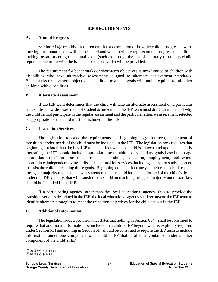### **IEP REQUIREMENTS**

#### **A. Annual Progress**

Section  $614(d)$ <sup>156</sup> adds a requirement that a description of how the child's progress toward meeting the annual goals will be measured and when periodic reports on the progress the child is making toward meeting the annual goals (such as through the use of quarterly or other periodic reports, concurrent with the issuance of report cards) will be provided.

 The requirement for benchmarks or short-term objectives is now limited to children with disabilities who take alternative assessments aligned to alternate achievement standards. Benchmarks or short-term objectives in addition to annual goals will not be required for all other children with disabilities.

#### **B. Alternate Assessment**

 If the IEP team determines that the child will take an alternate assessment on a particular state or districtwide assessment of student achievement, the IEP team must draft a statement of why the child cannot participate in the regular assessment and the particular alternate assessment selected is appropriate for the child must be included in the IEP.

#### **C. Transition Services**

 The legislation repealed the requirements that beginning at age fourteen, a statement of transition service needs of the child must be included in the IEP. The legislation now requires that beginning not later than the first IEP to be in effect when the child is sixteen, and updated annually thereafter, the IEP should include appropriate measurable post-secondary goals based upon age appropriate transition assessments related to training, education, employment, and where appropriate, independent living skills and the transition services (including courses of study), needed to assist the child in reaching those goals. Beginning not later than one year before the child reaches the age of majority under state law, a statement that the child has been informed of the child's rights under the IDEA, if any, that will transfer to the child on reaching the age of majority under state law should be included in the IEP.

 If a participating agency, other than the local educational agency, fails to provide the transition services described in the IEP, the local educational agency shall reconvene the IEP team to identify alternate strategies to meet the transition objectives for the child set out in the IEP.

#### **D. Additional Information**

The legislation adds a provision that states that nothing in Section 614<sup>157</sup> shall be construed to require that additional information be included in a child's IEP beyond what is explicitly required under Section 614 and nothing in Section 614 should be construed to require the IEP team to include information under one component of a child's IEP that is already contained under another component of the child's IEP.

 $\overline{a}$ <sup>156</sup> 20 U.S.C. § 1414(d).<br><sup>157</sup> 20 U.S.C. § 1414.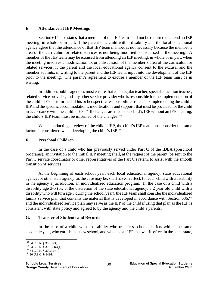### **E. Attendance at IEP Meetings**

 Section 614 also states that a member of the IEP team shall not be required to attend an IEP meeting, in whole or in part, if the parent of a child with a disability and the local educational agency agree that the attendance of that IEP team member is not necessary because the member's area of the curriculum or related services is not being modified or discussed in the meeting. A member of the IEP team may be excused from attending an IEP meeting, in whole or in part, when the meeting involves a modification to, or a discussion of the member's area of the curriculum or related services, if the parent and the local educational agency consent to the excusal and the member submits, in writing to the parent and the IEP team, input into the development of the IEP prior to the meeting. The parent's agreement to excuse a member of the IEP team must be in writing.

 In addition, public agencies must ensure that each regular teacher, special education teacher, related service provider, and any other service provider who is responsible for the implementation of the child's IEP, is informed of his or her specific responsibilities related to implementing the child's IEP and the specific accommodations, modifications and supports that must be provided for the child in accordance with the child's IEP.158 If changes are made to a child's IEP without an IEP meeting, the child's IEP team must be informed of the changes.<sup>159</sup>

 When conducting a review of the child's IEP, the child's IEP team must consider the same factors it considered when developing the child's IEP.160

### **F. Preschool Children**

 In the case of a child who has previously served under Part C of the IDEA (preschool programs), an invitation to the initial IEP meeting shall, at the request of the parent, be sent to the Part C service coordinator or other representatives of the Part C system, to assist with the smooth transition of services.

 At the beginning of each school year, each local educational agency, state educational agency, or other state agency, as the case may be, shall have in effect, for each child with a disability in the agency's jurisdiction, an individualized education program. In the case of a child with a disability age 3-5 (or, at the discretion of the state educational agency, a 2 year old child with a disability who will turn age 3 during the school year), the IEP team shall consider the individualized family service plan that contains the material that is developed in accordance with Section 636.<sup>161</sup> and the individualized service plan may serve as the IEP of the child if using that plan as the IEP is consistent with state policy and agreed to by the agency and the child's parents.

## **G. Transfer of Students and Records**

 In the case of a child with a disability who transfers school districts within the same academic year, who enrolls in a new school, and who had an IEP that was in effect in the same state,

<sup>&</sup>lt;sup>158</sup> 34 C.F.R. § 300.323(d).

<sup>&</sup>lt;sup>159</sup> 34 C.F.R. § 300.32(a)(4).<br><sup>160</sup> 34 C.F.R. § 300.324(b).<br><sup>161</sup> 20 U.S.C. § 1436.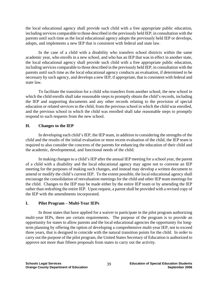the local educational agency shall provide such child with a free appropriate public education, including services comparable to those described in the previously held IEP, in consultation with the parents until such time as the local educational agency adopts the previously held IEP or develops, adopts, and implements a new IEP that is consistent with federal and state law.

 In the case of a child with a disability who transfers school districts within the same academic year, who enrolls in a new school, and who has an IEP that was in effect in another state, the local educational agency shall provide such child with a free appropriate public education, including services comparable to those described in the previously held IEP, in consultation with the parents until such time as the local educational agency conducts an evaluation, if determined to be necessary by such agency, and develops a new IEP, if appropriate, that is consistent with federal and state law.

 To facilitate the transition for a child who transfers from another school, the new school in which the child enrolls shall take reasonable steps to promptly obtain the child's records, including the IEP and supporting documents and any other records relating to the provision of special education or related services to the child, from the previous school in which the child was enrolled, and the previous school in which the child was enrolled shall take reasonable steps to promptly respond to such requests from the new school.

# **H. Changes to the IEP**

 In developing each child's IEP, the IEP team, in addition to considering the strengths of the child and the results of the initial evaluation or most recent evaluation of the child, the IEP team is required to also consider the concerns of the parents for enhancing the education of their child and the academic, developmental, and functional needs of the child.

 In making changes to a child's IEP after the annual IEP meeting for a school year, the parent of a child with a disability and the local educational agency may agree not to convene an IEP meeting for the purposes of making such changes, and instead may develop a written document to amend or modify the child's current IEP. To the extent possible, the local educational agency shall encourage the consolidation of reevaluation meetings for the child and other IEP team meetings for the child. Changes to the IEP may be made either by the entire IEP team or by amending the IEP rather than redrafting the entire IEP. Upon request, a parent shall be provided with a revised copy of the IEP with the amendments incorporated.

# **I. Pilot Program – Multi-Year IEPs**

 In those states that have applied for a waiver to participate in the pilot program authorizing multi-year IEPs, there are certain requirements. The purpose of the program is to provide an opportunity for states to allow parents and the local educational agencies the opportunity for longterm planning by offering the option of developing a comprehensive multi-year IEP, not to exceed three years, that is designed to coincide with the natural transition points for the child. In order to carry out the purpose of the pilot program, the United States Secretary of Education is authorized to approve not more than fifteen proposals from states to carry out the activity.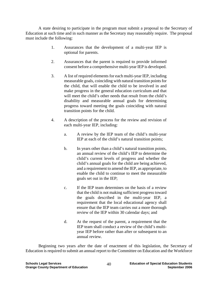A state desiring to participate in the program must submit a proposal to the Secretary of Education at such time and in such manner as the Secretary may reasonably require. The proposal must include the following:

- 1. Assurances that the development of a multi-year IEP is optional for parents.
- 2. Assurances that the parent is required to provide informed consent before a comprehensive multi-year IEP is developed.
- 3. A list of required elements for each multi-year IEP, including measurable goals, coinciding with natural transition points for the child, that will enable the child to be involved in and make progress in the general education curriculum and that will meet the child's other needs that result from the child's disability and measurable annual goals for determining progress toward meeting the goals coinciding with natural transition points for the child.
- 4. A description of the process for the review and revision of each multi-year IEP, including:
	- a. A review by the IEP team of the child's multi-year IEP at each of the child's natural transition points;
	- b. In years other than a child's natural transition points, an annual review of the child's IEP to determine the child's current levels of progress and whether the child's annual goals for the child are being achieved, and a requirement to amend the IEP, as appropriate, to enable the child to continue to meet the measurable goals set out in the IEP;
	- c. If the IEP team determines on the basis of a review that the child is not making sufficient progress toward the goals described in the multi-year IEP, a requirement that the local educational agency shall ensure that the IEP team carries out a more thorough review of the IEP within 30 calendar days; and
	- d. At the request of the parent, a requirement that the IEP team shall conduct a review of the child's multiyear IEP before rather than after or subsequent to an annual review.

 Beginning two years after the date of enactment of this legislation, the Secretary of Education is required to submit an annual report to the Committee on Education and the Workforce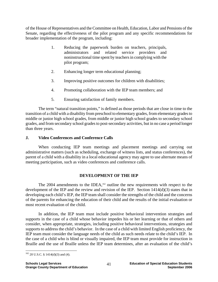of the House of Representatives and the Committee on Health, Education, Labor and Pensions of the Senate, regarding the effectiveness of the pilot program and any specific recommendations for broader implementation of the program, including:

- 1. Reducing the paperwork burden on teachers, principals, administrators and related service providers and noninstructional time spent by teachers in complying with the pilot program;
- 2. Enhancing longer term educational planning;
- 3. Improving positive outcomes for children with disabilities;
- 4. Promoting collaboration with the IEP team members; and
- 5. Ensuring satisfaction of family members.

 The term "natural transition points," is defined as those periods that are close in time to the transition of a child with a disability from preschool to elementary grades, from elementary grades to middle or junior high school grades, from middle or junior high school grades to secondary school grades, and from secondary school grades to post-secondary activities, but in no case a period longer than three years.

# **J. Video Conferences and Conference Calls**

 When conducting IEP team meetings and placement meetings and carrying out administrative matters (such as scheduling, exchange of witness lists, and status conferences), the parent of a child with a disability in a local educational agency may agree to use alternate means of meeting participation, such as video conferences and conference calls.

## **DEVELOPMENT OF THE IEP**

The 2004 amendments to the IDEA,<sup>162</sup> outline the new requirements with respect to the development of the IEP and the review and revision of the IEP. Section 1414(d)(3) states that in developing each child's IEP, the IEP team shall consider the strengths of the child and the concerns of the parents for enhancing the education of their child and the results of the initial evaluation or most recent evaluation of the child.

In addition, the IEP team must include positive behavioral intervention strategies and supports in the case of a child whose behavior impedes his or her learning or that of others and consider, when appropriate, strategies, including positive behavioral interventions, strategies and supports to address the child's behavior. In the case of a child with limited English proficiency, the IEP team must consider the language needs of the child as such needs relate to the child's IEP. In the case of a child who is blind or visually impaired, the IEP team must provide for instruction in Braille and the use of Braille unless the IEP team determines, after an evaluation of the child's

<sup>1</sup>  $162$  20 U.S.C. § 1414(d)(3) and (4).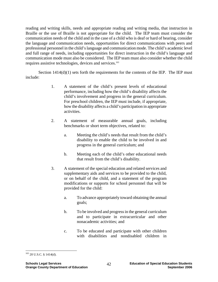reading and writing skills, needs and appropriate reading and writing media, that instruction in Braille or the use of Braille is not appropriate for the child. The IEP team must consider the communication needs of the child and in the case of a child who is deaf or hard of hearing, consider the language and communication needs, opportunities for direct communications with peers and professional personnel in the child's language and communication mode. The child's academic level and full range of needs, including opportunities for direct instruction in the child's language and communication mode must also be considered. The IEP team must also consider whether the child requires assistive technologies, devices and services.163

Section  $1414(d)(1)$  sets forth the requirements for the contents of the IEP. The IEP must include:

- 1. A statement of the child's present levels of educational performance, including how the child's disability affects the child's involvement and progress in the general curriculum. For preschool children, the IEP must include, if appropriate, how the disability affects a child's participation in appropriate activities.
- 2. A statement of measurable annual goals, including benchmarks or short term objectives, related to:
	- a. Meeting the child's needs that result from the child's disability to enable the child to be involved in and progress in the general curriculum; and
	- b. Meeting each of the child's other educational needs that result from the child's disability.
- 3. A statement of the special education and related services and supplementary aids and services to be provided to the child, or on behalf of the child, and a statement of the program modifications or supports for school personnel that will be provided for the child:
	- a. To advance appropriately toward obtaining the annual goals;
	- b. To be involved and progress in the general curriculum and to participate in extracurricular and other nonacademic activities; and
	- c. To be educated and participate with other children with disabilities and nondisabled children in

 $\overline{a}$ 163 20 U.S.C. § 1414(d).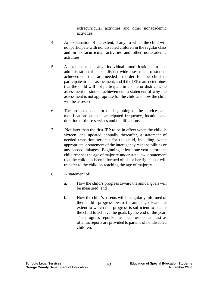extracurricular activities and other nonacademic activities.

- 4. An explanation of the extent, if any, to which the child will not participate with nondisabled children in the regular class and in extracurricular activities and other nonacademic activities.
- 5. A statement of any individual modifications in the administration of state or district-wide assessments of student achievement that are needed in order for the child to participate in such assessment, and if the IEP team determines that the child will not participate in a state or district-wide assessment of student achievement, a statement of why the assessment is not appropriate for the child and how the child will be assessed.
- 6. The projected date for the beginning of the services and modifications and the anticipated frequency, location and duration of those services and modifications.
- 7. Not later than the first IEP to be in effect when the child is sixteen, and updated annually thereafter, a statement of needed transition services for the child, including, when appropriate, a statement of the interagency responsibilities or any needed linkages. Beginning at least one year before the child reaches the age of majority under state law, a statement that the child has been informed of his or her rights that will transfer to the child on reaching the age of majority.
- 8. A statement of:
	- a. How the child's progress toward the annual goals will be measured; and
	- b. How the child's parents will be regularly informed of their child's progress toward the annual goals and the extent to which that progress is sufficient to enable the child to achieve the goals by the end of the year. The progress reports must be provided at least as often as reports are provided to parents of nondisabled children.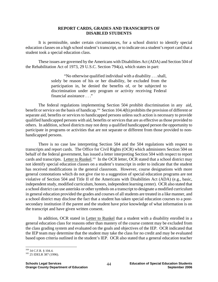### **REPORT CARDS, GRADES AND TRANSCRIPTS OF DISABLED STUDENTS**

It is permissible, under certain circumstances, for a school district to identify special education classes on a high school student's transcript, or to indicate on a student's report card that a student took a special education class.

These issues are governed by the Americans with Disabilities Act (ADA) and Section 504 of the Rehabilitation Act of 1973, 29 U.S.C. Section 794(a), which states in part:

> "No otherwise qualified individual with a disability . . . shall, solely be reason of his or her disability, be excluded from the participation in, be denied the benefits of, or be subjected to discrimination under any program or activity receiving Federal financial assistance . . ."

The federal regulations implementing Section 504 prohibit discrimination in any aid, benefit or service on the basis of handicap.<sup>164</sup> Section 104.4(b) prohibits the provision of different or separate aid, benefits or services to handicapped persons unless such action is necessary to provide qualified handicapped persons with aid, benefits or services that are as effective as those provided to others. In addition, school districts may not deny a qualified handicapped person the opportunity to participate in programs or activities that are not separate or different from those provided to nonhandicapped persons.

There is no case law interpreting Section 504 and the 504 regulations with respect to transcripts and report cards. The Office for Civil Rights (OCR) which administers Section 504 on behalf of the federal government, has issued a letter interpreting Section 504 with respect to report cards and transcripts. Letter to Runkel.<sup>165</sup> In the OCR letter, OCR stated that a school district may not identify special education classes on a student's transcript in order to indicate that the student has received modifications in the general classroom. However, course designations with more general connotations which do not give rise to a suggestion of special education programs are not violative of Section 504 and Title II of the Americans with Disabilities Act (ADA) (e.g., basic, independent study, modified curriculum, honors, independent learning center). OCR also stated that a school district can use asterisks or other symbols on a transcript to designate a modified curriculum in general education provided the grades and courses of all students are treated in a like manner, and a school district may disclose the fact that a student has taken special education courses to a postsecondary institution if the parent and the student have prior knowledge of what information is on the transcript and have given written consent.

In addition, OCR stated in Letter to Runkel that a student with a disability enrolled in a general education class for reasons other than mastery of the course content may be excluded from the class grading system and evaluated on the goals and objectives of the IEP. OCR indicated that the IEP team may determine that the student may take the class for no credit and may be evaluated based upon criteria outlined in the student's IEP. OCR also stated that a general education teacher

<sup>&</sup>lt;sup>164</sup> 34 C.F.R. § 104.4.<br><sup>165</sup> 25 IDELR 387 (1996).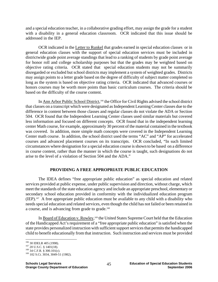and a special education teacher, in a collaborative grading effort, may assign the grade for a student with a disability in a general education classroom. OCR indicated that this issue should be addressed in the IEP.

OCR indicated in the Letter to Runkel that grades earned in special education classes or in general education classes with the support of special education services must be included in districtwide grade point average standings that lead to a ranking of students by grade point average for honor roll and college scholarship purposes but that the grades may be weighted based on objective rating criteria. OCR stated that special education students may not be summarily disregarded or excluded but school districts may implement a system of weighted grades. Districts may assign points to a letter grade based on the degree of difficulty of subject matter completed so long as the system is based on objective rating criteria. OCR indicated that advanced courses or honors courses may be worth more points than basic curriculum courses. The criteria should be based on the difficulty of the course content.

In Ann Arbor Public School District,<sup>166</sup> the Office for Civil Rights advised the school district that classes on a transcript which were designated as Independent Learning Center classes due to the difference in content between those classes and regular classes do not violate the ADA or Section 504. OCR found that the Independent Learning Center classes used similar materials but covered less information and focused on different concepts. OCR found that in the independent learning center Math course, for example, approximately 30 percent of the material contained in the textbook was covered. In addition, more simple math concepts were covered in the Independent Learning Center math course. In addition, the school district used the terms "AC" and "AP" for accelerated courses and advanced placement courses on its transcripts. OCR concluded, "In such limited circumstances where designation for a special education course is shown to be based on a difference in course content, rather than the manner in which the course is taught, such designations do not arise to the level of a violation of Section 504 and the ADA."

## **PROVIDING A FREE APPROPRIATE PUBLIC EDUCATION**

The IDEA defines "free appropriate public education" as special education and related services provided at public expense, under public supervision and direction, without charge, which meet the standards of the state education agency and include an appropriate preschool, elementary or secondary school education provided in conformity with the individualized education program (IEP).167 A free appropriate public education must be available to any child with a disability who needs special education and related services, even though the child has not failed or been retained in a course, and is advancing from grade to grade.<sup>168</sup>

In Board of Education v. Rowley,<sup>169</sup> the United States Supreme Court held that the Education of the Handicapped Act's requirement of a "free appropriate public education" is satisfied when the state provides personalized instruction with sufficient support services that permits the handicapped child to benefit educationally from that instruction. Such instruction and services must be provided

1

<sup>&</sup>lt;sup>166</sup> 30 IDELR 405 (1998).<br><sup>167</sup> 20 U.S.C. § 1401(18).<br><sup>168</sup> 34 C.F.R. § 300.101(c). <sup>169</sup> 102 S.Ct. 3034, 3049-51 (1982).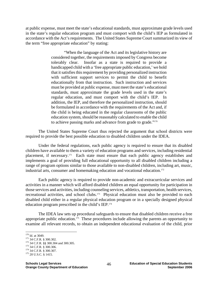at public expense, must meet the state's educational standards, must approximate grade levels used in the state's regular education program and must comport with the child's IEP as formulated in accordance with the Act's requirements. The United States Supreme Court summarized its view of the term "free appropriate education" by stating:

> "When the language of the Act and its legislative history are considered together, the requirements imposed by Congress become tolerably clear. Insofar as a state is required to provide a handicapped child with a 'free appropriate public education,' we hold that it satisfies this requirement by providing personalized instruction with sufficient support services to permit the child to benefit educationally from that instruction. Such instruction and services must be provided at public expense, must meet the state's educational standards, must approximate the grade levels used in the state's regular education, and must comport with the child's IEP. In addition, the IEP, and therefore the personalized instruction, should be formulated in accordance with the requirements of the Act and, if the child is being educated in the regular classrooms of the public education system, should be reasonably calculated to enable the child to achieve passing marks and advance from grade to grade."<sup>170</sup>

The United States Supreme Court thus rejected the argument that school districts were required to provide the best possible education to disabled children under the IDEA.

Under the federal regulations, each public agency is required to ensure that its disabled children have available to them a variety of education programs and services, including residential placement, if necessary.171 Each state must ensure that each public agency establishes and implements a goal of providing full educational opportunity to all disabled children including a range of program options similar to those available to non-disabled children, including art, music, industrial arts, consumer and homemaking education and vocational education.<sup>172</sup>

Each public agency is required to provide non-academic and extracurricular services and activities in a manner which will afford disabled children an equal opportunity for participation in those services and activities, including counseling services, athletics, transportation, health services, recreational activities, and school clubs.<sup>173</sup> Physical education must also be provided to each disabled child either in a regular physical education program or in a specially designed physical education program prescribed in the child's IEP.174

The IDEA law sets up procedural safeguards to ensure that disabled children receive a free appropriate public education.<sup>175</sup> These procedures include allowing the parents an opportunity to examine all relevant records, to obtain an independent educational evaluation of the child, prior

 $170$  Id. at 3049.

<sup>171 34</sup> C.F.R. § 300.302.<br><sup>172</sup> 34 C.F.R. §§ 300.304 and 300.305.<br><sup>173</sup> 34 C.F.R. § 300.306.<br><sup>174</sup> 34 C.F.R. § 300.307.<br><sup>175</sup> 20 U.S.C. § 1415.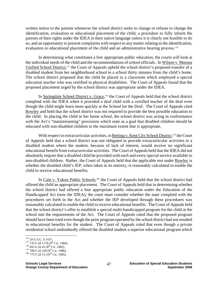written notice to the parents whenever the school district seeks to change or refuses to change the identification, evaluation or educational placement of the child, a procedure to fully inform the parents of their rights under the IDEA in their native language unless it is clearly not feasible to do so, and an opportunity to present complaints with respect to any matter relating to the identification, evaluation or educational placement of the child and an administrative hearing process.<sup>176</sup>

In determining what constitutes a free appropriate public education, the courts will look at the individual needs of the child and the recommendations of school officials. In Wilson v. Marana Unified School District,<sup>177</sup> the Court of Appeals upheld the school district's proposed transfer of a disabled student from her neighborhood school to a school thirty minutes from the child's home. The school district proposed that the child be placed in a classroom which employed a special education teacher who was certified in physical disabilities. The Court of Appeals found that the proposed placement urged by the school district was appropriate under the IDEA.

In Springdale School District v. Grace,<sup>178</sup> the Court of Appeals held that the school district complied with the IDEA when it provided a deaf child with a certified teacher of the deaf even though the child might learn more quickly at the School for the Deaf. The Court of Appeals cited Rowley and held that the school district was not required to provide the best possible education to the child. In placing the child in her home school, the school district was acting in conformance with the Act's "mainstreaming" provisions which state as a goal that disabled children should be educated with non-disabled children to the maximum extent that is appropriate.

With respect to extracurricular activities, in Retting v. Kent City School District,<sup>179</sup> the Court of Appeals held that a school district was not obligated to provide extracurricular activities to a disabled student where the student, because of lack of interest, would receive no significant educational benefit from extracurricular activities. The Court of Appeals held that the IDEA did not absolutely require that a disabled child be provided with each and every special service available to non-disabled children. Rather, the Court of Appeals held that the applicable test under Rowley is whether the disabled child's IEP, when taken in its entirety, is reasonably calculated to enable the child to receive educational benefits.

In Cain v. Yukon Public Schools,<sup>180</sup> the Court of Appeals held that the school district had offered the child an appropriate placement. The Court of Appeals held that in determining whether the school district had offered a free appropriate public education under the Education of the Handicapped Act (now the IDEA), the court must consider whether the state complied with the procedures set forth in the Act and whether the IEP developed through these procedures was reasonably calculated to enable the child to receive educational benefits. The Court of Appeals held that the school district's offer to establish a special multi-handicapped program for the child at the school met the requirements of the Act. The Court of Appeals ruled that the proposed program should have been tried even though the prior program operated by the school district had not resulted in educational benefits for the student. The Court of Appeals ruled that even though a private residential school undoubtedly offered the disabled student a superior educational program which

 $176$  20 U.S.C. § 1415.

<sup>177 735</sup> F.2d 1178 (9<sup>th</sup> Cir. 1984).<br><sup>178</sup> 693 F.2d 41 (8<sup>th</sup> Cir. 1982).<br><sup>179</sup> 788 F.2d 328 (6<sup>th</sup> Cir. 1986).<br><sup>180</sup> 775 F.2d 15 (10<sup>th</sup> Cir. 1985).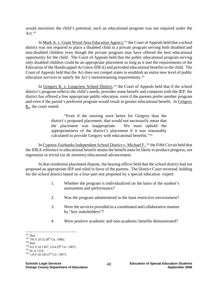would maximize the child's potential, such an educational program was not required under the Act. $181$ 

In Mark A. v. Grant Wood Area Education Agency,<sup>182</sup> the Court of Appeals held that a school district was not required to place a disabled child in a private program serving both disabled and non-disabled children even though the private program may have offered the best educational opportunity for the child. The Court of Appeals held that the public educational program serving only disabled children could be an appropriate placement so long as it met the requirements of the Education of the Handicapped Act (now IDEA) and provided educational benefits to the child. The Court of Appeals held that the Act does not compel states to establish an entire new level of public education services to satisfy the Act's mainstreaming requirements.<sup>183</sup>

In Gregory K. v. Longview School District,<sup>184</sup> the Court of Appeals held that if the school district's program reflects the child's needs, provides some benefit and comports with the IEP, the district has offered a free appropriate public education, even if the parents prefer another program and even if the parent's preferred program would result in greater educational benefit. In Gregory K., the court stated:

> "Even if the tutoring were better for Gregory than the district's proposed placement, that would not necessarily mean that the placement was inappropriate. We must uphold the appropriateness of the district's placement if it was reasonably calculated to provide Gregory with educational benefits."185

In Cypress-Fairbanks Independent School District v. Michael F.,<sup>186</sup> the Fifth Circuit held that the IDEA reference to educational benefit means the benefit must be likely to produce progress, not regression or trivial (or *de minimis)* educational advancement.

In that residential placement dispute, the hearing officer held that the school district had not proposed an appropriate IEP and ruled in favor of the parents. The District Court reversed, holding for the school district based on a four-part test proposed by a special education expert:

- 1. Whether the program is individualized on the basis of the student's assessment and performance?
- 2. Was the program administered in the least restrictive environment?
- 3. Were the services provided in a coordinated and collaborative manner by "key stakeholders"?
- 4. Were positive academic and non-academic benefits demonstrated?

 $181$  Ibid.

<sup>&</sup>lt;sup>182</sup> 795 F.2d 52 (8<sup>th</sup> Cir. 1986).<br>
<sup>183</sup> Ibid.<br>
<sup>184</sup> 811 F.2d 1307, 1314 (9<sup>th</sup> Cir. 1987).<br>
<sup>185</sup> Id. at 1314.<br>
<sup>186</sup> 118 F.3d 245 (5<sup>th</sup> Cir. 1997).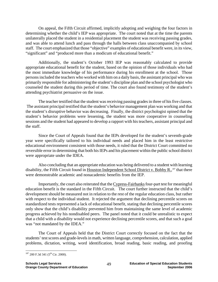On appeal, the Fifth Circuit affirmed, implicitly adopting and weighing the four factors in determining whether the child's IEP was appropriate. The court noted that at the time the parents unilaterally placed the student in a residential placement the student was receiving passing grades, and was able to attend lunch and pass through the halls between class unaccompanied by school staff. The court emphasized that those "objective" examples of educational benefit were, in its view, "significant" and "produced more than a modicum of educational benefit."

Additionally, the student's October 1993 IEP was reasonably calculated to provide appropriate educational benefit for the student, based on the opinion of those individuals who had the most immediate knowledge of his performance during his enrollment at the school. Those persons included the teachers who worked with him on a daily basis, the assistant principal who was primarily responsible for administering the student's discipline plan and the school psychologist who counseled the student during this period of time. The court also found testimony of the student's attending psychiatrist persuasive on the issue.

The teacher testified that the student was receiving passing grades in three of his five classes. The assistant principal testified that the student's behavior management plan was working and that the student's disruptive behavior was decreasing. Finally, the district psychologist opined that the student's behavior problems were lessening, the student was more cooperative in counseling sessions and the student had appeared to develop a rapport with his teachers, assistant principal and the staff.

Since the Court of Appeals found that the IEPs developed for the student's seventh-grade year were specifically tailored to his individual needs and placed him in the least restrictive educational environment consistent with those needs, it ruled that the District Court committed no reversible error in determining that both his IEPs and his placement within the public school district were appropriate under the IDEA.

Also concluding that an appropriate education was being delivered to a student with learning disability, the Fifth Circuit found in Houston Independent School District v. Bobby R.,<sup>187</sup> that there were demonstrable academic and nonacademic benefits from the IEP.

Importantly, the court also reiterated that the Cypress-Fairbanks four-part test for meaningful education benefit is the standard in the Fifth Circuit. The court further instructed that the child's development should be measured not in relation to the rest of the regular education class, but rather with respect to the individual student. It rejected the argument that declining percentile scores on standardized tests represented a lack of educational benefit, stating that declining percentile scores only show that the child's disability prevented him from maintaining the same level of academic progress achieved by his nondisabled peers. The panel noted that it could be unrealistic to expect that a child with a disability would not experience declining percentile scores, and that such a goal was "not mandated by the IDEA."

The Court of Appeals held that the District Court correctly focused on the fact that the students' test scores and grade-levels in math, written language, comprehension, calculation, applied problems, dictation, writing, word identification, broad reading, basic reading, and proofing

<sup>1</sup>  $187$  200 F.3d 341 (5<sup>th</sup> Cir. 2000).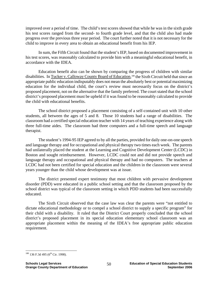improved over a period of time. The child's test scores showed that while he was in the sixth grade his test scores ranged from the second- to fourth grade level, and that the child also had made progress over the previous three year period. The court further noted that it is not necessary for the child to improve in every area to obtain an educational benefit from his IEP.

In sum, the Fifth Circuit found that the student's IEP, based on documented improvement in his test scores, was reasonably calculated to provide him with a meaningful educational benefit, in accordance with the IDEA.

Education benefit also can be shown by comparing the progress of children with similar disabilities. In Tucker v. Calloway County Board of Education,<sup>188</sup> the Sixth Circuit held that since an appropriate public education indisputably does not mean the absolutely best or potential maximizing education for the individual child, the court's review must necessarily focus on the district's proposed placement, not on the alternative that the family preferred. The court stated that the school district's proposed placement must be upheld if it was found to be reasonably calculated to provide the child with educational benefits.

The school district proposed a placement consisting of a self-contained unit with 10 other students, all between the ages of 5 and 8. Those 10 students had a range of disabilities. The classroom had a certified special education teacher with 14 years of teaching experience along with three full-time aides. The classroom had three computers and a full-time speech and language therapist.

The student's 1994-95 IEP agreed to by all the parties, provided for daily one-on-one speech and language therapy and for occupational and physical therapy two times each week. The parents had unilaterally placed the student at the Learning and Cognitive Development Center (LCDC) in Boston and sought reimbursement. However, LCDC could not and did not provide speech and language therapy and occupational and physical therapy and had no computers. The teachers at LCDC had not been certified for special education and the children in the classroom were several years younger than the child whose development was at issue.

The district presented expert testimony that most children with pervasive development disorder (PDD) were educated in a public school setting and that the classroom proposed by the school district was typical of the classroom setting in which PDD students had been successfully educated.

The Sixth Circuit observed that the case law was clear the parents were "not entitled to dictate educational methodology or to compel a school district to supply a specific program" for their child with a disability. It ruled that the District Court properly concluded that the school district's proposed placement in its special education elementary school classroom was an appropriate placement within the meaning of the IDEA's free appropriate public education requirement.

<sup>1</sup>  $188$  136 F.3d 495 (6<sup>th</sup> Cir. 1998).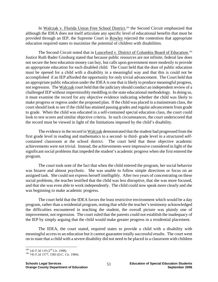In Walczak v. Florida Union Free School District,<sup>189</sup> the Second Circuit emphasized that although the IDEA does not itself articulate any specific level of educational benefits that must be provided through an IEP, the Supreme Court in Rowley rejected the contention that appropriate education required states to maximize the potential of children with disabilities.

The Second Circuit noted that in Lunceford v. District of Columbia Board of Education,<sup>190</sup> Justice Ruth Bader Ginsburg stated that because public resources are not infinite, federal law does not secure the best education money can buy, but calls upon government more modestly to provide an appropriate education for each disabled child. The Court held that the door of public education must be opened for a child with a disability in a meaningful way and that this is could not be accomplished if an IEP afforded the opportunity for only trivial advancement. The Court held that an appropriate public education under the IDEA is one that is likely to produce meaningful progress, not regression. The Walczak court held that the judiciary should conduct an independent review of a challenged IEP without impermissibly meddling in the state educational methodology. In doing so, it must examine the record for any objective evidence indicating whether the child was likely to make progress or regress under the proposed plan. If the child was placed in a mainstream class, the court should look to see if the child has attained passing grades and regular advancement from grade to grade. When the child was educated in a self-contained special education class, the court could look to test scores and similar objective criteria. In such circumstances, the court underscored that the record must be viewed in light of the limitations imposed by the child's disability.

The evidence in the record in Walczak demonstrated that the student had progressed from the first grade level in reading and mathematics to a second- to third- grade level in a structured selfcontained classroom at the school district. The court held that these objective academic achievements were not trivial. Instead, the achievements were impressive considered in light of the significant social problems that impeded the student's academic progress when she first entered the program.

The court took note of the fact that when the child entered the program, her social behavior was bizarre and almost psychotic. She was unable to follow simple directions or focus on an assigned task. She could not express herself intelligibly. After two years of concentrating on these social problems, the teacher testified that the child was less disruptive, that she was more focused, and that she was even able to work independently. The child could now speak more clearly and she was beginning to make academic progress.

The court held that the IDEA favors the least restrictive environment which would be a day program, rather than a residential program, noting that while the teacher's testimony acknowledged the difficulties encountered in teaching the student, the overall picture was plainly one of improvement, not regression. The court ruled that the parents could not establish the inadequacy of the IEP by simply arguing that the child would make greater progress in a residential placement.

The IDEA, the court stated, required states to provide a child with a disability with meaningful access to an education but it cannot guarantee totally successful results. The court went on to state that a child with a severe disability did not need to be placed in a classroom with children

<sup>1</sup> 

<sup>&</sup>lt;sup>189</sup> 142 F.3d 119 (2<sup>nd</sup> Cir. 1998).<br><sup>190</sup> 745 F.2d 1577, 1583 (D.C. Cir. 1984).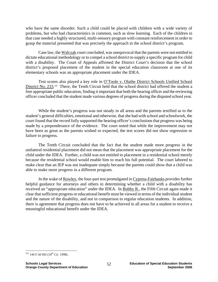who have the same disorder. Such a child could be placed with children with a wide variety of problems, but who had characteristics in common, such as slow learning. Each of the children in that case needed a highly structured, multi-sensory program with constant reinforcement in order to grasp the material presented that was precisely the approach in the school district's program.

Case law, the Walczak court concluded, was unequivocal that the parents were not entitled to dictate educational methodology or to compel a school district to supply a specific program for child with a disability. The Court of Appeals affirmed the District Court's decision that the school district's proposed placement of the student in the special education classroom at one of its elementary schools was an appropriate placement under the IDEA.

Test scores also played a key role in O'Toole v. Olathe District Schools Unified School District No. 233.<sup>191</sup> There, the Tenth Circuit held that the school district had offered the student a free appropriate public education, finding it important that both the hearing officer and the reviewing officer concluded that the student made various degrees of progress during the disputed school year.

While the student's progress was not steady in all areas and the parents testified as to the student's general difficulties, emotional and otherwise, that she had with school and schoolwork, the court found that the record fully supported the hearing officer's conclusions that progress was being made by a preponderance of the evidence. The court noted that while the improvement may not have been as great as the parents wished or expected, the test scores did not show regression or failure to progress.

The Tenth Circuit concluded that the fact that the student made more progress in the unilateral residential placement did not mean that the placement was appropriate placement for the child under the IDEA. Further, a child was not entitled to placement in a residential school merely because the residential school would enable him to reach his full potential. The court labored to make clear that an IEP was not inadequate simply because the parents could show that a child was able to make more progress in a different program.

In the wake of Rowley, the four-part test promulgated in Cypress-Fairbanks provides further helpful guidance for attorneys and others in determining whether a child with a disability has received an "appropriate education" under the IDEA. In Bobby R., the Fifth Circuit again made it clear that sufficient progress or educational benefit must be viewed in terms of the individual student and the nature of the disability, and not in comparison to regular education students. In addition, there is agreement that progress does not have to be achieved in all areas for a student to receive a meaningful educational benefit under the IDEA.

 $\overline{a}$  $191$  144 F.3d 692 ( $10^{th}$  Cir. 1998).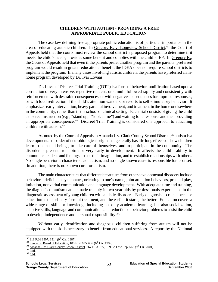### **CHILDREN WITH AUTISM - PROVIDING A FREE APPROPRIATE PUBLIC EDUCATION**

The case law defining free appropriate public education is of particular importance in the area of educating autistic children. In Gregory K. v. Longview School District,<sup>192</sup> the Court of Appeals held that the courts must review the school district's proposed program to determine if it meets the child's needs, provides some benefit and complies with the child's IEP. In Gregory K., the Court of Appeals held that even if the parents prefer another program and the parents' preferred program would result in greater educational benefit, the IDEA does not require school districts to implement the program. In many cases involving autistic children, the parents have preferred an inhome program developed by Dr. Ivar Lovaas.

Dr. Lovaas' Discreet Trial Training (DTT) is a form of behavior modification based upon a correlation of very intensive, repetitive requests or stimuli, followed rapidly and consistently with reinforcement with desirable consequences, or with negative consequences for improper responses, or with loud redirection if the child's attention wanders or resorts to self-stimulatory behavior. It emphasizes early intervention, heavy parental involvement, and treatment in the home or elsewhere in the community, rather than in the school or clinical setting. Each trial consists of giving the child a discreet instruction (e.g., "stand up," "look at me") and waiting for a response and then providing an appropriate consequence.<sup>193</sup> Discreet Trial Training is considered one approach to educating children with autism.194

As noted by the Court of Appeals in Amanda J. v. Clark County School District,<sup>195</sup> autism is a developmental disorder of neurobiological origin that generally has life long effects on how children learn to be social beings, to take care of themselves, and to participate in the community. The disorder is present from birth or very early in development. It affects the child's ability to communicate ideas and feelings, to use their imagination, and to establish relationships with others. No single behavior is characteristic of autism, and no single known cause is responsible for its onset. In addition, there is no known cure for autism.

The main characteristics that differentiate autism from other developmental disorders include behavioral deficits in eye contact, orienting to one's name, joint attention behaviors, pretend play, imitation, nonverbal communication and language development. With adequate time and training, the diagnosis of autism can be made reliably in two year olds by professionals experienced in the diagnostic assessment of young children with autistic disorders. Early diagnosis is crucial because education is the primary form of treatment, and the earlier it starts, the better. Education covers a wide range of skills or knowledge including not only academic learning, but also socialization, adaptive skills, language and communication, and reduction of behavior problems to assist the child to develop independence and personal responsibility.196

Without early identification and diagnosis, children suffering from autism will not be equipped with the skills necessary to benefit from educational services. A report by the National

<sup>&</sup>lt;sup>192</sup> 811 F.2d 1307, 1314 (9<sup>th</sup> Cir. 1987).

<sup>&</sup>lt;sup>193</sup> Renner v. Board of Education, 185 F.3d 635, 639 (6<sup>th</sup> Cir. 1999).<br>
<sup>194</sup> Amanda J. v. Clark County School District, 267 F.3d 877, 159 Ed.Law Rep. 562 (9<sup>th</sup> Cir. 2001).<br>
<sup>195</sup> Ibid.<br>
<sup>196</sup> Ibid.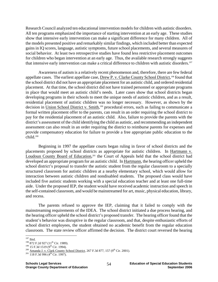Research Council analyzed ten educational intervention models for children with autistic disorders. All ten programs emphasized the importance of starting intervention at an early age. These studies show that intensive early intervention can make a significant difference for many children. All of the models presented positive and remarkably similar findings, which included better than expected gains in IQ scores, language, autistic symptoms, future school placements, and several measures of social behavior. At least two retrospective studies have found less restrictive placement outcomes for children who began intervention at an early age. Thus, the available research strongly suggests that intensive early intervention can make a critical difference to children with autistic disorders.<sup>197</sup>

Awareness of autism is a relatively recent phenomenon and, therefore, there are few federal appellate cases. The earliest appellate case, Drew P. v. Clarke County School District,<sup>198</sup> found that the school district did not have an appropriate placement for an autistic child, and ordered residential placement. At that time, the school district did not have trained personnel or appropriate programs in place that would meet an autistic child's needs. Later cases show that school districts began developing programs in their schools to meet the unique needs of autistic children, and as a result, residential placement of autistic children was no longer necessary. However, as shown by the decision in Union School District v. Smith,<sup>199</sup> procedural errors, such as failing to communicate a formal written placement offer to the parents, can result in an order requiring the school district to pay for the residential placement of an autistic child. Also, failure to provide the parents with the district's assessment of the child identifying the child as autistic, and recommending an independent assessment can also result in an order requiring the district to reimburse parents for expenses and provide compensatory education for failure to provide a free appropriate public education to the child.200

Beginning in 1997 the appellate courts began ruling in favor of school districts and the placements proposed by school districts as appropriate for autistic children. In Hartmann v. Loudoun County Board of Education,<sup>201</sup> the Court of Appeals held that the school district had developed an appropriate program for an autistic child. In Hartmann, the hearing officer upheld the school district's proposal to transfer the autistic student from the regular classroom to a specially structured classroom for autistic children at a nearby elementary school, which would allow for interaction between autistic children and nondisabled students. The proposed class would have included five autistic students working with a special education teacher and at least one full-time aide. Under the proposed IEP, the student would have received academic instruction and speech in the self-contained classroom, and would be mainstreamed for art, music, physical education, library, and recess.

The parents refused to approve the IEP, claiming that it failed to comply with the mainstreaming requirements of the IDEA. The school district initiated a due process hearing, and the hearing officer upheld the school district's proposed transfer. The hearing officer found that the student's behavior was disruptive in the regular classroom, and that, despite enthusiastic efforts of school district employees, the student obtained no academic benefit from the regular education classroom. The state review officer affirmed the decision. The district court reversed the hearing

 $197$  Ibid.

<sup>&</sup>lt;sup>198</sup> 872 F.2d 927 (11<sup>th</sup> Cir. 1989).<br><sup>199</sup> 15 F.3d 1519 (9<sup>th</sup> Cir. 1994).<br><sup>200</sup> Amanda J. v. Clark County School District, 267 F.3d 877, 157 (9<sup>th</sup> Cir. 2001).<br><sup>201</sup> 118 F.3d 996 (4<sup>th</sup> Cir. 1997).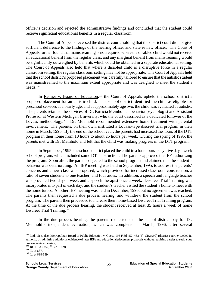officer's decision and rejected the administrative findings and concluded that the student could receive significant educational benefits in a regular classroom.

The Court of Appeals reversed the district court, holding that the district court did not give sufficient deference to the findings of the hearing officer and state review officer. The Court of Appeals further found that mainstreaming is not required where the disabled child would not receive an educational benefit from the regular class, and any marginal benefit from mainstreaming would be significantly outweighed by benefits which could be obtained in a separate educational setting. The Court of Appeals also held that where a disabled child is a disruptive force in a regular classroom setting, the regular classroom setting may not be appropriate. The Court of Appeals held that the school district's proposed placement was carefully tailored to ensure that the autistic student was mainstreamed to the maximum extent appropriate and was designed to meet the student's needs.202

In Renner v. Board of Education,<sup>203</sup> the Court of Appeals upheld the school district's proposed placement for an autistic child. The school district identified the child as eligible for preschool services at an early age, and at approximately age two, the child was evaluated as autistic. The parents retained the services of Dr. Patricia Meinhold, a behavior psychologist and Assistant Professor at Western Michigan University, who the court described as a dedicated follower of the Lovaas methodology.<sup>204</sup> Dr. Meinhold recommended extensive home treatment with parental involvement. The parents, on their own, instituted a Lovaas-type discreet trial program in their home in March, 1995. By the end of the school year, the parents had increased the hours of the DTT program in their home from 10 hours to about 25 hours per week. During the spring of 1995, the parents met with Dr. Meinhold and felt that the child was making progress in the DTT program.

In September, 1995, the school district placed the child in a four hours a day, five day a week school program, which included some DTT instruction. The parents approved the IEP authorizing the program. Soon after, the parents objected to the school program and claimed that the student's behavior was deteriorating. An IEP meeting was held in September, 1995, to address the parents' concerns and a new class was proposed, which provided for increased classroom construction, a ratio of seven students to one teacher, and four aides. In addition, a speech and language teacher was provided two days a week and a speech therapist once a week. Discreet Trial Training was incorporated into part of each day, and the student's teacher visited the student's home to meet with the home tutors. Another IEP meeting was held in December, 1995, but no agreement was reached. The parents then requested a due process hearing, and withdrew the student from the school program. The parents then proceeded to increase their home-based Discreet Trial Training program. At the time of the due process hearing, the student received at least 35 hours a week of home Discreet Trial Training.<sup>205</sup>

In the due process hearing, the parents requested that the school district pay for Dr. Meinhold's independent evaluation, which was completed in March, 1996, after several

<sup>&</sup>lt;sup>202</sup> Ibid. See, also, <u>Metropolitan Board of Public Education v. Guest</u>, 193 F.3d 457, 463 ( $6<sup>th</sup> Cir.1999$ ) (district court exceeded its authority by admitting additional evidence of later IEPs and educational placement proposals without requiring parties to seek a due process review hearing).

<sup>&</sup>lt;sup>203</sup> 185 F.3d 635 (6<sup>th</sup> Cir. 1999).<br><sup>204</sup> Id. at 637.<br><sup>205</sup> Id. at 638-639.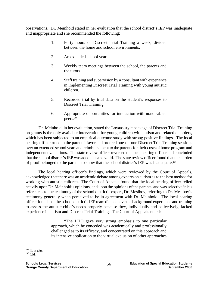observations. Dr. Meinhold stated in her evaluation that the school district's IEP was inadequate and inappropriate and she recommended the following:

- 1. Forty hours of Discreet Trial Training a week, divided between the home and school environments.
- 2. An extended school year.
- 3. Weekly team meetings between the school, the parents and the tutors.
- 4. Staff training and supervision by a consultant with experience in implementing Discreet Trial Training with young autistic children.
- 5. Recorded trial by trial data on the student's responses to Discreet Trial Training.
- 6. Appropriate opportunities for interaction with nondisabled peers.206

Dr. Meinhold, in her evaluation, stated the Lovaas style package of Discreet Trial Training programs is the only available intervention for young children with autism and related disorders, which has been subjected to an empirical outcome study with strong positive findings. The local hearing officer ruled in the parents' favor and ordered one-on-one Discreet Trial Training sessions over an extended school year, and reimbursement to the parents for their costs of home program and independent evaluations. The state review officer reversed the local hearing officer and concluded that the school district's IEP was adequate and valid. The state review officer found that the burden of proof belonged to the parents to show that the school district's IEP was inadequate.207

The local hearing officer's findings, which were reviewed by the Court of Appeals, acknowledged that there was an academic debate among experts on autism as to the best method for working with autistic children. The Court of Appeals found that the local hearing officer relied heavily upon Dr. Meinhold's opinions, and upon the opinions of the parents, and was selective in his references to the testimony of the school district's expert, Dr. Mesibov, referring to Dr. Mesibov's testimony generally when perceived to be in agreement with Dr. Meinhold. The local hearing officer found that the school district's IEP team did not have the background experience and training to assess the autistic child's needs properly because they, individually and collectively, lacked experience in autism and Discreet Trial Training. The Court of Appeals noted:

> "The LHO gave very strong emphasis to one particular approach, which he conceded was academically and professionally challenged as to its efficacy, and concentrated on this approach and its intensive application to the virtual exclusion of other approaches

 $\overline{a}$ <sup>206</sup> Id. at 639.<br><sup>207</sup> Ibid.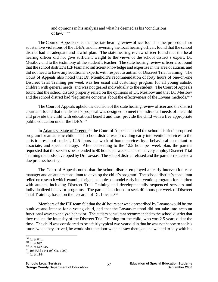and opinions in his analysis and what he deemed as his 'conclusions of law.'"208

The Court of Appeals noted that the state hearing review officer found neither procedural nor substantive violations of the IDEA, and in reversing the local hearing officer, found that the school district had an adequate and lawful plan. The state hearing review officer found that the local hearing officer did not give sufficient weight to the views of the school district's expert, Dr. Mesibov and to the testimony of the student's teacher. The state hearing review officer also found that the school district's IEP team had sufficient knowledge and expertise in the area of autism, and did not need to have any additional experts with respect to autism or Discreet Trial Training. The Court of Appeals also noted that Dr. Meinhold's recommendation of forty hours of one-on-one Discreet Trial Training per week was her usual and customary program for all young autistic children with general needs, and was not geared individually to the student. The Court of Appeals found that the school district properly relied on the opinions of Dr. Mesibov and that Dr. Mesibov and the school district had "legitimate concerns about the effectiveness of the Lovaas methods."209

The Court of Appeals upheld the decision of the state hearing review officer and the district court and found that the district's proposal was designed to meet the individual needs of the child and provide the child with educational benefit and thus, provide the child with a free appropriate public education under the IDEA.<sup>210</sup>

In Adams v. State of Oregon,<sup>211</sup> the Court of Appeals upheld the school district's proposed program for an autistic child. The school district was providing early intervention services to the autistic preschool student, 12.5 hours per week of home services by a behavioral consultant or associate, and speech therapy. After consenting to the 12.5 hour per week plan, the parents requested that the services be extended to 40 hours per week, and exclusively employ Discreet Trial Training methods developed by Dr. Lovaas. The school district refused and the parents requested a due process hearing.

The Court of Appeals noted that the school district employed an early intervention case manager and an autism consultant to develop the child's program. The school district's consultant relied on research which examined eight examples of model early intervention programs for children with autism, including Discreet Trial Training and developmentally sequenced services and individualized behavior programs. The parents continued to seek 40 hours per week of Discreet Trial Training, based on the research of Dr. Lovaas.<sup>212</sup>

Members of the IEP team felt that the 40 hours per week prescribed by Lovaas would be too punitive and intense for a young child, and that the Lovaas method did not take into account functional ways to analyze behavior. The autism consultant recommended to the school district that they reduce the intensity of the Discreet Trial Training for the child, who was 2.5 years old at the time. The child was considered to be a fairly typical two year old in that he was not happy to see his tutors when they arrived, he would shut the door when he saw them, and he wanted to stay with his

 $208$  Id. at 641.

<sup>&</sup>lt;sup>209</sup> Id. at 642.<br><sup>210</sup> Id. at 642-645.<br><sup>211</sup> 195 F.3d 1141 (9<sup>th</sup> Cir. 1999).<br><sup>212</sup> Id. at 1144.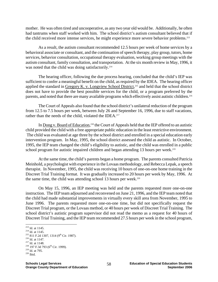mother. He was often tired and uncooperative, as any two year old would be. Additionally, he often had tantrums when staff worked with him. The school district's autism consultant believed that if the child received more intense services, he might experience more severe behavior problems.<sup>213</sup>

As a result, the autism consultant recommended 12.5 hours per week of home services by a behavioral associate or consultant, and the continuation of speech therapy, play group, tutors, home services, behavior consultation, occupational therapy evaluation, working group meetings with the autism consultant, family consultation, and transportation. At the six month review in May, 1996, it was noted that the child was doing satisfactorily.<sup>214</sup>

The hearing officer, following the due process hearing, concluded that the child's IEP was sufficient to confer a meaningful benefit on the child, as required by the IDEA. The hearing officer applied the standard in Gregory K. v. Longview School District,<sup>215</sup> and held that the school district does not have to provide the best possible services for the child, or a program preferred by the parents, and noted that there are many available programs which effectively assist autistic children.<sup>216</sup>

The Court of Appeals also found that the school district's unilateral reduction of the program from 12.5 to 7.5 hours per week, between July 26 and September 16, 1996, due to staff vacations, rather than the needs of the child, violated the IDEA.<sup>217</sup>

In Dong v. Board of Education,<sup>218</sup> the Court of Appeals held that the IEP offered to an autistic child provided the child with a free appropriate public education in the least restrictive environment. The child was evaluated at age three by the school district and enrolled in a special education early intervention program. In May, 1995, the school district assessed the child as autistic. In October, 1995, the IEP team changed the child's eligibility to autistic, and the child was enrolled in a public school program for autistic impaired children and began attending 13 hours per week.<sup>219</sup>

At the same time, the child's parents began a home program. The parents consulted Patricia Meinhold, a psychologist with experience in the Lovaas methodology, and Rebecca Lepak, a speech therapist. In November, 1995, the child was receiving 10 hours of one-on-one home training in the Discreet Trial Training format. It was gradually increased to 20 hours per week by May, 1996. At the same time, the child was attending school 13 hours per week. $220$ 

On May 15, 1996, an IEP meeting was held and the parents requested more one-on-one instruction. The IEP team adjourned and reconvened on June 21, 1996, and the IEP team noted that the child had made substantial improvements in virtually every skill area from November, 1995 to June 1996. The parents requested more one-on-one time, but did not specifically request the Discreet Trial program, or the Lovaas method, or 40 hours per week of Discreet Trial Training. The school district's autistic program supervisor did not read the memo as a request for 40 hours of Discreet Trial Training, and the IEP team recommended 27.5 hours per week in the school program,

<sup>&</sup>lt;sup>213</sup> Id. at 1145.<br><sup>214</sup> Id. at 1145.<br><sup>215</sup> 811 F.2d 1307, 1314 (9<sup>th</sup> Cir. 1987).<br><sup>216</sup> Id. at 1147.<br><sup>217</sup> Id. at 1148.<br><sup>218</sup> 197 F.3d 793 (6<sup>th</sup> Cir. 1999).<br><sup>219</sup> Id. at 795.<br><sup>220</sup> Ibid.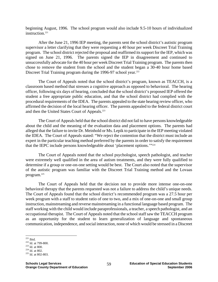beginning August, 1996. The school program would also include 9.5-10 hours of individualized instruction.<sup>221</sup>

After the June 21, 1996 IEP meeting, the parents sent the school district's autistic program supervisor a letter clarifying that they were requesting a 40 hour per week Discreet Trial Training program. The school district rejected the proposal and reaffirmed its support for the IEP, which was signed on June 21, 1996. The parents signed the IEP in disagreement and continued to unsuccessfully advocate for the 40 hour per week Discreet Trial Training program. The parents then chose to remove the student from the school and the student began a 30-40 hour home based Discreet Trial Training program during the 1996-97 school year.<sup>222</sup>

The Court of Appeals noted that the school district's program, known as TEACCH, is a classroom based method that stresses a cognitive approach as opposed to behavioral. The hearing officer, following six days of hearing, concluded that the school district's proposed IEP offered the student a free appropriate public education, and that the school district had complied with the procedural requirements of the IDEA. The parents appealed to the state hearing review officer, who affirmed the decision of the local hearing officer. The parents appealed to the federal district court and then the United States Court of Appeals.<sup>223</sup>

The Court of Appeals held that the school district did not fail to have persons knowledgeable about the child and the meaning of the evaluation data and placement options. The parents had alleged that the failure to invite Dr. Meinhold or Ms. Lepik to participate in the IEP meeting violated the IDEA. The Court of Appeals stated: "We reject the contention that the district must include an expert in the particular teaching method preferred by the parents in order to satisfy the requirement that the IEPC include persons knowledgeable about 'placement options."<sup>224</sup>

The Court of Appeals noted that the school psychologist, speech pathologist, and teacher were extremely well qualified in the area of autism treatments, and they were fully qualified to determine if a group or one-on-one setting would be best. The Court also noted that the supervisor of the autistic program was familiar with the Discreet Trial Training method and the Lovaas program.225

The Court of Appeals held that the decision not to provide more intense one-on-one behavioral therapy that the parents requested was not a failure to address the child's unique needs. The Court of Appeals found that the school district's recommended program was a 27.5 hour per week program with a staff to student ratio of one to two, and a mix of one-on-one and small group instruction, mainstreaming and reverse mainstreaming in a functional language based program. The staff working with the child would include paraprofessionals, a teacher, a speech pathologist, and an occupational therapist. The Court of Appeals noted that the school staff saw the TEACCH program as an opportunity for the student to learn generalization of language and spontaneous communication, independence, and social interaction, none of which would be stressed in a Discreet

 $221$  Ibid.

<sup>&</sup>lt;sup>222</sup> Id. at 799-800.<br><sup>223</sup> Id. at 800.<br><sup>224</sup> Id. at 802.<br><sup>225</sup> Id. at 802-803.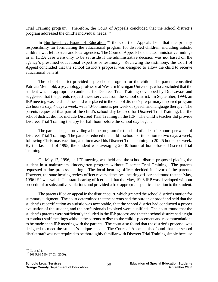Trial Training program. Therefore, the Court of Appeals concluded that the school district's program addressed the child's individual needs.226

In Burilovich v. Board of Education,<sup>227</sup> the Court of Appeals held that the primary responsibility for formulating the educational program for disabled children, including autistic children, was left to state and local agencies. The Court of Appeals held that administrative findings in an IDEA case were only to be set aside if the administrative decision was not based on the agency's presumed educational expertise or testimony. Reviewing the testimony, the Court of Appeal concluded that the school district's proposal was designed to allow the child to receive educational benefit.

 The school district provided a preschool program for the child. The parents consulted Patricia Meinhold, a psychology professor at Western Michigan University, who concluded that the student was an appropriate candidate for Discreet Trial Training developed by Dr. Lovaas and suggested that the parents request these services from the school district. In September, 1994, an IEP meeting was held and the child was placed in the school district's pre-primary impaired program 2.5 hours a day, 4 days a week, with 40-80 minutes per week of speech and language therapy. The parents requested that part of the child's school day be used for Discreet Trial Training, but the school district did not include Discreet Trial Training in the IEP. The child's teacher did provide Discreet Trial Training therapy for half hour before the school day began.

 The parents began providing a home program for the child of at least 20 hours per week of Discreet Trial Training. The parents reduced the child's school participation to two days a week, following Christmas vacation, and increased his Discreet Trial Training to 20-25 hours per week. By the last half of 1995, the student was averaging 25-30 hours of home-based Discreet Trial Training.

On May 17, 1996, an IEP meeting was held and the school district proposed placing the student in a mainstream kindergarten program without Discreet Trial Training. The parents requested a due process hearing. The local hearing officer decided in favor of the parents. However, the state hearing review officer reversed the local hearing officer and found that the May, 1996 IEP was valid. The state hearing officer held that the May, 1996 IEP was developed without procedural or substantive violations and provided a free appropriate public education to the student.

The parents filed an appeal in the district court, which granted the school district's motion for summary judgment. The court determined that the parents had the burden of proof and held that the student's recertification as autistic was acceptable, that the school district had conducted a proper evaluation of the student, and the professionals involved were qualified. The court found that the student's parents were sufficiently included in the IEP process and that the school district had a right to conduct staff meetings without the parents to discuss the child's placement and recommendations to be made at an IEP meeting with the parents. The court also found that the district's proposal was designed to meet the student's unique needs. The Court of Appeals also found that the school district staff was not required to be thoroughly familiar with Discreet Trial Training simply because

 $^\mathrm{226}$  Id. at 804.

 $227$  208 F.3d 560 (6<sup>th</sup> Cir. 2000).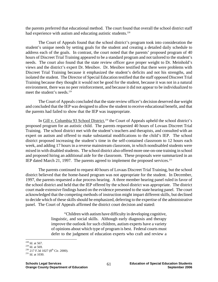the parents preferred that educational method. The court found that overall the school district staff had experience with autism and educating autistic students.<sup>228</sup>

The Court of Appeals found that the school district's program took into consideration the student's unique needs by setting goals for the student and creating a detailed daily schedule to address each of the goals. In contrast, the court noted that the parents' proposed program of 40 hours of Discreet Trial Training appeared to be a standard program and not tailored to the student's needs. The court also found that the state review officer gave proper weight to Dr. Meinhold's views and the district's expert Dr. Mesibov. Dr. Mesibov testified that there were problems with Discreet Trial Training because it emphasized the student's deficits and not his strengths, and isolated the student. The Director of Special Education testified that the staff opposed Discreet Trial Training because they thought it would not be good for the student, because it was not in a natural environment, there was no peer reinforcement, and because it did not appear to be individualized to meet the student's needs.<sup>229</sup>

The Court of Appeals concluded that the state review officer's decision deserved due weight and concluded that the IEP was designed to allow the student to receive educational benefit, and that the parents had failed to show that the IEP was inappropriate.

In Gill v. Columbia 93 School District,<sup>230</sup> the Court of Appeals upheld the school district's proposed program for an autistic child. The parents requested 40 hours of Lovaas Discreet Trial Training. The school district met with the student's teachers and therapists, and consulted with an expert on autism and offered to make substantial modifications to the child's IEP. The school district proposed increasing the student's time in the self-contained classroom to 12 hours each week, and adding 17 hours in a reverse mainstream classroom, in which nondisabled students were mixed in with disabled students. The school district also offered more one-on-one training in school and proposed hiring an additional aide for the classroom. These proposals were summarized in an IEP dated March 21, 1997. The parents agreed to implement the proposed services.<sup>231</sup>

The parents continued to request 40 hours of Lovaas Discreet Trial Training, but the school district believed that the home-based program was not appropriate for the student. In December, 1997, the parents requested a due process hearing. A three member hearing panel ruled in favor of the school district and held that the IEP offered by the school district was appropriate. The district court made extensive findings based on the evidence presented to the state hearing panel. The court acknowledged that the competing methods of instruction might impart different skills, but declined to decide which of these skills should be emphasized, deferring to the expertise of the administrative panel. The Court of Appeals affirmed the district court decision and stated:

> "Children with autism have difficulty in developing cognitive, linguistic, and social skills. Although early diagnosis and therapy improve the outlook for such children, autism experts have a variety of opinions about which type of program is best. Federal courts must defer to the judgment of education experts who craft and review a

 $228$  Id. at 567.

<sup>&</sup>lt;sup>229</sup> Id. at 569.<br><sup>230</sup> 217 F.3d 1027 (8<sup>th</sup> Cir. 2000).<br><sup>231</sup> Id. at 1030.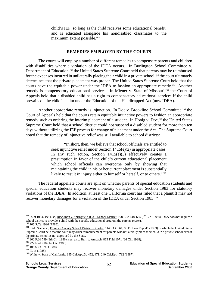child's IEP, so long as the child receives some educational benefit, and is educated alongside his nondisabled classmates to the maximum extent possible."<sup>232</sup>

#### **REMEDIES EMPLOYED BY THE COURTS**

The courts will employ a number of different remedies to compensate parents and children with disabilities where a violation of the IDEA occurs. In Burlington School Committee v. Department of Education,<sup>233</sup> the United States Supreme Court held that parents may be reimbursed for the expenses incurred in unilaterally placing their child in a private school, if the court ultimately determines that the private placement was proper. The United States Supreme Court held that the courts have the equitable power under the IDEA to fashion an appropriate remedy.<sup>234</sup> Another remedy is compensatory educational services. In Miener v. State of Missouri,<sup>235</sup> the Court of Appeals held that a disabled child has a right to compensatory educational services if the child prevails on the child's claim under the Education of the Handicapped Act (now IDEA).

Another appropriate remedy is injunction. In <u>Doe v. Brookline School Committee</u>,<sup>236</sup> the Court of Appeals held that the courts retain equitable injunctive powers to fashion an appropriate remedy such as ordering the interim placement of a student. In Honig v. Doe,<sup>237</sup> the United States Supreme Court held that a school district could not suspend a disabled student for more than ten days without utilizing the IEP process for change of placement under the Act. The Supreme Court noted that the remedy of injunctive relief was still available to school districts:

> "In short, then, we believe that school officials are entitled to seek injunctive relief under Section 1415(e)(2) in appropriate cases. In any such action, Section  $1415(e)(3)$  effectively creates a presumption in favor of the child's current educational placement which school officials can overcome only by showing that maintaining the child in his or her current placement is substantially likely to result in injury either to himself or herself, or to others."238

 The federal appellate courts are split on whether parents of special education students and special education students may recover monetary damages under Section 1983 for statutory violations of the IDEA. In addition, at least one California court has ruled that a plaintiff may not recover monetary damages for a violation of the IDEA under Section 1983.239

<sup>&</sup>lt;sup>232</sup> Id. at 1034, see, also, <u>Blackmon v. Springfield R-XII School District</u>, 198 F.3d 648, 655 (8<sup>th</sup> Cir. 1999) (IDEA does not require a school district to provide a child with the specific educational program the parents prefer).<br>
233 105 S.Ct. 1996 (1985).<br>
<sup>234</sup> Ibid. See, also, <u>Florence County School District v. Carter</u>, 114 S.Ct. 361, 86 Ed.Law Rep. 4

Supreme Court held that the court may order reimbursement for parents who unilaterally place their child in a private school even if the private school is not approved by the State.

<sup>&</sup>lt;sup>235</sup> 800 F.2d 749 (8th Cir. 1986); see, also, <u>Burr v. Ambach</u>, 863 F.2d 1071 (2d Cir. 1988).<br><sup>236</sup> 722 F.2d 910 (1st Cir. 1983).<br><sup>237</sup> 108 S.Ct. 592 (1988).<br><sup>238</sup> Id. at (1988).<br><sup>238</sup> White v. State of California, 195 Ca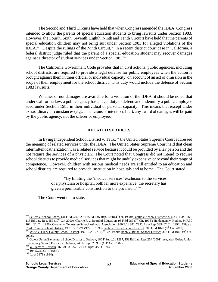The Second and Third Circuits have held that when Congress amended the IDEA, Congress intended to allow the parents of special education students to bring lawsuits under Section 1983. However, the Fourth, Sixth, Seventh, Eighth, Ninth and Tenth Circuits have held that the parents of special education children may not bring suit under Section 1983 for alleged violations of the IDEA.<sup>240</sup> Despite the rulings of the Ninth Circuit,<sup>241</sup> in a recent district court case in California, a federal district judge ruled that the parent of a special education student may recover damages against a director of student services under Section 1983.<sup>242</sup>

 The California Government Code provides that in civil actions, public agencies, including school districts, are required to provide a legal defense for public employees when the action is brought against them in their official or individual capacity on account of an act of omission in the scope of their employment for the school district. This duty would include the defense of Section 1983 lawsuits. $243$ 

 Whether or not damages are available for a violation of the IDEA, it should be noted that under California law, a public agency has a legal duty to defend and indemnify a public employee sued under Section 1983 in their individual or personal capacity. This means that except under extraordinary circumstances (e.g., a malicious or intentional act), any award of damages will be paid by the public agency, not the officer or employee.

#### **RELATED SERVICES**

In Irving Independent School District v. Tatro,<sup>244</sup> the United States Supreme Court addressed the meaning of related services under the IDEA. The United States Supreme Court held that clean intermittent catherization was a related service because it could be provided by a lay person and did not require the services of a physician. The Court noted that Congress did not intend to require school districts to provide medical services that might be unduly expensive or beyond their range of competence. However, children with serious medical needs are still entitled to an education and school districts are required to provide instruction in hospitals and at home. The Court stated:

> "By limiting the 'medical services' exclusion to the services of a physician or hospital, both far more expensive, the secretary has given a permissible construction to the provision."245

The Court went on to state:

 $^{240}$  Sellers v. School Board, 141 F.3d 524, 529, 125 Ed.Law Rep. 1078 (4<sup>th</sup> Cir. 1998); <u>Padilla v. School District No. 1,</u> 233 F.3d 1268, 113 Ed.Law Rep. 559 ( $10^{th}$  Cir. 2000); Charlie F. v. Board of Education, 98 F.3d 989 ( $7^{th}$  Cir. 1996); Heidemann v. Rother, 84 F.3d 1021 (8<sup>th</sup> Cir. 1996); Crocker v. Tennessee School Athletic Association, 980 F.2d 382, 79 Ed.Law Rep. 389 (6<sup>th</sup> Cir. 1992); Witte v. Clark County School District, 197 F.3d 1271 (9<sup>th</sup> Cir. 1999); Robb v. Bethel School District, 308 F.3d 1047 (9<sup>th</sup> Cir. 2002).<br><sup>241</sup> Witte v. Clark County School District, 197 F.3d 1271 (9<sup>th</sup> Cir. 1999); Robb v. Bethel

<sup>2002).</sup> 

<sup>&</sup>lt;sup>242</sup> Goleta Union Elementary School District v. Ordway, 166 F.Supp.2d 1287, 158 Ed.Law Rep. 254 (2001); see, also, <u>Goleta Union</u> Elementary School District v. Ordway, 248 F.Supp.2d 936 (C.D.Cal. 2002).<br><sup>243</sup> Williams v. Horvath, 16 Cal.3d 834, 129 Cal.Rptr. 453 (1976).<br><sup>245</sup> Id. at 3378 (1984).<br><sup>245</sup> Id. at 3378 (1984).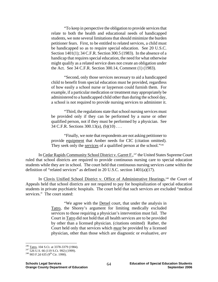"To keep in perspective the obligation to provide services that relate to both the health and educational needs of handicapped students, we note several limitations that should minimize the burden petitioner fears. First, to be entitled to related services, a child must be handicapped so as to require special education. See 20 U.S.C. Section 1401(1); 34 C.F.R. Section 300.5 (1983). In the absence of a handicap that requires special education, the need for what otherwise might qualify as a related service does not create an obligation under the Act. See 34 C.F.R. Section 300.14, Comment (1) (1983).

"Second, only those services necessary to aid a handicapped child to benefit from special education must be provided, regardless of how easily a school nurse or layperson could furnish them. For example, if a particular medication or treatment may appropriately be administered to a handicapped child other than during the school day, a school is not required to provide nursing services to administer it.

"Third, the regulations state that school nursing services must be provided only if they can be performed by a nurse or other qualified person, not if they must be performed by a physician. See 34 C.F.R. Sections 300.13(a), (b)(10) . . .

"Finally, we note that respondents are not asking petitioner to provide equipment that Amber needs for CIC (citation omitted). They seek only the services of a qualified person at the school."<sup>246</sup>

In Cedar Rapids Community School District v. Garret F.,<sup>247</sup> the United States Supreme Court ruled that school districts are required to provide continuous nursing care to special education students while they are in school. The court held that continuous nursing services came within the definition of "related services" as defined in 20 U.S.C. section 1401(a)(17).

In Clovis Unified School District v. Office of Administrative Hearings,<sup>248</sup> the Court of Appeals held that school districts are not required to pay for hospitalization of special education students in private psychiatric hospitals. The court held that such services are excluded "medical services." The court stated:

> "We agree with the Detsel court, that under the analysis in Tatro, the Shorey's argument for limiting medically excluded services to those requiring a physician's intervention must fail. The Court in Tatro did not hold that all health services are to be provided by other than a licensed physician. (citations omitted) Rather, the Court held only that services which *must* be provided by a licensed physician, other than those which are diagnostic or evaluative, *are*

<sup>&</sup>lt;sup>246</sup> Tatro, 104 S.Ct. at 3378-3379 (1984).<br><sup>247</sup> 526 U.S. 66 (119 S.Ct. 992) (1999).<br><sup>248</sup> 903 F.2d 635 (9<sup>th</sup> Cir. 1990).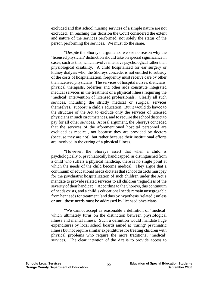excluded and that school nursing services of a simple nature are not excluded. In reaching this decision the Court considered the extent and nature of the services performed, not solely the status of the person performing the services. We must do the same.

"Despite the Shoreys' arguments, we see no reason why the 'licensed physician' distinction should take on special significance in cases, such as this, which involve intensive psychological rather than physiological disability. A child hospitalized for ear surgery or kidney dialysis who, the Shoreys concede, is not entitled to subsidy of the costs of hospitalization, frequently must receive care by other than licensed physicians. The services of hospital nurses, dieticians, physical therapists, orderlies and other aids constitute integrated medical services in the treatment of a physical illness requiring the 'medical' intervention of licensed professionals. Clearly all such services, including the strictly medical or surgical services themselves, 'support' a child's education. But it would do havoc to the structure of the Act to exclude only the services of licensed physicians in such circumstances, and to require the school district to pay for all other services. At oral argument, the Shoreys conceded that the services of the aforementioned hospital personnel are excluded as medical, not because they are provided by doctors (because they are not), but rather because their institutional efforts are involved in the curing of a physical illness.

"However, the Shoreys assert that when a child is psychologically or psychiatrically handicapped, as distinguished from a child who suffers a physical handicap, there is no single point at which the needs of the child become medical. They argue that a continuum of educational needs dictates that school districts must pay for the psychiatric hospitalization of such children under the Act's mandate to provide related services to all children 'regardless of the severity of their handicap.' According to the Shoreys, this continuum of needs exists, and a child's educational needs remain unsegregable from her needs for treatment (and thus by hypothesis 'related') unless or until those needs must be addressed by licensed physicians.

"We cannot accept as reasonable a definition of 'medical' which ultimately turns on the distinction between physiological illness and mental illness. Such a definition would mandate huge expenditures by local school boards aimed at 'curing' psychiatric illness but not require similar expenditures for treating children with physical problems who require the more traditional 'medical' services. The clear intention of the Act is to provide access to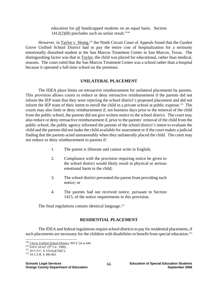education for *all* handicapped students on an equal basis. Section  $1412(2)(B)$  precludes such an unfair result."<sup>249</sup>

However, in Taylor v. Honig,<sup>250</sup> the Ninth Circuit Court of Appeals found that the Garden Grove Unified School District had to pay the entire cost of hospitalization for a seriously emotionally disturbed student at the San Marcos Treatment Center in San Marcos, Texas. The distinguishing factor was that in Taylor, the child was placed for educational, rather than medical, reasons. The court ruled that the San Marcos Treatment Center was a school rather than a hospital because it operated a full-time school on the premises.

### **UNILATERAL PLACEMENT**

The IDEA place limits on retroactive reimbursement for unilateral placements by parents. This provision allows courts to reduce or deny retroactive reimbursement if the parents did not inform the IEP team that they were rejecting the school district's proposed placement and did not inform the IEP team of their intent to enroll the child in a private school at public expense.<sup>251</sup> The courts may also limit or deny reimbursement if, ten business days prior to the removal of the child from the public school, the parents did not give written notice to the school district. The court may also reduce or deny retroactive reimbursement if, prior to the parents' removal of the child from the public school, the public agency informed the parents of the school district's intent to evaluate the child and the parents did not make the child available for assessment or if the court makes a judicial finding that the parents acted unreasonably when they unilaterally placed the child. The court may not reduce or deny reimbursement to parents if:

- 1. The parent is illiterate and cannot write in English;
- 2. Compliance with the provision requiring notice be given to the school district would likely result in physical or serious emotional harm to the child;
- 3. The school district prevented the parent from providing such notice; or
- 4. The parents had not received notice, pursuant to Section 1415, of the notice requirements in this provision.

The final regulations contain identical language.<sup> $252$ </sup>

## **RESIDENTIAL PLACEMENT**

The IDEA and federal regulations require school districts to pay for residential placements, if such placements are necessary for the children with disabilities to benefit from special education.<sup>253</sup>

1

<sup>&</sup>lt;sup>249</sup> Clovis Unified School District, 903 F.2d at 644.<br><sup>250</sup> 910 F.2d 627 (9<sup>th</sup> Cir. 1990).<br><sup>251</sup> 20 U.S.C. § 1412(a)(10)(C).<br><sup>252</sup> 34 C.F.R. § 300.403.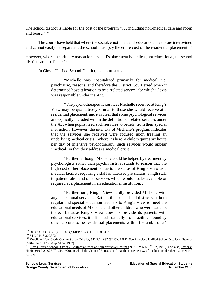The school district is liable for the cost of the program ". . . including non-medical care and room and board."254

The courts have held that where the social, emotional, and educational needs are intertwined and cannot easily be separated, the school must pay the entire cost of the residential placement.<sup>255</sup>

However, where the primary reason for the child's placement is medical, not educational, the school districts are not liable.<sup>256</sup>

In Clovis Unified School District, the court stated:

"Michelle was hospitalized primarily for medical, i.e. psychiatric, reasons, and therefore the District Court erred when it determined hospitalization to be a 'related service' for which Clovis was responsible under the Act.

"The psychotherapeutic services Michelle received at King's View may be qualitatively similar to those she would receive at a residential placement, and it is clear that some psychological services are explicitly included within the definition of related services under the Act when pupils need such services to benefit from their special instruction. However, the intensity of Michelle's program indicates that the services she received were focused upon treating an underlying medical crisis. Where, as here, a child requires six hours per day of intensive psychotherapy, such services would appear 'medical' in that they address a medical crisis.

"Further, although Michelle could be helped by treatment by psychologists rather than psychiatrists, it stands to reason that the high cost of her placement is due to the status of King's View as a medical facility, requiring a staff of licensed physicians, a high staff to patient ratio, and other services which would not be available or required at a placement in an educational institution. . . .

"Furthermore, King's View hardly provided Michelle with any educational services. Rather, the local school district sent both regular and special education teachers to King's View to meet the educational needs of Michelle and other children who were patients there. Because King's View does not provide its patients with educational services, it differs substantially from facilities found by other circuits to be residential placements within the ambit of 34

<sup>&</sup>lt;sup>253</sup> 20 U.S.C. §§ 1412(2)(B); 1413(a)(4)(B); 34 C.F.R. § 300.302.<br><sup>254</sup> 34 C.F.R. § 300.302.<br><sup>255</sup> Kruelle v. New Castle County School District, 642 F.2d 687 (3<sup>rd</sup> Cir. 1981); <u>San Francisco Unified School District v. S</u> California, 131 Cal.App.3d 54 (1982).<br><sup>256</sup> Clovis Unified School District v. California Office of Administrative Hearings, 903 F.2d 635 (9<sup>th</sup> Cir., 1990). See, also, Taylor v.

Honig, 910 F.2d 627 (9<sup>th</sup> Cir. 1990), in which the Court of Appeals held that the placement was for educational rather than medical reasons.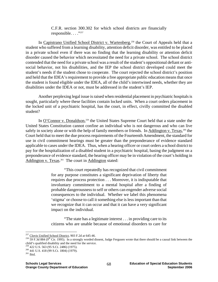C.F.R. section 300.302 for which school districts are financially responsible. . . ."257

In Capistrano Unified School District v. Wartenberg,<sup>258</sup> the Court of Appeals held that a student who suffered from a learning disability, attention deficit disorder, was entitled to be placed in a private school even if there was no finding that the learning disability or attention deficit disorder caused the behavior which necessitated the need for a private school. The school district contended that the need for a private school was a result of the student's oppositional defiant or antisocial behavior, not his disabilities, and the IEP the school district developed could meet the student's needs if the student chose to cooperate. The court rejected the school district's position and held that the IDEA's requirement to provide a free appropriate public education means that once the student is found eligible under the IDEA, all of the child's intertwined needs, whether they are disabilities under the IDEA or not, must be addressed in the student's IEP.

Another perplexing legal issue is raised when residential placement in psychiatric hospitals is sought, particularly where these facilities contain locked units. When a court orders placement in the locked unit of a psychiatric hospital, has the court, in effect, civilly committed the disabled student?

In O'Connor v. Donaldson,<sup>259</sup> the United States Supreme Court held that a state under the United States Constitution cannot confine an individual who is not dangerous and who can live safely in society alone or with the help of family members or friends. In Addington v. Texas,<sup>260</sup> the Court held that to meet the due process requirements of the Fourteenth Amendment, the standard for use in civil commitment hearings must be greater than the preponderance of evidence standard applicable to cases under the IDEA. Thus, when a hearing officer or court orders a school district to pay for the hospitalization of a disabled student in a psychiatric hospital, basing the judgment on a preponderance of evidence standard, the hearing officer may be in violation of the court's holding in Addington v. Texas.<sup>261</sup> The court in Addington stated:

> "This court repeatedly has recognized that civil commitment for any purpose constitutes a significant deprivation of liberty that requires due process protection . . . Moreover, it is indisputable that involuntary commitment to a mental hospital after a finding of probable dangerousness to self or others can engender adverse social consequences to the individual. Whether we label this phenomena 'stigma' or choose to call it something else is less important than that we recognize that it can occur and that it can have a very significant impact on the individual.

> "The state has a legitimate interest . . . in providing care to its citizens who are unable because of emotional disorders to care for

<sup>&</sup>lt;sup>257</sup> Clovis Unified School District, 903 F.2d at 645-46.

<sup>&</sup>lt;sup>258</sup> 59 F.3d 884 (9<sup>th</sup> Cir. 1995). In a strongly worded dissent, Judge Fergusen wrote that there should be a causal link between the child's qualified disability and the need for the service.<br><sup>259</sup> 422 U.S. 563 (95 S.Ct. 2486) (1975).

<sup>&</sup>lt;sup>260</sup> 441 U.S. 418 (99 S.Ct. 1804) (1979).<br><sup>261</sup> Ibid.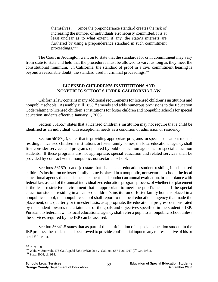themselves . . . Since the preponderance standard creates the risk of increasing the number of individuals erroneously committed, it is at least unclear as to what extent, if any, the state's interests are furthered by using a preponderance standard in such commitment proceedings."262

The Court in Addington went on to state that the standards for civil commitment may vary from state to state and held that the procedures must be allowed to vary, as long as they meet the constitutional minimum. In California, the standard of proof in a civil commitment hearing is beyond a reasonable doubt, the standard used in criminal proceedings.<sup>263</sup>

### **LICENSED CHILDREN'S INSTITUTIONS AND NONPUBLIC SCHOOLS UNDER CALIFORNIA LAW**

 California law contains many additional requirements for licensed children's institutions and nonpublic schools. Assembly Bill 1858<sup>264</sup> amends and adds numerous provisions to the Education Code relating to licensed children's institutions for foster children and nonpublic schools for special education students effective January 1, 2005.

 Section 56155.7 states that a licensed children's institution may not require that a child be identified as an individual with exceptional needs as a condition of admission or residency.

 Section 56157(a), states that in providing appropriate programs for special education students residing in licensed children's institutions or foster family homes, the local educational agency shall first consider services and programs operated by public education agencies for special education students. If these programs are not appropriate, special education and related services shall be provided by contract with a nonpublic, nonsectarian school.

 Sections 56157(c) and (d) state that if a special education student residing in a licensed children's institution or foster family home is placed in a nonpublic, nonsectarian school, the local educational agency that made the placement shall conduct an annual evaluation, in accordance with federal law as part of the annual individualized education program process, of whether the placement is the least restrictive environment that is appropriate to meet the pupil's needs. If the special education student residing in a licensed children's institution or foster family home is placed in a nonpublic school, the nonpublic school shall report to the local educational agency that made the placement, on a quarterly or trimester basis, as appropriate, the educational progress demonstrated by the student towards the attainment of the goals and objectives specified in the student's IEP. Pursuant to federal law, no local educational agency shall refer a pupil to a nonpublic school unless the services required by the IEP can be assured.

 Section 56341.5 states that as part of the participation of a special education student in the IEP process, the student shall be allowed to provide confidential input to any representative of his or her IEP team.

 $262$  Id. at 1809.

<sup>&</sup>lt;sup>263</sup> Waltz v. Zumwalt, 176 Cal.App.3d 835 (1985); <u>Doe v. Gallinot</u>, 657 F.2d 1017 (9<sup>th</sup> Cir. 1981). <sup>264</sup> Stats. 2004, ch. 914.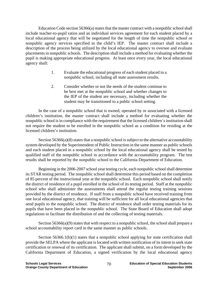Education Code section 56366(a) states that the master contract with a nonpublic school shall include teacher-to-pupil ratios and an individual services agreement for each student placed by a local educational agency that will be negotiated for the length of time the nonpublic school or nonpublic agency services specified in the child's IEP. The master contract shall include a description of the process being utilized by the local educational agency to oversee and evaluate placements in nonpublic schools. The description shall include a method for evaluating whether the pupil is making appropriate educational progress. At least once every year, the local educational agency shall:

- 1. Evaluate the educational progress of each student placed in a nonpublic school, including all state assessment results.
- 2. Consider whether or not the needs of the student continue to be best met at the nonpublic school and whether changes to the IEP of the student are necessary, including whether the student may be transitioned to a public school setting.

 In the case of a nonpublic school that is owned, operated by or associated with a licensed children's institution, the master contract shall include a method for evaluating whether the nonpublic school is in compliance with the requirement that the licensed children's institution shall not require the student to be enrolled in the nonpublic school as a condition for residing at the licensed children's institution.

Section 56366(a)(8) states that a nonpublic school is subject to the alternative accountability system developed by the Superintendent of Public Instruction in the same manner as public schools and each student placed in a nonpublic school by the local educational agency shall be tested by qualified staff of the nonpublic school in accordance with the accountability program. The test results shall be reported by the nonpublic school to the California Department of Education.

 Beginning in the 2006-2007 school year testing cycle, each nonpublic school shall determine its STAR testing period. The nonpublic school shall determine this period based on the completion of 85 percent of the instructional year at the nonpublic school. Each nonpublic school shall notify the district of residence of a pupil enrolled in the school of its testing period. Staff at the nonpublic school who shall administer the assessments shall attend the regular testing training sessions provided by the district of residence. If staff from a nonpublic school have received training from one local educational agency, that training will be sufficient for all local educational agencies that send pupils to the nonpublic school. The district of residence shall order testing materials for its pupils that have been placed in the nonpublic school. The State Board of Education shall adopt regulations to facilitate the distribution of and the collecting of testing materials.

Section 56366(a)(9) states that with respect to a nonpublic school, the school shall prepare a school accountability report card in the same manner as public schools.

Section  $56366.1(b)(1)$  states that a nonpublic school applying for state certification shall provide the SELPA where the applicant is located with written notification of its intent to seek state certification or renewal of its certification. The applicant shall submit, on a form developed by the California Department of Education, a signed verification by the local educational agency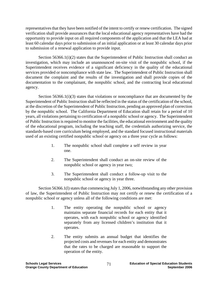representatives that they have been notified of the intent to certify or renew certification. The signed verification shall provide assurances that the local educational agency representatives have had the opportunity to provide input on all required components of the application and that the LEA had at least 60 calendar days prior to submission of an initial application or at least 30 calendar days prior to submission of a renewal application to provide input.

 Section 56366.1(i)(2) states that the Superintendent of Public Instruction shall conduct an investigation, which may include an unannounced on-site visit of the nonpublic school, if the Superintendent receives evidence of a significant deficiency in the quality of the educational services provided or noncompliance with state law. The Superintendent of Public Instruction shall document the complaint and the results of the investigation and shall provide copies of the documentation to the complainant, the nonpublic school, and the contracting local educational agency.

 Section 56366.1(i)(3) states that violations or noncompliance that are documented by the Superintendent of Public Instruction shall be reflected in the status of the certification of the school, at the discretion of the Superintendent of Public Instruction, pending an approved plan of correction by the nonpublic school. The California Department of Education shall retain for a period of 10 years, all violations pertaining to certification of a nonpublic school or agency. The Superintendent of Public Instruction is required to monitor the facilities, the educational environment and the quality of the educational program, including the teaching staff, the credentials authorizing service, the standards-based core curriculum being employed, and the standard focused instructional materials used of an existing certified nonpublic school or agency on a three year cycle as follows:

- 1. The nonpublic school shall complete a self review in year one.
- 2. The Superintendent shall conduct an on-site review of the nonpublic school or agency in year two;
- 3. The Superintendent shall conduct a follow-up visit to the nonpublic school or agency in year three.

 Section 56366.1(l) states that commencing July 1, 2006, notwithstanding any other provision of law, the Superintendent of Public Instruction may not certify or renew the certification of a nonpublic school or agency unless all of the following conditions are met:

- 1. The entity operating the nonpublic school or agency maintains separate financial records for each entity that it operates, with each nonpublic school or agency identified separately from any licensed children's institution that it operates.
- 2. The entity submits an annual budget that identifies the projected costs and revenues for each entity and demonstrates that the rates to be charged are reasonable to support the operation of the entity.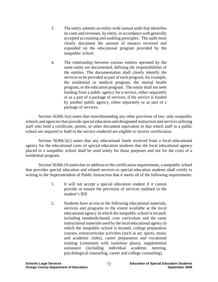- 3. The entity submits an entity-wide annual audit that identifies its costs and revenues, by entity, in accordance with generally accepted accounting and auditing principles. The audit must clearly document the amount of moneys received and expended on the educational program provided by the nonpublic school.
- 4. The relationship between various entities operated by the same entity are documented, defining the responsibilities of the entities. The documentation shall clearly identify the services to be provided as part of each program, for example, the residential or medical program, the mental health program, or the education program. The entity shall not seek funding from a public agency for a service, either separately or as a part of a package of services, if the service is funded by another public agency, either separately or as part of a package of services.

 Section 56366.1(n) states that notwithstanding any other provision of law, only nonpublic schools and agencies that provide special education and designated instruction and services utilizing staff who hold a certificate, permit, or other document equivalent to that which staff in a public school are required to hold in the service rendered are eligible to receive certification.

Section 56366.5(c) states that any educational funds received from a local educational agency for the educational costs of special education students that the local educational agency placed in a nonpublic school shall be used solely for those purposes and not for the costs of a residential program.

 Section 56366.10 states that in addition to the certification requirements, a nonpublic school that provides special education and related services to special education students shall certify in writing to the Superintendent of Public Instruction that it meets all of the following requirements:

- 1. It will not accept a special education student if it cannot provide or ensure the provision of services outlined in the student's IEP.
- 2. Students have access to the following educational materials, services and programs to the extent available at the local educational agency in which the nonpublic school is located, including standards-based, core curriculum and the same instructional materials used by the local educational agency in which the nonpublic school is located, college preparation courses, extracurricular activities (such as art, sports, music and academic clubs), career preparation and vocational training (consistent with transition plans), supplemental assistance (including individual academic tutoring, psychological counseling, career and college counseling).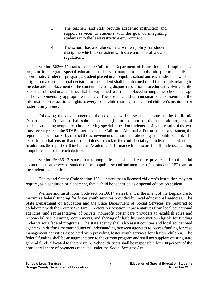- 3. The teachers and staff provide academic instruction and support services to students with the goal of integrating students into the least restrictive environment.
- 4. The school has and abides by a written policy for student discipline which is consistent with state and federal law and regulations.

 Section 56366.11 states that the California Department of Education shall implement a program to integrate special education students in nonpublic schools into public schools, as appropriate. Under the program, a student placed in a nonpublic school and each individual who has a right to make educational decision for the student shall be informed of all their rights relating to the educational placement of the student. Existing dispute resolution procedures involving public school enrollment or attendance shall be explained to a student placed in nonpublic school in an age and developmentally-appropriate manner. The Foster Child Ombudsman shall disseminate the information on educational rights to every foster child residing in a licensed children's institution or foster family home.

 Following the development of the next statewide assessment contract, the California Department of Education shall submit to the Legislature a report on the academic progress of students attending nonpublic schools serving special education students. Using the results of the two most recent years of the STAR program and the California Alternative Performance Assessment, the report shall summarize by district the achievement of all students attending a nonpublic school. The Department shall ensure that the report does not violate the confidentiality of individual pupil scores. In addition, the report shall include an Academic Performance Index score for all students attending nonpublic school for each district.

 Section 56366.12 states that a nonpublic school shall ensure private and confidential communication between a student of the nonpublic school and members of the student's IEP team, at the student's discretion.

 Health and Safety Code section 1501.1 states that a licensed children's institution may not require, as a condition of placement, that a child be identified as a special education student.

 Welfare and Institutions Code section 16014 states that it is the intent of the Legislature to maximize federal funding for foster youth services provided by local educational agencies. The State Department of Education and the State Department of Social Services are required to collaborate with the County Welfare Directors Association, representatives from local educational agencies, and representatives of private, nonprofit foster care providers to establish roles and responsibilities, claiming requirements, and sharing of eligibility information eligible for funding under various federal programs. The state agency shall also assist counties and local educational agencies in drafting memorandums of understanding between agencies to access funding for case management activities associated with providing foster youth services for eligible children. The federal funding shall be an augmentation to the current program and shall not supplant existing state general funds allocated to the program. School districts shall be responsible for 100 percent of the nonfederal share of payments received under the Social Security Act.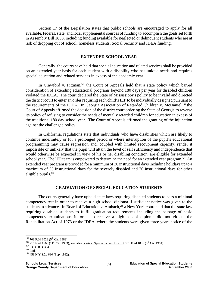Section 17 of the Legislation states that public schools are encouraged to apply for all available, federal, state, and local supplemental sources of funding to accomplish the goals set forth in Assembly Bill 1858, including funding available for neglected or delinquent students who are at risk of dropping out of school, homeless students, Social Security and IDEA funding.

### **EXTENDED SCHOOL YEAR**

Generally, the courts have held that special education and related services shall be provided on an extended year basis for each student with a disability who has unique needs and requires special education and related services in excess of the academic year.

In Crawford v. Pittman,<sup>265</sup> the Court of Appeals held that a state policy which barred consideration of extending educational programs beyond 180 days per year for disabled children violated the IDEA. The court declared the State of Mississippi's policy to be invalid and directed the district court to enter an order requiring each child's IEP to be individually designed pursuant to the requirements of the IDEA. In Georgia Association of Retarded Children v. McDaniel,<sup>266</sup> the Court of Appeals affirmed the decision of the district court ordering the State of Georgia to reverse its policy of refusing to consider the needs of mentally retarded children for education in excess of the traditional 180 day school year. The Court of Appeals affirmed the granting of the injunction against the challenged policy.

In California, regulations state that individuals who have disabilities which are likely to continue indefinitely or for a prolonged period or where interruption of the pupil's educational programming may cause regression and, coupled with limited recoupment capacity, render it impossible or unlikely that the pupil will attain the level of self sufficiency and independence that would otherwise be expected in view of his or her disabling condition, are eligible for extended school year. The IEP team is empowered to determine the need for an extended year program.<sup>267</sup> An extended year program is provided for a minimum of 20 instructional days including holidays up to a maximum of 55 instructional days for the severely disabled and 30 instructional days for other eligible pupils.268

#### **GRADUATION OF SPECIAL EDUCATION STUDENTS**

The courts generally have upheld state laws requiring disabled students to pass a minimal competency test in order to receive a high school diploma if sufficient notice was given to the students in advance. In Board of Education v. Ambach,<sup>269</sup> a New York court held that the state law requiring disabled students to fulfill graduation requirements including the passage of basic competency examinations in order to receive a high school diploma did not violate the Rehabilitation Act of 1973 or the IDEA, where the students were given three years notice of the

 $^{265}$  708 F.2d 1028 (5<sup>th</sup> Cir. 1983).

<sup>&</sup>lt;sup>266</sup> 716 F.2d 1565 (11<sup>th</sup> Cir. 1983); see, also, <u>Yaris v. Special School District</u>, 728 F.2d 1055 (8<sup>th</sup> Cir. 1984).<br><sup>267</sup> 5 C.C.R. § 3043.<br><sup>268</sup> Ibid. <sup>268</sup> 458 N.Y.S.2d 680 (Sup. 1982).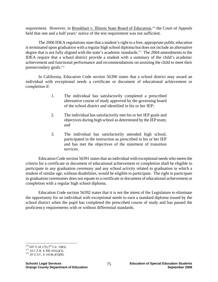requirement. However, in **Brookhart v. Illinois State Board of Education**,<sup>270</sup> the Court of Appeals held that one and a half years' notice of the test requirement was not sufficient.

The 2006 IDEA regulations state that a student's right to a free, appropriate public education is terminated upon graduation with a regular high school diploma but does not include an alternative degree that is not fully aligned with the state's academic standards.<sup>271</sup> The 2004 amendments to the IDEA require that a school district provide a student with a summary of the child's academic achievement and functional performance and recommendations on assisting the child to meet their postsecondary goals.272

In California, Education Code section 56390 states that a school district may award an individual with exceptional needs a certificate or document of educational achievement or completion if:

- 1. The individual has satisfactorily completed a prescribed alternative course of study approved by the governing board of the school district and identified in his or her IEP;
- 2. The individual has satisfactorily met his or her IEP goals and objectives during high school as determined by the IEP team; and
- 3. The individual has satisfactorily attended high school, participated in the instruction as prescribed in his or her IEP and has met the objectives of the statement of transition services.

Education Code section 56391 states that an individual with exceptional needs who meets the criteria for a certificate or document of educational achievement or completion shall be eligible to participate in any graduation ceremony and any school activity related to graduation in which a student of similar age, without disabilities, would be eligible to participate. The right to participate in graduation ceremonies does not equate to a certificate or document of educational achievement or completion with a regular high school diploma.

Education Code section 56392 states that it is not the intent of the Legislature to eliminate the opportunity for an individual with exceptional needs to earn a standard diploma issued by the school district when the pupil has completed the prescribed course of study and has passed the proficiency requirements with or without differential standards.

<sup>&</sup>lt;sup>270</sup> 697 F.2d 179 (7<sup>th</sup> Cir. 1983).

<sup>&</sup>lt;sup>271</sup> 34 C.F.R. § 300.101(a)(3). <sup>272</sup> 20 U.S.C. § 1414(c)(5)(B).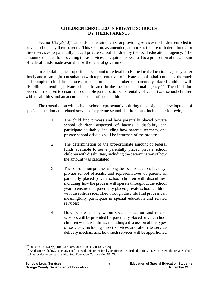# **CHILDREN ENROLLED IN PRIVATE SCHOOLS BY THEIR PARENTS**

Section  $612(a)(10)^{273}$  amends the requirements for providing services to children enrolled in private schools by their parents. This section, as amended, authorizes the use of federal funds for direct services to parentally placed private school children by the local educational agency. The amount expended for providing these services is required to be equal to a proportion of the amount of federal funds made available by the federal government.

 In calculating the proportionate amount of federal funds, the local educational agency, after timely and meaningful consultation with representatives of private schools, shall conduct a thorough and complete child find process to determine the number of parentally placed children with disabilities attending private schools located in the local educational agency.<sup>274</sup> The child find process is required to ensure the equitable participation of parentally placed private school children with disabilities and an accurate account of such children.

 The consultation with private school representatives during the design and development of special education and related services for private school children must include the following:

- 1. The child find process and how parentally placed private school children suspected of having a disability can participate equitably, including how parents, teachers, and private school officials will be informed of the process;
- 2. The determination of the proportionate amount of federal funds available to serve parentally placed private school children with disabilities, including the determination of how the amount was calculated;
- 3. The consultation process among the local educational agency, private school officials, and representatives of parents of parentally placed private school children with disabilities, including how the process will operate throughout the school year to ensure that parentally placed private school children with disabilities identified through the child find process can meaningfully participate in special education and related services;
- 4. How, where, and by whom special education and related services will be provided for parentally placed private school children with disabilities, including a discussion of the types of services, including direct services and alternate service delivery mechanisms, how such services will be apportioned

<sup>&</sup>lt;sup>273</sup> 20 U.S.C. § 1412(a)(10). See, also, 34 C.F.R. § 300.130 et seq.

 $274$  As discussed below, state law conflicts with this provision by requiring the local educational agency where the private school student resides to be responsible. See, Education Code section 56171.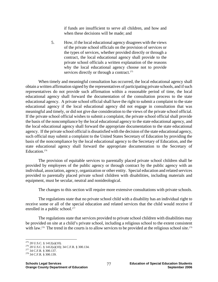if funds are insufficient to serve all children, and how and when these decisions will be made; and

5. How, if the local educational agency disagrees with the views of the private school officials on the provision of services or the types of services, whether provided directly or through a contract, the local educational agency shall provide to the private school officials a written explanation of the reasons why the local educational agency choose not to provide services directly or through a contract.<sup>275</sup>

When timely and meaningful consultation has occurred, the local educational agency shall obtain a written affirmation signed by the representatives of participating private schools, and if such representatives do not provide such affirmation within a reasonable period of time, the local educational agency shall forward the documentation of the consultation process to the state educational agency. A private school official shall have the right to submit a complaint to the state educational agency if the local educational agency did not engage in consultation that was meaningful and timely, or did not give due consideration to the views of the private school official. If the private school official wishes to submit a complaint, the private school official shall provide the basis of the noncompliance by the local educational agency to the state educational agency, and the local educational agency shall forward the appropriate documentation to the state educational agency. If the private school official is dissatisfied with the decision of the state educational agency, such official may submit a complaint to the United States Secretary of Education by providing the basis of the noncompliance by the local educational agency to the Secretary of Education, and the state educational agency shall forward the appropriate documentation to the Secretary of Education.<sup>276</sup>

 The provision of equitable services to parentally placed private school children shall be provided by employees of the public agency or through contract by the public agency with an individual, association, agency, organization or other entity. Special education and related services provided to parentally placed private school children with disabilities, including materials and equipment, must be secular, neutral and nonideological.

The changes to this section will require more extensive consultations with private schools.

The regulations state that no private school child with a disability has an individual right to receive some or all of the special education and related services that the child would receive if enrolled in a public school.<sup>277</sup>

The regulations state that services provided to private school children with disabilities may be provided on site at a child's private school, including a religious school to the extent consistent with law.<sup>278</sup> The trend in the courts is to allow services to be provided at the religious school site.<sup>279</sup>

 $275$  20 U.S.C. § 1412(a)(10).

<sup>&</sup>lt;sup>276</sup> 20 U.S.C. § 1412(a)(10); 34 C.F.R. § 300.134.<br><sup>277</sup> 34 C.F.R. § 300.137.<br><sup>278</sup> 34 C.F.R. § 300.139.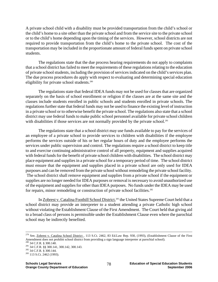A private school child with a disability must be provided transportation from the child's school or the child's home to a site other than the private school and from the service site to the private school or to the child's home depending upon the timing of the services. However, school districts are not required to provide transportation from the child's home to the private school. The cost of the transportation may be included in the proportionate amount of federal funds spent on private school students.

The regulations state that the due process hearing requirements do not apply to complaints that a school district has failed to meet the requirements of these regulations relating to the education of private school students, including the provision of services indicated on the child's services plan. The due process procedures do apply with respect to evaluating and determining special education eligibility for private school students.<sup>280</sup>

The regulations state that federal IDEA funds may not be used for classes that are organized separately on the basis of school enrollment or religion if the classes are at the same site and the classes include students enrolled in public schools and students enrolled in private schools. The regulations further state that federal funds may not be used to finance the existing level of instruction in a private school or to otherwise benefit the private school. The regulations also state that a school district may use federal funds to make public school personnel available for private school children with disabilities if those services are not normally provided by the private school.<sup>281</sup>

The regulations state that a school district may use funds available to pay for the services of an employee of a private school to provide services to children with disabilities if the employee performs the services outside of his or her regular hours of duty and the employee performs the services under public supervision and control. The regulations require a school district to keep title to and exercise continuing administrative control of all property, equipment and supplies acquired with federal funds for the benefit of private school children with disabilities. The school district may place equipment and supplies in a private school for a temporary period of time. The school district must ensure that the equipment and supplies placed in a private school are only used for IDEA purposes and can be removed from the private school without remodeling the private school facility. The school district shall remove equipment and supplies from a private school if the equipment or supplies are no longer needed for IDEA purposes or removal is necessary to avoid unauthorized use of the equipment and supplies for other than IDEA purposes. No funds under the IDEA may be used for repairs, minor remodeling or construction of private school facilities.<sup>282</sup>

In Zobrest v. Catalina Foothill School District,<sup>283</sup> the United States Supreme Court held that a school district may provide an interpreter to a student attending a private Catholic high school without violating the Establishment Clause of the First Amendment. The Court held that giving aid to a broad class of persons is permissible under the Establishment Clause even where the parochial school may be indirectly benefited.

<sup>&</sup>lt;sup>279</sup> See, Zobrest v. Catalina School District, 113 S.Ct. 2462, 83 Ed.Law Rep. 930, (1993), (Establishment Clause of the First Amendment does not prohibit school district from providing a sign language interpreter at parochial school).<br><sup>280</sup> 34 C.F.R. § 300.140.<br><sup>281</sup> 34 C.F.R. §§ 300.141, 300.142, 300.143.<br><sup>282</sup> 34 C.F.R. § 300.144.<br><sup>282</sup> 34 C.F.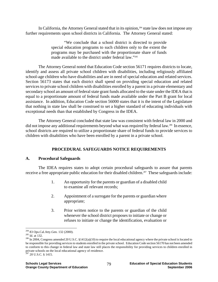In California, the Attorney General stated that in its opinion,<sup>284</sup> state law does not impose any further requirements upon school districts in California. The Attorney General stated:

> "We conclude that a school district is directed to provide special education programs to such children only to the extent the programs may be purchased with the proportionate share of funds made available to the district under federal law."285

The Attorney General noted that Education Code section 56171 requires districts to locate, identify and assess all private school children with disabilities, including religiously affiliated school-age children who have disabilities and are in need of special education and related services. Section 56173 states that each district shall spend on providing special education and related services to private school children with disabilities enrolled by a parent in a private elementary and secondary school an amount of federal state grant funds allocated to the state under the IDEA that is equal to a proportionate amount of federal funds made available under the Part B grant for local assistance. In addition, Education Code section 56000 states that it is the intent of the Legislature that nothing in state law shall be construed to set a higher standard of educating individuals with exceptional needs than that established by Congress in the IDEA.

The Attorney General concluded that state law was consistent with federal law in 2000 and did not impose any additional requirements beyond what was required by federal law.<sup>286</sup> In essence, school districts are required to utilize a proportionate share of federal funds to provide services to children with disabilities who have been enrolled by a parent in a private school.

## **PROCEDURAL SAFEGUARDS NOTICE REQUIREMENTS**

## **A. Procedural Safeguards**

The IDEA requires states to adopt certain procedural safeguards to assure that parents receive a free appropriate public education for their disabled children.<sup>287</sup> These safeguards include:

- 1. An opportunity for the parents or guardian of a disabled child to examine all relevant records;
- 2. Appointment of a surrogate for the parents or guardian where appropriate;
- 3. Prior written notice to the parents or guardian of the child whenever the school district proposes to initiate or change or refuses to initiate or change the identification, evaluation or

 $^{284}$ 83 Ops.Cal.Atty.Gen. 132 (2000).

<sup>285</sup> Id. at 132.<br><sup>285</sup> Id. at 132. Congress amended 20 U.S.C. §1412(a)(10) to require the local educational agency where the private school is located to be responsible for providing services to students enrolled in the private school. Education Code section 56170 has not been amended to conform to this change in federal law and state law still places the responsibility for providing services to children enrolled in private schools on the local educational agency of residence.

 $287$  20 U.S.C. § 1415.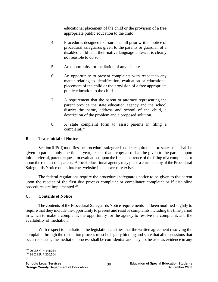educational placement of the child or the provision of a free appropriate public education to the child;

- 4. Procedures designed to assure that all prior written notice of procedural safeguards given to the parents or guardian of a disabled child is in their native language unless it is clearly not feasible to do so;
- 5. An opportunity for mediation of any disputes;
- 6. An opportunity to present complaints with respect to any matter relating to identification, evaluation or educational placement of the child or the provision of a free appropriate public education to the child.
- 7. A requirement that the parent or attorney representing the parent provide the state education agency and the school district the name, address and school of the child, a description of the problem and a proposed solution.
- 8. A state complaint form to assist parents in filing a complaint.288

# **B. Transmittal of Notice**

Section 615(d) modifies the procedural safeguards notice requirements to state that it shall be given to parents only one time a year, except that a copy also shall be given to the parents upon initial referral, parent request for evaluation, upon the first occurrence of the filing of a complaint, or upon the request of a parent. A local educational agency may place a current copy of the Procedural Safeguards Notice on its Internet website if such website exists.

 The federal regulations require the procedural safeguards notice to be given to the parent upon the receipt of the first due process complaint or compliance complaint or if discipline procedures are implemented.289

## **C. Contents of Notice**

 The contents of the Procedural Safeguards Notice requirements has been modified slightly to require that they include the opportunity to present and resolve complaints including the time period in which to make a complaint, the opportunity for the agency to resolve the complaint, and the availability of mediation.

 With respect to mediation, the legislation clarifies that the written agreement resolving the complaint through the mediation process must be legally binding and state that all discussions that occurred during the mediation process shall be confidential and may not be used as evidence in any

<sup>1</sup> <sup>288</sup> 20 U.S.C. § 1415(b).<br><sup>289</sup> 34 C.F.R. § 300.504.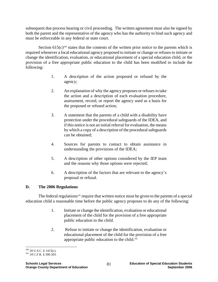subsequent due process hearing or civil proceeding. The written agreement must also be signed by both the parent and the representative of the agency who has the authority to bind such agency and must be enforceable in any federal or state court.

Section  $615(c)^{290}$  states that the contents of the written prior notice to the parents which is required whenever a local educational agency proposed to initiate or change or refuses to initiate or change the identification, evaluation, or educational placement of a special education child, or the provision of a free appropriate public education to the child has been modified to include the following:

- 1. A description of the action proposed or refused by the agency;
- 2. An explanation of why the agency proposes or refuses to take the action and a description of each evaluation procedure, assessment, record, or report the agency used as a basis for the proposed or refused action;
- 3. A statement that the parents of a child with a disability have protection under the procedural safeguards of the IDEA, and if this notice is not an initial referral for evaluation, the means by which a copy of a description of the procedural safeguards can be obtained;
- 4. Sources for parents to contact to obtain assistance in understanding the provisions of the IDEA;
- 5. A description of other options considered by the IEP team and the reasons why those options were rejected;
- 6. A description of the factors that are relevant to the agency's proposal or refusal.

# **D. The 2006 Regulations**

The federal regulations<sup>291</sup> require that written notice must be given to the parents of a special education child a reasonable time before the public agency proposes to do any of the following:

- 1. Initiate or change the identification, evaluation or educational placement of the child for the provision of a free appropriate public education to the child.
- 2. Refuse to initiate or change the identification, evaluation or educational placement of the child for the provision of a free appropriate public education to the child.292

 $\overline{a}$  $^{290}$  20 U.S.C. § 1415(c).<br> $^{291}$  34 C.F.R. § 300.503.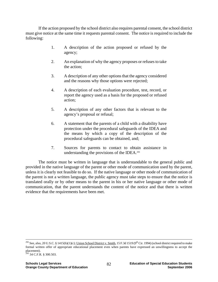If the action proposed by the school district also requires parental consent, the school district must give notice at the same time it requests parental consent. The notice is required to include the following:

- 1. A description of the action proposed or refused by the agency;
- 2. An explanation of why the agency proposes or refuses to take the action;
- 3. A description of any other options that the agency considered and the reasons why those options were rejected;
- 4. A description of each evaluation procedure, test, record, or report the agency used as a basis for the proposed or refused action;
- 5. A description of any other factors that is relevant to the agency's proposal or refusal;
- 6. A statement that the parents of a child with a disability have protection under the procedural safeguards of the IDEA and the means by which a copy of the description of the procedural safeguards can be obtained, and;
- 7. Sources for parents to contact to obtain assistance in understanding the provisions of the IDEA.<sup>293</sup>

The notice must be written in language that is understandable to the general public and provided in the native language of the parent or other mode of communication used by the parent, unless it is clearly not feasible to do so. If the native language or other mode of communication of the parent is not a written language, the public agency must take steps to ensure that the notice is translated orally or by other means to the parent in his or her native language or other mode of communication, that the parent understands the content of the notice and that there is written evidence that the requirements have been met.

<sup>&</sup>lt;sup>292</sup> See, also, 20 U.S.C. § 1415(b)(1)(c); *Union School District v. Smith*, 15 F.3d 1519 (9<sup>th</sup> Cir. 1994) (school district required to make formal written offer of appropriate educational placement even when parents have expressed an unwillingness to accept the placement).

 $293$  34 C.F.R. § 300.503.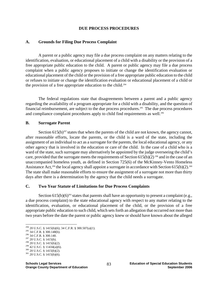#### **DUE PROCESS PROCEDURES**

#### **A. Grounds for Filing Due Process Complaint**

A parent or a public agency may file a due process complaint on any matters relating to the identification, evaluation, or educational placement of a child with a disability or the provision of a free appropriate public education to the child. A parent or public agency may file a due process complaint when a public agency proposes to initiate or change the identification evaluation or educational placement of the child or the provision of a free appropriate public education to the child or refuses to initiate or change the identification evaluation or educational placement of a child or the provision of a free appropriate education to the child.<sup>294</sup>

The federal regulations state that disagreements between a parent and a public agency regarding the availability of a program appropriate for a child with a disability, and the question of financial reimbursement, are subject to the due process procedures.<sup>295</sup> The due process procedures and compliance complaint procedures apply to child find requirements as well.<sup>296</sup>

#### **B. Surrogate Parent**

Section  $615(b)^{297}$  states that when the parents of the child are not known, the agency cannot, after reasonable efforts, locate the parents, or the child is a ward of the state, including the assignment of an individual to act as a surrogate for the parents, the local educational agency, or any other agency that is involved in the education or care of the child. In the case of a child who is a ward of the state, such surrogate may alternatively be appointed by the judge overseeing the child's care, provided that the surrogate meets the requirements of Section 615(b)(2)<sup>298</sup> and in the case of an unaccompanied homeless youth, as defined in Section 725(6) of the McKinney-Vento Homeless Assistance Act,<sup>299</sup> the local agency shall appoint a surrogate in accordance with Section 615(b)(2).<sup>300</sup> The state shall make reasonable efforts to ensure the assignment of a surrogate not more than thirty days after there is a determination by the agency that the child needs a surrogate.

#### **C. Two Year Statute of Limitations for Due Process Complaints**

Section 615(b)(6)<sup>301</sup> states that parents shall have an opportunity to present a complaint (e.g., a due process complaint) to the state educational agency with respect to any matter relating to the identification, evaluation, or educational placement of the child, or the provision of a free appropriate public education to such child, which sets forth an allegation that occurred not more than two years before the date the parent or public agency knew or should have known about the alleged

 $\overline{a}$ 

- 
- 
- 

<sup>&</sup>lt;sup>294</sup> 20 U.S.C. § 1415(b)(6); 34 C.F.R. § 300.507(a)(1).<br><sup>295</sup> 34 C.F.R. § 300.148(b).<br><sup>296</sup> 34 C.F.R. § 300.140.<br><sup>297</sup> 20 U.S.C. § 1415(b).<br><sup>298</sup> 20 U.S.C. § 1415(b)(2).<br><sup>299</sup> 42 U.S.C. § 11434(a)(6).<br><sup>300</sup> 20 U.S.C. § 1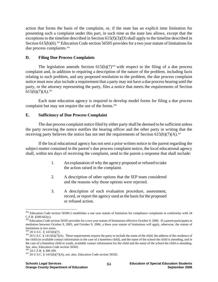action that forms the basis of the complaint, or, if the state has an explicit time limitation for presenting such a complaint under this part, in such time as the state law allows, except that the exceptions to the timeline described in Section 615(f)(3)(D) shall apply to the timeline described in Section  $615(b)(6)$ .<sup>302</sup> Education Code section 56505 provides for a two year statute of limitations for due process complaints.<sup>303</sup>

### **D. Filing Due Process Complaints**

The legislation amends Section  $615(b)(7)^{304}$  with respect to the filing of a due process complaint and, in addition to requiring a description of the nature of the problem, including facts relating to such problem, and any proposed resolution to the problem, the due process complaint notice must now also include a requirement that a party may not have a due process hearing until the party, or the attorney representing the party, files a notice that meets the requirements of Section  $615(b)(7)(A).$ <sup>305</sup>

 Each state education agency is required to develop model forms for filing a due process complaint but may not require the use of the forms.<sup>306</sup>

## **E. Sufficiency of Due Process Complaint**

 The due process complaint notice filed by either party shall be deemed to be sufficient unless the party receiving the notice notifies the hearing officer and the other party in writing that the receiving party believes the notice has not met the requirements of Section  $615(b)(7)(A)$ .<sup>307</sup>

 If the local educational agency has not sent a prior written notice to the parent regarding the subject matter contained in the parent's due process complaint notice, the local educational agency shall, within ten days of receiving the complaint, send to the parent a response that shall include:

- 1. An explanation of why the agency proposed or refused to take the action raised in the complaint.
- 2. A description of other options that the IEP team considered and the reasons why those options were rejected.
- 3. A description of each evaluation procedure, assessment, record, or report the agency used as the basis for the proposed or refused action.

<sup>&</sup>lt;u>.</u> <sup>302</sup> Education Code section 56500.2 establishes a one year statute of limitation for compliance complaints in conformity with 34 C.F.R. §300.662(c).

<sup>&</sup>lt;sup>303</sup> Education Code section 56505 provides for a two year statute of limitations effective October 9, 2006. If a parent participates in mediation between October 9, 2005, and October 9, 2006, a three year statute of limitations will apply, otherwise, the statute of limitations is two years.

 $304$  20 U.S.C. § 1415(b)(7).<br> $305$  20 U.S.C. § 1415(b)(7)(A). These requirements require the party to include the name of the child, the address of the residence of the child (or available contact information in the case of a homeless child), and the name of the school the child is attending, and in the case of a homeless child or youth, available contact information for the child and the name of the school the child is attending. See, also, Education Code section 56502.<br><sup>306</sup> 34 C.F.R. § 300.509.

 $307$  20 U.S.C. § 1415(b)(7)(A), see, also, Education Code section 56502.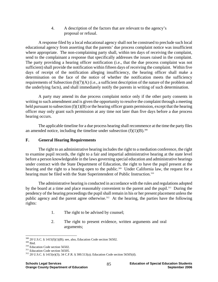4. A description of the factors that are relevant to the agency's proposal or refusal.

 A response filed by a local educational agency shall not be construed to preclude such local educational agency from asserting that the parents' due process complaint notice was insufficient where appropriate. The non-complaining party shall, within ten days of receiving the complaint, send to the complainant a response that specifically addresses the issues raised in the complaint. The party providing a hearing officer notification (i.e., that the due process complaint was not sufficient) shall provide the notification within fifteen days of receiving the complaint. Within five days of receipt of the notification alleging insufficiency, the hearing officer shall make a determination on the face of the notice of whether the notification meets the sufficiency requirements of Subsection (b)(7)(A) (i.e., a sufficient description of the nature of the problem and the underlying facts), and shall immediately notify the parents in writing of such determination.

 A party may amend its due process complaint notice only if the other party consents in writing to such amendment and is given the opportunity to resolve the complaint through a meeting held pursuant to subsection  $(f)(1)(B)$  or the hearing officer grants permission, except that the hearing officer may only grant such permission at any time not later than five days before a due process hearing occurs.

 The applicable timeline for a due process hearing shall recommence at the time the party files an amended notice, including the timeline under subsection  $(f)(1)(B)$ .<sup>308</sup>

# **F. General Hearing Requirements**

The right to an administrative hearing includes the right to a mediation conference, the right to examine pupil records, the right to a fair and impartial administrative hearing at the state level before a person knowledgeable in the laws governing special education and administrative hearings under contract with the State Department of Education, the right to have the pupil present at the hearing and the right to a hearing open to the public.<sup>309</sup> Under California law, the request for a hearing must be filed with the State Superintendent of Public Instruction.<sup>310</sup>

The administrative hearing is conducted in accordance with the rules and regulations adopted by the board at a time and place reasonably convenient to the parent and the pupil.311 During the pendency of the hearing proceedings the pupil shall remain in his or her present placement unless the public agency and the parent agree otherwise.<sup>312</sup> At the hearing, the parties have the following rights:

- 1. The right to be advised by counsel;
- 2. The right to present evidence, written arguments and oral arguments;

 $^{308}$  20 U.S.C. § 1415(f)(1)(B); see, also, Education Code section 56502.

<sup>&</sup>lt;sup>310</sup> Ibid.<br><sup>310</sup> Education Code section 56502.<br><sup>311</sup> Education Code section 56505.<br><sup>312</sup> 20 U.S.C. § 1415(e)(3); 34 C.F.R. § 300.513(a); Education Code section 56505(d).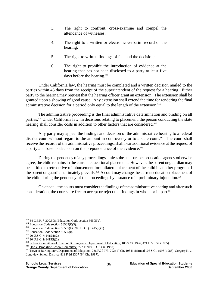- 3. The right to confront, cross-examine and compel the attendance of witnesses;
- 4. The right to a written or electronic verbatim record of the hearing;
- 5. The right to written findings of fact and the decision;
- 6. The right to prohibit the introduction of evidence at the hearing that has not been disclosed to a party at least five days before the hearing.<sup>313</sup>

Under California law, the hearing must be completed and a written decision mailed to the parties within 45 days from the receipt of the superintendent of the request for a hearing. Either party to the hearing may request that the hearing officer grant an extension. The extension shall be granted upon a showing of good cause. Any extension shall extend the time for rendering the final administrative decision for a period only equal to the length of the extension.314

The administrative proceeding is the final administrative determination and binding on all parties.315 Under California law, in decisions relating to placement, the person conducting the state hearing shall consider costs in addition to other factors that are considered.<sup>316</sup>

Any party may appeal the findings and decision of the administrative hearing to a federal district court without regard to the amount in controversy or to a state court.<sup>317</sup> The court shall receive the records of the administrative proceedings, shall hear additional evidence at the request of a party and base its decision on the preponderance of the evidence.<sup>318</sup>

During the pendency of any proceedings, unless the state or local education agency otherwise agree, the child remains in the current educational placement. However, the parent or guardian may be entitled to retroactive reimbursement for unilateral placement of the child in another program if the parent or guardian ultimately prevails.<sup>319</sup> A court may change the current education placement of the child during the pendency of the proceedings by issuance of a preliminary injunction.<sup>320</sup>

On appeal, the courts must consider the findings of the administrative hearing and after such consideration, the courts are free to accept or reject the findings in whole or in part.<sup>321</sup>

<sup>313 34</sup> C.F.R. § 300.508; Education Code section 56505(e).

<sup>&</sup>lt;sup>314</sup> Education Code section 56505(f)(3).<br><sup>315</sup> Education Code section 56505(h); 20 U.S.C. § 1415(e)(1).<br><sup>316</sup> Education Code section 56505(i).<br><sup>317</sup> 20 U.S.C. § 1415(i)(2).<br><sup>318</sup> 20 U.S.C. § 1415(i)(2).<br><sup>319</sup> <u>School Com</u> Longview School District,  $811$  F.2d 1307 (9<sup>th</sup> Cir. 1987).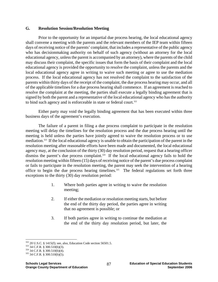### **G. Resolution Session/Resolution Meeting**

Prior to the opportunity for an impartial due process hearing, the local educational agency shall convene a meeting with the parents and the relevant members of the IEP team within fifteen days of receiving notice of the parents' complaint, that includes a representative of the public agency who has decisionmaking authority on behalf of such agency (without an attorney for the local educational agency, unless the parent is accompanied by an attorney), where the parents of the child may discuss their complaint, the specific issues that form the basis of their complaint and the local educational agency is provided the opportunity to resolve the complaint, unless the parents and the local educational agency agree in writing to waive such meeting or agree to use the mediation process. If the local educational agency has not resolved the complaint to the satisfaction of the parents within thirty days of the receipt of the complaint, the due process hearing may occur, and all of the applicable timelines for a due process hearing shall commence. If an agreement is reached to resolve the complaint at the meeting, the parties shall execute a legally binding agreement that is signed by both the parent and a representative of the local educational agency who has the authority to bind such agency and is enforceable in state or federal court.<sup>322</sup>

Either party may void the legally binding agreement that has been executed within three business days of the agreement's execution.

The failure of a parent in filing a due process complaint to participate in the resolution meeting will delay the timelines for the resolution process and the due process hearing until the meeting is held unless the parties have jointly agreed to waive the resolution process or to use mediation.323 If the local educational agency is unable to obtain the participation of the parent in the resolution meeting after reasonable efforts have been made and documented, the local educational agency may, at the conclusion of the thirty (30) day resolution period, request that a hearing officer dismiss the parent's due process complaint.<sup>324</sup> If the local educational agency fails to hold the resolution meeting within fifteen (15) days of receiving notice of the parent's due process complaint or fails to participate in the resolution meeting, the parent may seek the intervention of a hearing office to begin the due process hearing timelines.<sup>325</sup> The federal regulations set forth three exceptions to the thirty (30) day resolution period:

- 1. Where both parties agree in writing to waive the resolution meeting;
- 2. If either the mediation or resolution meeting starts, but before the end of the thirty day period, the parties agree in writing that no agreement is possible; or
- 3. If both parties agree in writing to continue the mediation at the end of the thirty day resolution period, but later, the

 $\overline{a}$ 

<sup>&</sup>lt;sup>322</sup> 20 U.S.C. § 1415(f); see, also, Education Code section 56501.5.<br><sup>323</sup> 34 C.F.R. § 300.510(b)(3).<br><sup>324</sup> 34 C.F.R. § 300.510(b)(4). <sup>325</sup> 34 C.F.R. § 300.510(b)(5).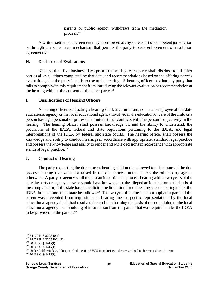parents or public agency withdraws from the mediation process.326

A written settlement agreement may be enforced at any state court of competent jurisdiction or through any other state mechanism that permits the party to seek enforcement of resolution agreements.<sup>327</sup>

# **H. Disclosure of Evaluations**

 Not less than five business days prior to a hearing, each party shall disclose to all other parties all evaluations completed by that date, and recommendations based on the offering party's evaluations, that the party intends to use at the hearing. A hearing officer may bar any party that fails to comply with this requirement from introducing the relevant evaluation or recommendation at the hearing without the consent of the other party. $328$ 

# **I. Qualifications of Hearing Officers**

 A hearing officer conducting a hearing shall, at a minimum, not be an employee of the state educational agency or the local educational agency involved in the education or care of the child or a person having a personal or professional interest that conflicts with the person's objectivity in the hearing. The hearing officer shall possess knowledge of, and the ability to understand, the provisions of the IDEA, federal and state regulations pertaining to the IDEA, and legal interpretations of the IDEA by federal and state courts. The hearing officer shall possess the knowledge and ability to conduct hearings in accordance with appropriate, standard legal practice and possess the knowledge and ability to render and write decisions in accordance with appropriate standard legal practice.<sup>329</sup>

# **J. Conduct of Hearing**

 The party requesting the due process hearing shall not be allowed to raise issues at the due process hearing that were not raised in the due process notice unless the other party agrees otherwise. A party or agency shall request an impartial due process hearing within two years of the date the party or agency knew or should have known about the alleged action that forms the basis of the complaint, or, if the state has an explicit time limitation for requesting such a hearing under the IDEA, in such time as the state law allows.330 The two year timeline shall not apply to a parent if the parent was prevented from requesting the hearing due to specific representations by the local educational agency that it had resolved the problem forming the basis of the complaint, or the local educational agency's withholding of information from the parent that was required under the IDEA to be provided to the parent.<sup>331</sup>

 $326$  34 C.F.R. § 300.510(c).

<sup>327 34</sup> C.F.R. § 300.510(d)(2).<br>
328 20 U.S.C. § 1415(f).<br>
329 20 U.S.C. § 1415(f).<br>
329 20 U.S.C. § 1415(f).<br>
330 Under California law, Education Code section 56505(j) authorizes a three year timeline for requesting a hea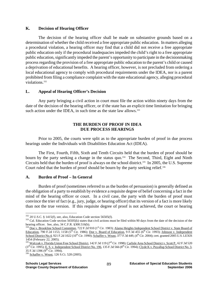### **K. Decision of Hearing Officer**

 The decision of the hearing officer shall be made on substantive grounds based on a determination of whether the child received a free appropriate public education. In matters alleging a procedural violation, a hearing officer may find that a child did not receive a free appropriate public education only if the procedural inadequacies impeded the child's right to a free appropriate public education, significantly impeded the parent's opportunity to participate in the decisionmaking process regarding the provision of a free appropriate public education to the parent's child or caused a deprivation of educational benefits. A hearing officer, however, is not precluded from ordering a local educational agency to comply with procedural requirements under the IDEA, nor is a parent prohibited from filing a compliance complaint with the state educational agency, alleging procedural violations.<sup>332</sup>

## **L. Appeal of Hearing Officer's Decision**

 Any party bringing a civil action in court must file the action within ninety days from the date of the decision of the hearing officer, or if the state has an explicit time limitation for bringing such action under the IDEA, in such time as the state law allows.<sup>333</sup>

### **THE BURDEN OF PROOF IN IDEA DUE PROCESS HEARINGS**

 Prior to 2005, the courts were split as to the appropriate burden of proof in due process hearings under the Individuals with Disabilities Education Act (IDEA).

 The First, Fourth, Fifth, Sixth and Tenth Circuits held that the burden of proof should be bourn by the party seeking a change in the status quo.<sup>334</sup> The Second, Third, Eight and Ninth Circuits held that the burden of proof is always on the school district.<sup>335</sup> In 2005, the U.S. Supreme Court ruled that the burden of proof should be bourn by the party seeking relief.<sup>336</sup>

#### **A. Burden of Proof – In General**

 Burden of proof (sometimes referred to as the burden of persuasion) is generally defined as the obligation of a party to establish by evidence a requisite degree of belief concerning a fact in the mind of the hearing officer or court. In a civil case, the party with the burden of proof must convince the trier of fact (e.g., jury, judge, or hearing officer) that its version of a fact is more likely than not the true version. If this requisite degree of proof is not achieved, the court or hearing

 $332$  20 U.S.C. § 1415(f), see, also, Education Code section 56505(f).

 $333$  Cal. Education Code section 56505(k) states that civil actions must be filed within 90 days from the date of the decision of the hearing officer. See, also, 34 C.F.R. §300.516(b).

<sup>334</sup> Doe v. Brookline School Committee, 722 F.2d 910 (1<sup>st</sup> Cir. 1983); Alamo Heights Independent School District v. State Board of Education, 790 F.2d 1153, 1158 (5<sup>th</sup> Cir. 1986); Doe v. Board of Education, 9 F.3d 455 (6<sup>th</sup> Cir. 1993); Johnson v. Independent School District No.4, 921 F.2d 1022 (10<sup>th</sup> Cir. 1990); Schaffer v. Weast, 377 F.3d 449, (4<sup>th</sup> Cir. 2004); cert. granted 2005 U.S. LEXIS 1454 (February 22, 2005).

<sup>335</sup> Walczak v. Florida Union Free School District, 142 F.3d 119 (2<sup>nd</sup> Cir. 1998); Carlisle Area School District v. Scott P., 62 F.3d 520  $(3^{rd}$  Cir. 1995); <u>E. S. v. Independent School District No. 196</u>, 135 F.3d 566  $(8^{th}$  Cir. 1994); Clyde K v. Puyallup School District No. 3, 35 F.3d 1396  $(9^{th}$  Cir. 1994).

<sup>336</sup> Schaffer v. Weast, 126 S.Ct. 528 (2005).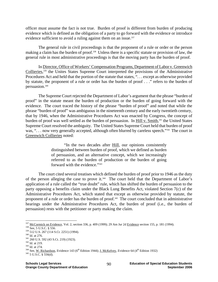officer must assume the fact is not true. Burden of proof is different from burden of producing evidence which is defined as the obligation of a party to go forward with the evidence or introduce evidence sufficient to avoid a ruling against them on an issue.<sup>337</sup>

 The general rule in civil proceedings is that the proponent of a rule or order or the person making a claim has the burden of proof.338 Unless there is a specific statute or provision of law, the general rule in most administrative proceedings is that the moving party has the burden of proof.

 In Director, Office of Workers' Compensation Programs, Department of Labor v. Greenwich Collieries,<sup>339</sup> the Unites States Supreme Court interpreted the provisions of the Administrative Procedures Act and held that the portion of the statute that states, ". . . except as otherwise provided by statute, the proponent of a rule or order has the burden of proof . . ." refers to the burden of persuasion.340

 The Supreme Court rejected the Department of Labor's argument that the phrase "burden of proof" in the statute meant the burden of production or the burden of going forward with the evidence. The court traced the history of the phrase "burden of proof" and noted that while the phrase "burden of proof" was ambiguous in the nineteenth century and the early twentieth century, that by 1946, when the Administrative Procedures Act was enacted by Congress, the concept of burden of proof was well settled as the burden of persuasion. In Hill v. Smith,<sup>341</sup> the United States Supreme Court resolved the ambiguity. The United States Supreme Court held that burden of proof was, "... now very generally accepted, although often blurred by careless speech."<sup>342</sup> The court in Greenwich Collieries noted:

> "In the two decades after Hill, our opinions consistently distinguished between burden of proof, which we defined as burden of persuasion, and an alternative concept, which we increasingly referred to as the burden of production or the burden of going forward with the evidence."343

 The court cited several treatises which defined the burden of proof prior to 1946 as the duty of the person alleging the case to prove it.344 The court held that the Department of Labor's application of a rule called the "true doubt" rule, which has shifted the burden of persuasion to the party opposing a benefits claim under the Black Lung Benefits Act, violated Section 7(c) of the Administrative Procedures Act, which stated that except as otherwise provided by statute, the proponent of a rule or order has the burden of proof.<sup>345</sup> The court concluded that in administrative hearings under the Administrative Procedures Act, the burden of proof (i.e., the burden of persuasion) rests with the petitioner or party making the claim.

 $\overline{a}$ <sup>337</sup> McCormick on Evidence, Vol. 2, section 336, p. 409 (1999); 29 Am Jur 2d <u>Evidence</u> section 155, p. 181 (1994).<br><sup>338</sup> See, 5 U.S.C. § 556.<br><sup>339</sup> 512 U.S. 267 (114 S.Ct. 2251) (1994).<br><sup>340</sup> Id. at 276.<br><sup>341</sup> 260 U.S. 5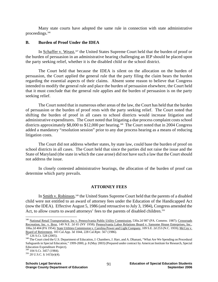Many state courts have adopted the same rule in connection with state administrative proceedings.346

### **B. Burden of Proof Under the IDEA**

In Schaffer v. Weast,<sup>347</sup> the United States Supreme Court held that the burden of proof or the burden of persuasion in an administrative hearing challenging an IEP should be placed upon the party seeking relief, whether it is the disabled child or the school district.

 The Court held that because the IDEA is silent on the allocation on the burden of persuasion, the Court applied the general rule that the party filing the claim bears the burden regarding the essential aspects of their claims. Absent some reason to believe that Congress intended to modify the general rule and place the burden of persuasion elsewhere, the Court held that it must conclude that the general rule applies and the burden of persuasion is on the party seeking relief.

 The Court noted that in numerous other areas of the law, the Court has held that the burden of persuasion or the burden of proof rests with the party seeking relief. The Court noted that shifting the burden of proof in all cases to school districts would increase litigation and administrative expenditures. The Court noted that litigating a due process complaint costs school districts approximately \$8,000 to \$12,000 per hearing.<sup>348</sup> The Court noted that in 2004 Congress added a mandatory "resolution session" prior to any due process hearing as a means of reducing litigation costs.

 The Court did not address whether states, by state law, could base the burden of proof on school districts in all cases. The Court held that since the parties did not raise the issue and the State of Maryland (the state in which the case arose) did not have such a law that the Court should not address the issue.

In closely contested administrative hearings, the allocation of the burden of proof can determine which party prevails.

## **ATTORNEY FEES**

In Smith v. Robinson,<sup>349</sup> the United States Supreme Court held that the parents of a disabled child were not entitled to an award of attorney fees under the Education of the Handicapped Act (now the IDEA). Effective August 5, 1986 (and retroactive to July 3, 1984), Congress amended the Act, to allow courts to award attorneys' fees to the parents of disabled children.<sup>350</sup>

 $\overline{a}$ 

<sup>&</sup>lt;sup>346</sup> National Retail Transportation, Inc v. Pennsylvania Public Utility Commission, 530a.2d 987 (PA. Commw. 1987); Crossroads Recreation, Inc. v. Broz, 149 N.E. 2d 65 (NY 1958); Pennsylvania Labor Relations Board v. Sansome House Enterprises, Inc., 106a.2d 404 (PA 1954); State Utilities Commission v. Carolina Power and Light Company, 109 S.E. 2d 253 (N.C. 1959); McCoy v.<br>Board of Retirement, 183 Cal.App. 3d 1044, 228 Cal.Rptr. 567 (1986).

 $\frac{347}{347}$  126 S.Ct. 528 (2005). <br><sup>348</sup> The Court cited the U.S. Department of Education, J. Chambers, J. Harr, and A. Dhanani, "What Are We Spending on Procedural Safeguards in Special Education," 1999-2000, p. 8 (May 2003) (Prepared under contract by American Institute for Research, Special Education Expenditure Project).<br><sup>349</sup> 104 S.Ct. 3457 (1984).

 $350$  20 U.S.C. § 1415(e)(4).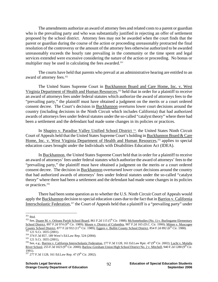The amendments authorize an award of attorney fees and related costs to a parent or guardian who is the prevailing party and who was substantially justified in rejecting an offer of settlement proposed by the school district. Attorney fees may not be awarded when the court finds that the parent or guardian during the course of the action or proceeding unreasonably protracted the final resolution of the controversy or the amount of the attorney fees otherwise authorized to be awarded unreasonably exceeds the hourly rate prevailing in the community or the time spent and legal services extended were excessive considering the nature of the action or proceeding. No bonus or multiplier may be used in calculating the fees awarded.<sup>351</sup>

The courts have held that parents who prevail at an administrative hearing are entitled to an award of attorney fees.<sup>352</sup>

The United States Supreme Court in Buckhannon Board and Care Home, Inc. v. West Virginia Department of Health and Human Resources,<sup>353</sup> held that in order for a plaintiff to receive an award of attorneys fees under federal statutes which authorize the award of attorneys fees to the "prevailing party," the plaintiff must have obtained a judgment on the merits or a court ordered consent decree. The Court's decision in Buckhannon overturns lower court decisions around the country (including decisions in the Ninth Circuit which includes California) that had authorized awards of attorneys fees under federal statutes under the so-called "catalyst theory" where there had been a settlement and the defendant had made some changes in its policies or practices.

In Shapiro v. Paradise Valley Unified School District 354, the United States Ninth Circuit Court of Appeals held that the United States Supreme Court's holding in Buckhannon Board & Care Home, Inc. v. West Virginia Department of Health and Human Resources,<sup>355</sup> applies to special education cases brought under the Individuals with Disabilities Education Act (IDEA).

 In Buckhannon, the United States Supreme Court held that in order for a plaintiff to receive an award of attorneys' fees under federal statutes which authorize the award of attorneys' fees to the "prevailing party," the plaintiff must have obtained a judgment on the merits or a court ordered consent decree. The decision in Buckhannon overturned lower court decisions around the country that had authorized awards of attorneys' fees under federal statutes under the so-called "catalyst theory" where there had been a settlement and the defendant had made some changes in its policies or practices.<sup>356</sup>

 There had been some question as to whether the U.S. Ninth Circuit Court of Appeals would apply the Buckhannon decision to special education cases due to the fact that in Barrios v. California Interscholastic Federation,<sup>357</sup> the Court of Appeals held that a plaintiff is a "prevailing party" under

 $351$  Ibid.

<sup>&</sup>lt;sup>352</sup> See, <u>Duane M. v. Orleans Parish School Board</u>, 861 F.2d 115 (5<sup>th</sup> Cir. 1988); <u>McSomebodies (No. 1)</u> v. Burlingame Elementary School District, 897 F.2d 974 (9<sup>th</sup> Cir. 1989); Moore v. District of Columbia, 907 F.2d 165 (D.C. Cir. 1990); Mitten v. Muscogee <u>County School District</u>, 877 F.2d 932 (11<sup>th</sup> Cir. 1989); <u>Eggers v. Bullitt County School District</u>, 854 F.2d 892 (6<sup>th</sup> Cir. 1988).<br>
<sup>353</sup> 121 S.Ct. 1835 (2001).<br>
<sup>354</sup> 374 F.3d 857, 189 West's Ed.Law Rep. 524 (2004).<br>

River School, 255 F.3d 1023 (9<sup>th</sup> Cir. 2000); Barlow-Gresham Union High School District No. 2 v. Mitchell, 940 F.2d 1280 (9<sup>th</sup> Cir. 1991).

<sup>357 277</sup> F.3d 1128, 161 Ed.Law Rep. 47 (9<sup>th</sup> Cir. 2002).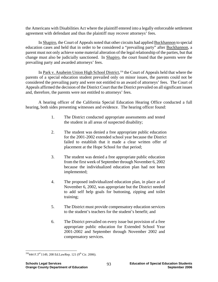the Americans with Disabilities Act where the plaintiff entered into a legally enforceable settlement agreement with defendant and thus the plaintiff may recover attorneys' fees.

 In Shapiro, the Court of Appeals noted that other circuits had applied Buckhannon to special education cases and held that in order to be considered a "prevailing party" after Buckhannon, a parent must not only achieve some material alteration of the legal relationship of the parties, but that change must also be judicially sanctioned. In Shapiro, the court found that the parents were the prevailing party and awarded attorneys' fees.

In Park v. Anaheim Union High School District,<sup>358</sup> the Court of Appeals held that where the parents of a special education student prevailed only on minor issues, the parents could not be considered the prevailing party and were not entitled to an award of attorneys' fees. The Court of Appeals affirmed the decision of the District Court that the District prevailed on all significant issues and, therefore, the parents were not entitled to attorneys' fees.

 A hearing officer of the California Special Education Hearing Office conducted a full hearing, both sides presenting witnesses and evidence. The hearing officer found:

- 1. The District conducted appropriate assessments and tested the student in all areas of suspected disability;
- 2. The student was denied a free appropriate public education for the 2001-2002 extended school year because the District failed to establish that it made a clear written offer of placement at the Hope School for that period;
- 3. The student was denied a free appropriate public education from the first week of September through November 6, 2002 because the individualized education plan had not been implemented;
- 4. The proposed individualized education plan, in place as of November 6, 2002, was appropriate but the District needed to add self help goals for buttoning, zipping and toilet training;
- 5. The District must provide compensatory education services to the student's teachers for the student's benefit; and
- 6. The District prevailed on every issue but provision of a free appropriate public education for Extended School Year 2001-2002 and September through November 2002 and compensatory services.

<sup>1</sup>  $358444$  F.3<sup>rd</sup> 1149, 208 Ed.LawRep. 121 (9<sup>th</sup> Cir. 2006).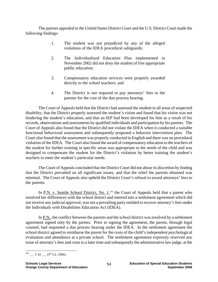The parents appealed to the United States District Court and the U.S. District Court made the following findings:

- 1. The student was not prejudiced by any of the alleged violations of the IDEA procedural safeguards;
- 2. The Individualized Education Plan implemented in November 2002 did not deny the student of free appropriate public education;
- 3. Compensatory education services were properly awarded directly to the school teachers; and
- 4. The District is not required to pay attorneys' fees to the parents for the cost of the due process hearing.

 The Court of Appeals held that the District had assessed the student in all areas of suspected disability, that the District properly assessed the student's vision and found that his vision was not hindering the student's education, and that an IEP had been developed for him as a result of his records, observations and assessments by qualified individuals and participation by his parents. The Court of Appeals also found that the District did not violate the IDEA when it conducted a suitable functional behavioral assessment and subsequently proposed a behavior intervention plan. The Court also found that the assessment was properly conducted in English and there was no procedural violation of the IDEA. The Court also found the award of compensatory education to the teachers of the student for further training in specific areas was appropriate to the needs of the child and was designed to compensate the student for the District's violation by better training the student's teachers to meet the student's particular needs.

 The Court of Appeals concluded that the District Court did not abuse its discretion by finding that the District prevailed on all significant issues, and that the relief the parents obtained was minimal. The Court of Appeals also upheld the District Court's refusal to award attorneys' fees to the parents.

In P.N. v. Seattle School District, No. 1,<sup>359</sup> the Court of Appeals held that a parent who resolved her differences with the school district and entered into a settlement agreement which did not receive any judicial approval, was not a prevailing party entitled to recover attorney's fees under the Individuals with Disabilities Education Act (IDEA).

 In P.N., the conflict between the parents and the school district was resolved by a settlement agreement signed only by the parties. Prior to signing the agreement, the parent, through legal counsel, had requested a due process hearing under the IDEA. In the settlement agreement the school district agreed to reimburse the parent for the costs of the child's independent psychological evaluation and attendance at a private school. The settlement agreement expressly reserved any issue of attorney's fees and costs to a later time and subsequently the administrative law judge, at the

 $\overline{a}$  $^{359}$  F.3d  $(9^{th}$  Cir. 2006).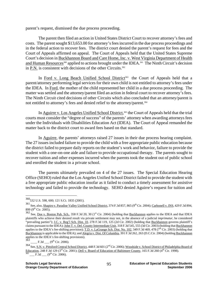parent's request, dismissed the due process proceeding.

The parent then filed an action in United States District Court to recover attorney's fees and costs. The parent sought \$13,653.00 for attorney's fees incurred in the due process proceedings and in the federal action to recover fees. The district court denied the parent's request for fees and the Court of Appeals affirmed on appeal. The Court of Appeals held that the United States Supreme Court's decision in Buckhannon Board and Care Home, Inc. v. West Virginia Department of Health and Human Resources<sup>360</sup> applied to actions brought under the IDEA.<sup>361</sup> The Ninth Circuit's decision in P.N. is consistent with decisions of the other Circuits.<sup>362</sup>

In Ford v. Long Beach Unified School District<sup>363</sup> the Court of Appeals held that a parent/attorney performing legal services for their own child is not entitled to attorney's fees under the IDEA. In Ford, the mother of the child represented her child in a due process proceeding. The matter was settled and the attorney/parent filed an action in federal court to recover attorney's fees. The Ninth Circuit cited decisions of other Circuits which also concluded that an attorney/parent is not entitled to attorney's fees and denied relief to the attorney/parent.364

In Aguirre v. Los Angeles Unified School District,<sup>365</sup> the Court of Appeals held that the trial courts must consider the "degree of success" of the parents' attorney when awarding attorneys fees under the Individuals with Disabilities Education Act (IDEA). The Court of Appeal remanded the matter back to the district court to award fees based on that standard.

 In Aguirre, the parents' attorneys raised 27 issues in their due process hearing complaint. The 27 issues included failure to provide the child with a free appropriate public education because the district failed to prepare daily reports on the student's work and behavior, failure to provide the student with a one-on-one aide and failure to provide occupational therapy. The parents sought to recover tuition and other expenses incurred when the parents took the student out of public school and enrolled the student in a private school.

 The parents ultimately prevailed on 4 of the 27 issues. The Special Education Hearing Office (SEHO) ruled that the Los Angeles Unified School District failed to provide the student with a free appropriate public education insofar as it failed to conduct a timely assessment for assistive technology and failed to provide the technology. SEHO denied Aguirre's request for tuition and

<u>.</u>

<sup>360532</sup> U.S. 598, 600; 121 S.Ct. 1835 (2001).

<sup>361</sup> See, also, Shapiro v. Paradise Valley Unified School District, 374 F.3d 857, 865 (9<sup>th</sup> Cir. 2004); Carbonell v. INS, 429 F.3d 894, 899 (9<sup>th</sup> Cir. 2005).

<sup>362</sup> See, <u>Doe v. Boston Pub. Sch.</u>, 358 F.3d 20, 30 (1<sup>st</sup> Cir. 2004) (holding that Buckhannon applies to the IDEA and that IDEA plaintiffs who achieve their desired result via private settlement may not, in the absence of a judicial *imprimatur*, be considered "prevailing parties"); J.C. v. Reg'l Sch. Dist. 10, 278 F.3d 119, 125 (2d Cir. 2002) (holding that Buckhannon governs plaintiff's claims pursuant to the IDEA); John T. v. Del. County Intermediate Unit, 318 F.3d 545, 555 (3d Cir. 2003) (holding that Buckhannon applies to the IDEA's fee-shifting provision); T.D. v. LaGrange Sch. Dist. No. 102, 349 F.3d 469, 478 (7<sup>th</sup> Cir. 2003) (holding that Buckhannon is applicable to the IDEA); and Alegria v. Dist. Of Columbia, 391 F.3d 262, 263 (D.C.Cir. 2004) (holding Buckhannon applies to the IDEA's fee-shifting provisions).

 $\frac{1}{\sqrt{3}}$  F.3d  $\frac{1}{\sqrt{3}}$  (9<sup>th</sup> Cir. 2006).

<sup>364</sup> See, S.N. v. Pittsford Central School District, 448 F.3d 601 (2<sup>nd</sup> Cir. 2006); Woodside v. School District of Philadelphia Board of Education, 248 F.3d 129 (3<sup>rd</sup> Cir. 2001); <u>Dell v.</u> Board of Education of Baltimore County, 165 F.3d 260 (4<sup>th</sup> Cir. 1998).<br><sup>365</sup> \_\_\_ F.3d \_\_\_ (9<sup>th</sup> Cir. 2006).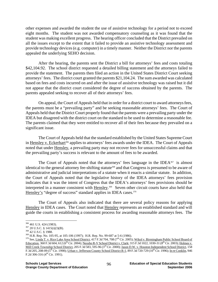other expenses and awarded the student the use of assistive technology for a period not to exceed eight months. The student was not awarded compensatory counseling as it was found that the student was making excellent progress. The hearing officer concluded that the District prevailed on all the issues except to the extent that it failed to provide an assistive technology assessment and provide technology devices (e.g. computer) in a timely manner. Neither the District nor the parents appealed the underlying SEHO decision.

 After the hearing, the parents sent the District a bill for attorneys' fees and costs totaling \$42,104.92. The school district requested a detailed billing statement and the attorneys failed to provide the statement. The parents then filed an action in the United States District Court seeking attorneys' fees. The district court granted the parents \$21,104.24. The sum awarded was calculated based on fees and costs incurred on and after the issue of assistive technology was raised but it did not appear that the district court considered the degree of success obtained by the parents. The parents appealed seeking to recover all of their attorneys' fees.

 On appeal, the Court of Appeals held that in order for a district court to award attorneys fees, the parents must be a "prevailing party" and be seeking reasonable attorneys' fees. The Court of Appeals held that the District Court properly found that the parents were a prevailing party under the IDEA but disagreed with the district court on the standard to be used to determine a reasonable fee. The parents claimed that they were entitled to recover all of their fees because they prevailed on a significant issue.

 The Court of Appeals held that the standard established by the United States Supreme Court in Hensley v. Eckerhart<sup>366</sup> applies to attorneys' fees awards under the IDEA. The Court of Appeals noted that under Hensley, a prevailing party may not recover fees for unsuccessful claims and that the prevailing party's success is relevant to the amount of fees to be awarded.

The Court of Appeals noted that the attorneys' fees language in the IDEA<sup>367</sup> is almost identical to the general attorney fee-shifting statute<sup>368</sup> and that Congress is presumed to be aware of administrative and judicial interpretations of a statute when it enacts a similar statute. In addition, the Court of Appeals noted that the legislative history of the IDEA attorneys' fees provision indicates that it was the intent of Congress that the IDEA's attorneys' fees provisions should be interpreted in a manner consistent with Hensley.<sup>369</sup> Seven other circuit courts have also held that Hensley's "degree of success" standard applies in IDEA cases.<sup>370</sup>

 The Court of Appeals also indicated that there are several policy reasons for applying Hensley in IDEA cases. The Court noted that Hensley represents an established standard and will guide the courts in establishing a consistent process for awarding reasonable attorneys fees. The

<sup>366 461</sup> U.S. 424 (1983).

<sup>&</sup>lt;sup>367</sup> 20 U.S.C. § 1415(i)(3)(B).<br><sup>368</sup> 42 U.S.C. § 1988.<br><sup>369</sup> H.R. Rep. No. 105-95, at 105-106 (1997); H.R. Rep. No. 99-687 at 5-6 (1986).<br><sup>370</sup> See, <u>Linda T. v. Rice Lake Area School District</u>, 417 F.3d 704, 708 (7<sup>th</sup> Education, 360 F.3d 604, 612 (6<sup>th</sup> Cir. 2004); Neosho R-V School District v. Clark; 315 F.3d 1022, 1030-31 (8<sup>th</sup> Cir. 2003); Holmes v. Mill Creek Township School District, 205 F.3d 583, 595-96 (3<sup>rd</sup> Cir. 2000); Jason D.W. v. Houston Independent School District, 158 F.3d 205, 208-09 (5<sup>th</sup> Cir. 1998); Urban v. Jefferson County School District R-1, 89 F.3d 720-729 (10<sup>th</sup> Cir. 1996); In re Conklin, 946 F.2d 306-316 (4<sup>th</sup> Cir. 1991).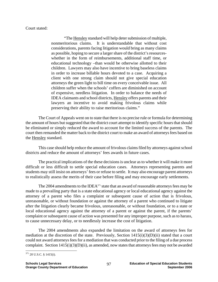### Court stated:

 "The Hensley standard will help deter submission of multiple, nonmeritorious claims. It is understandable that without cost considerations, parents facing litigation would bring as many claims as possible, hoping to secure a larger share of the district's resourceswhether in the form of reimbursements, additional staff time, or educational technology –than would be otherwise allotted to their children. Lawyers may also have incentive to bring baseless claims in order to increase billable hours devoted to a case. Acquiring a client with one strong claim should not give special education attorneys the green light to bill time on every conceivable issue. All children suffer when the schools' coffers are diminished on account of expensive, needless litigation. In order to balance the needs of IDEA claimants and school districts, Hensley offers parents and their lawyers an incentive to avoid making frivolous claims while preserving their ability to raise meritorious claims."

 The Court of Appeals went on to state that there is no precise rule or formula for determining the amount of hours but suggested that the district court attempt to identify specific hours that should be eliminated or simply reduced the award to account for the limited success of the parents. The court then remanded the matter back to the district court to make an award of attorneys fees based on the Hensley standard.

 This case should help reduce the amount of frivolous claims filed by attorneys against school districts and reduce the amount of attorneys' fees awards in future cases.

The practical implications of the these decisions is unclear as to whether it will make it more difficult or less difficult to settle special education cases. Attorneys representing parents and students may still insist on attorneys' fees or refuse to settle. It may also encourage parent attorneys to realistically assess the merits of their case before filing and may encourage early settlements.

The 2004 amendments to the IDEA<sup>371</sup> state that an award of reasonable attorneys fees may be made to a prevailing party that is a state educational agency or local educational agency against the attorney of a parent who files a complaint or subsequent cause of action that is frivolous, unreasonable, or without foundation or against the attorney of a parent who continued to litigate after the litigation clearly became frivolous, unreasonable, or without foundation, or to a state or local educational agency against the attorney of a parent or against the parent, if the parents' complaint or subsequent cause of action was presented for any improper purpose, such as to harass, to cause unnecessary delay, or to needlessly increase the cost of litigation.

 The 2004 amendments also expanded the limitation on the award of attorneys fees for mediation at the discretion of the state. Previously, Section 1415(i)(3)(D)(ii) stated that a court could not award attorneys fees for a mediation that was conducted prior to the filing of a due process complaint. Section 1415(i)(3)(D)(ii), as amended, now states that attorneys fees may not be awarded

 $\overline{a}$  $371$  20 U.S.C. § 1415(i).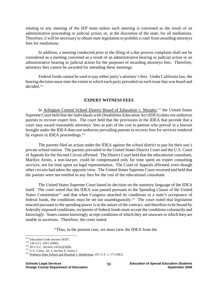relating to any meeting of the IEP team unless such meeting is convened as the result of an administrative proceeding or judicial action, or, at the discretion of the state, for all mediations. Therefore, it will be necessary to obtain state legislation to prohibit a court from awarding attorneys fees for mediations.

 In addition, a meeting conducted prior to the filing of a due process complaint shall not be considered as a meeting convened as a result of an administrative hearing or judicial action or an administrative hearing or judicial action for the purposes of awarding attorneys fees. Therefore, attorneys fees cannot be awarded for attending these meetings.

Federal funds cannot be used to pay either party's attorney's fees. Under California law, the hearing decision must state the extent to which each party prevailed on each issue that was heard and decided.372

#### **EXPERT WITNESS FEES**

In Arlington Central School District Board of Education v. Murphy,<sup>373</sup> the United States Supreme Court held that the Individuals with Disabilities Education Act (IDEA) does not authorize parents to recover expert fees. The court held that the provisions in the IDEA that provide that a court may award reasonable attorneys' fees as part of the cost to parents who prevail in a lawsuit brought under the IDEA does not authorize prevailing parents to recover fees for services rendered by experts in IDEA proceedings.<sup>374</sup>

 The parents filed an action under the IDEA against the school district to pay for their son's private school tuition. The parents prevailed in the United States District Court and the U.S. Court of Appeals for the Second Circuit affirmed. The District Court held that the educational consultant, Marilyn Arons, a non-lawyer, could be compensated only for time spent on expert consulting services, not for time spent on legal representation. The Court of Appeals affirmed, even though other circuits had taken the opposite view. The United States Supreme Court reversed and held that the parents were not entitled to any fees for the cost of the educational consultant.

 The United States Supreme Court based its decision on the statutory language of the IDEA itself. The court noted that the IDEA was passed pursuant to the Spending Clause of the United States Constitution<sup>375</sup> and that when Congress attached its conditions to a state's acceptance of federal funds, the conditions must be set out unambiguously.<sup>376</sup> The court noted that legislation enacted pursuant to the spending power is in the nature of the contract, and therefore to be bound by federally imposed conditions, recipients of federal funds must accept the conditions voluntarily and knowingly. States cannot knowingly accept conditions of which they are unaware or which they are unable to ascertain. Therefore, the court stated:

"Thus, in the present case, we must view the IDEA from the

<sup>&</sup>lt;sup>372</sup> Education Code section 56507.

<sup>&</sup>lt;sup>373</sup> 126 S.Ct. 2455 (2006).<br><sup>374</sup> 20 U.S.C. Section 1415(i)(3)(B).<br><sup>375</sup> U.S. Const., art. I, section 8, clause 1.<br><sup>376</sup> Penhurst State School and Hospital v. Halderman, 451 U.S. 1, 17 (1981).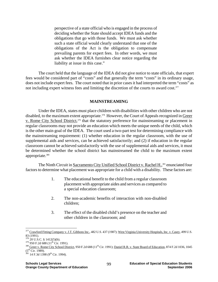perspective of a state official who is engaged in the process of deciding whether the State should accept IDEA funds and the obligations that go with those funds. We must ask whether such a state official would clearly understand that one of the obligations of the Act is the obligation to compensate prevailing parents for expert fees. In other words, we must ask whether the IDEA furnishes clear notice regarding the liability at issue in this case."

 The court held that the language of the IDEA did not give notice to state officials, that expert fees would be considered part of "costs" and that generally the term "costs" in its ordinary usage, does not include expert fees. The court noted that in prior cases it had interpreted the term "costs" as not including expert witness fees and limiting the discretion of the courts to award cost.<sup>377</sup>

#### **MAINSTREAMING**

Under the IDEA, states must place children with disabilities with other children who are not disabled, to the maximum extent appropriate.<sup>378</sup> However, the Court of Appeals recognized in Greer v. Rome City School District,<sup>379</sup> that the statutory preference for mainstreaming or placement in regular classrooms may not provide an education which meets the unique needs of the child, which is the other main goal of the IDEA. The court used a two-part test for determining compliance with the mainstreaming requirement: (1) whether education in the regular classroom, with the use of supplemental aids and services, can be achieved satisfactorily; and (2) if education in the regular classroom cannot be achieved satisfactorily with the use of supplemental aids and services, it must be determined whether the school district has mainstreamed the child to the maximum extent appropriate.<sup>380</sup>

The Ninth Circuit in Sacramento City Unified School District v. Rachel H.,<sup>381</sup> enunciated four factors to determine what placement was appropriate for a child with a disability. These factors are:

- 1. The educational benefit to the child from a regular classroom placement with appropriate aides and services as compared to a special education classroom;
- 2. The non-academic benefits of interaction with non-disabled children;
- 3. The effect of the disabled child's presence on the teacher and other children in the classroom; and

1

<sup>&</sup>lt;sup>377</sup> Crawford Fitting Company v. J.T. Gibbons Inc., 482 U.S. 437 (1987); West Virginia University Hospitals, Inc. v. Casey, 499 U.S. 83 (1991).<br><sup>378</sup> 20 U.S.C. § 1412(5)(b).

<sup>&</sup>lt;sup>379</sup> 950 F.2d 688 (11<sup>th</sup> Cir. 1991).<br><sup>380</sup> Greer v. Rome City School District, 950 F.2d 688 (11<sup>th</sup> Cir. 1991); <u>Daniel R.R. v. State Board of Education</u>, 874 F.2d 1036, 1045<br>(5<sup>th</sup> Cir. 1989).

 $381$  14 F.3d 1398 (9<sup>th</sup> Cir. 1994).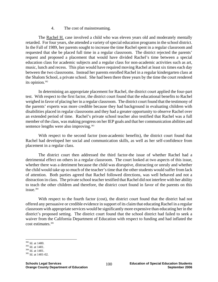### 4. The cost of mainstreaming.

The Rachel H. case involved a child who was eleven years old and moderately mentally retarded. For four years, she attended a variety of special education programs in the school district. In the Fall of 1989, her parents sought to increase the time Rachel spent in a regular classroom and requested that she be placed full time in a regular classroom. The district rejected the parents' request and proposed a placement that would have divided Rachel's time between a special education class for academic subjects and a regular class for non-academic activities such as art, music, lunch and recess. This plan would have required moving Rachel at least six times each day between the two classrooms. Instead her parents enrolled Rachel in a regular kindergarten class at the Shalom School, a private school. She had been there three years by the time the court rendered its opinion.<sup>382</sup>

In determining an appropriate placement for Rachel, the district court applied the four-part test. With respect to the first factor, the district court found that the educational benefits to Rachel weighed in favor of placing her in a regular classroom. The district court found that the testimony of the parents' experts was more credible because they had background in evaluating children with disabilities placed in regular classrooms and they had a greater opportunity to observe Rachel over an extended period of time. Rachel's private school teacher also testified that Rachel was a full member of the class, was making progress on her IEP goals and that her communication abilities and sentence lengths were also improving.<sup>383</sup>

With respect to the second factor (non-academic benefits), the district court found that Rachel had developed her social and communication skills, as well as her self-confidence from placement in a regular class.

The district court then addressed the third factor-the issue of whether Rachel had a detrimental effect on others in a regular classroom. The court looked at two aspects of this issue, whether there was a detriment because the child was disruptive, distracting or unruly and whether the child would take up so much of the teacher's time that the other students would suffer from lack of attention. Both parties agreed that Rachel followed directions, was well behaved and not a distraction in class. The private school teacher testified that Rachel did not interfere with her ability to teach the other children and therefore, the district court found in favor of the parents on this issue.384

With respect to the fourth factor (cost), the district court found that the district had not offered any persuasive or credible evidence in support of its claim that educating Rachel in a regular classroom with appropriate services would be significantly more expensive than educating her in the district's proposed setting. The district court found that the school district had failed to seek a waiver from the California Department of Education with respect to funding and had inflated the cost estimates.385

<sup>&</sup>lt;sup>382</sup> Id. at 1400.

<sup>&</sup>lt;sup>383</sup> Id. at 1401.<br><sup>384</sup> Id. at 1401.<br><sup>385</sup> Id. at 1401-02.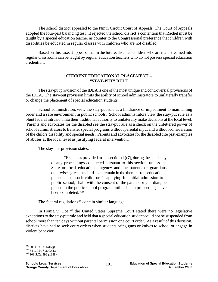The school district appealed to the Ninth Circuit Court of Appeals. The Court of Appeals adopted the four-part balancing test. It rejected the school district's contention that Rachel must be taught by a special education teacher as counter to the Congressional preference that children with disabilities be educated in regular classes with children who are not disabled.

Based on this case, it appears, that in the future, disabled children who are mainstreamed into regular classrooms can be taught by regular education teachers who do not possess special education credentials.

#### **CURRENT EDUCATIONAL PLACEMENT – "STAY-PUT" RULE**

The stay-put provision of the IDEA is one of the most unique and controversial provisions of the IDEA. The stay-put provision limits the ability of school administrators to unilaterally transfer or change the placement of special education students.

School administrators view the stay-put rule as a hindrance or impediment to maintaining order and a safe environment in public schools. School administrators view the stay-put rule as a blunt federal intrusion into their traditional authority to unilaterally make decisions at the local level. Parents and advocates for the disabled see the stay-put rule as a check on the unfettered power of school administrators to transfer special programs without parental input and without consideration of the child's disability and special needs. Parents and advocates for the disabled cite past examples of abuses at the local level as justifying federal intervention.

The stay-put provision states:

"Except as provided in subsection  $(k)(7)$ , during the pendency of any proceedings conducted pursuant to this section, unless the State or local educational agency and the parents or guardians otherwise agree, the child shall remain in the then-current educational placement of such child, or, if applying for initial admission to a public school, shall, with the consent of the parents or guardian, be placed in the public school program until all such proceedings have been completed."386

The federal regulations<sup>387</sup> contain similar language.

In Honig v. Doe,<sup>388</sup> the United States Supreme Court stated there were no legislative exceptions to the stay-put rule and held that a special education student could not be suspended from school more than ten days without parental permission or a court order. As a result of this decision, districts have had to seek court orders when students bring guns or knives to school or engage in violent behavior.

 $\overline{a}$ 

<sup>386 20</sup> U.S.C. § 1415(j).<br><sup>387</sup> 34 C.F.R. § 300.513.<br><sup>388</sup> 108 S.Ct. 592 (1988).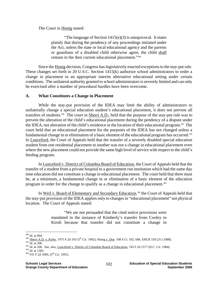The Court in Honig stated:

"The language of Section 1415(e)(3) is unequivocal. It states plainly that during the pendency of any proceedings initiated under the Act, unless the state or local educational agency and the parents or guardians of a disabled child otherwise agree, the child shall remain in the then current educational placement."389

Since the Honig decision, Congress has legislatively enacted exceptions to the stay-put rule. These changes set forth in 20 U.S.C. Section 1415(k) authorize school administrators to order a change in placement to an appropriate interim alternative educational setting under certain conditions. The unilateral authority granted to school administrators is severely limited and can only be exercised after a number of procedural hurdles have been overcome.

## **A. What Constitutes a Change in Placement**

While the stay-put provision of the IDEA may limit the ability of administrators to unilaterally change a special education student's educational placement, it does not prevent all transfers of students.<sup>390</sup> The court in **Sherri A.D.**, held that the purpose of the stay-put rule was to prevent the alteration of the child's educational placement during the pendency of a dispute under the IDEA, not alteration of the child's residence or the location of their educational program.391 The court held that an educational placement for the purposes of the IDEA has not changed unless a fundamental change in or elimination of a basic element of the educational program has occurred.<sup>392</sup> In Lunceford, the Court of Appeals held that the transfer of a severely disabled special education student from one residential placement to another was not a change in educational placement even where the new placement could not provide the same high level of service with respect to the child's feeding program.

In Lunceford v. District of Columbia Board of Education, the Court of Appeals held that the transfer of a student from a private hospital to a government run institution which had the same day time education did not constitute a change in educational placement. The court held that there must be, at a minimum, a fundamental change in or elimination of a basic element of the education program in order for the change to qualify as a change in educational placement.<sup>393</sup>

In Weil v. Board of Elementary and Secondary Education,<sup>394</sup> the Court of Appeals held that the stay-put provision of the IDEA applies only to changes in "educational placement" not physical location. The Court of Appeals stated:

> "We are not persuaded that the cited notice provisions were mandated in the instance of Kimberly's transfer from Cooley to Kiroli because that transfer did not constitute a change in

 $^\mathrm{389}$  Id. at 604.

<sup>391</sup> Id. at 206.<br>
391 Id. at 206.<br>
391 Id. at 206.<br>
392 Id. at 206. See, also, <u>Lunceford v. District of Columbia Board of Education</u>, 745 F.2d 1577 (D.C. Cir. 1984).<br>
393 Id. at 1582.<br>
394 931 F.2d 1069, (5<sup>th</sup> Cir. 1991).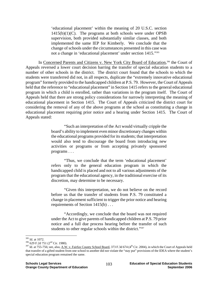'educational placement' within the meaning of 20 U.S.C. section  $1415(b)(1)(C)$ . The programs at both schools were under OPSB supervision, both provided substantially similar classes, and both implemented the same IEP for Kimberly. We conclude that the change of schools under the circumstances presented in this case was not a change in 'educational placement' under section 1415."395

In Concerned Parents and Citizens v. New York City Board of Education,<sup>396</sup> the Court of Appeals reversed a lower court decision barring the transfer of special education students to a number of other schools in the district. The district court found that the schools to which the students were transferred did not, in all respects, duplicate the "extremely innovative educational program" formerly provided to the handicapped children at P.S. 79. However, the Court of Appeals held that the reference to "educational placement" in Section 1415 refers to the general educational program in which a child is enrolled, rather than variations in the program itself. The Court of Appeals held that there are strong policy considerations for narrowly interpreting the meaning of educational placement in Section 1415. The Court of Appeals criticized the district court for considering the removal of any of the above programs at the school as constituting a change in educational placement requiring prior notice and a hearing under Section 1415. The Court of Appeals stated:

> "Such an interpretation of the Act would virtually cripple the board's ability to implement even minor discretionary changes within the educational programs provided for its students; that interpretation would also tend to discourage the board from introducing new activities or programs or from accepting privately sponsored programs . . .

> "Thus, we conclude that the term 'educational placement' refers only to the general education program in which the handicapped child is placed and not to all various adjustments of the program that the educational agency, in the traditional exercise of its discretion, may determine to be necessary.

> "Given this interpretation, we do not believe on the record before us that the transfer of students from P.S. 79 constituted a change in placement sufficient to trigger the prior notice and hearing requirements of Section 1415(b) . . .

> "Accordingly, we conclude that the board was not required under the Act to give parents of handicapped children at P.S. 79 prior notice and a full due process hearing before the transfer of such students to other regular schools within the district."<sup>397</sup>

<sup>&</sup>lt;sup>395</sup> Id. at 1072.

<sup>&</sup>lt;sup>396</sup> 629 F.2d 751 (2<sup>nd</sup> Cir. 1980).<br><sup>397</sup> Id. at 755-756; see, also, <u>A.W. v. Fairfax County School Board</u>, 373 F.3d 674 (4<sup>th</sup> Cir. 2004), in which the Court of Appeals held that transfer of a gifted student from one school to another did not violate the "stay put" provisions of the IDEA where the student's special education program remained the same.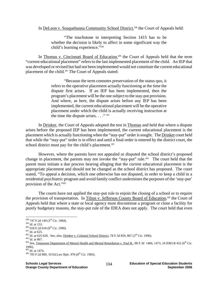#### In DeLeon v. Susquehanna Community School District,<sup>398</sup> the Court of Appeals held:

"The touchstone in interpreting Section 1415 has to be whether the decision is likely to affect in some significant way the child's learning experience."399

In Thomas v. Cincinnati Board of Education,<sup>400</sup> the Court of Appeals held that the term "current educational placement" refers to the last implemented placement of the child. An IEP that was developed or revised but had not been implemented would not constitute the current educational placement of the child.<sup>401</sup> The Court of Appeals stated:

> "Because the term connotes preservation of the status quo, it refers to the operative placement actually functioning at the time the dispute first arises. If an IEP has been implemented, then the program's placement will be the one subject to the stay-put provision. And where, as here, the dispute arises before any IEP has been implemented, the current educational placement will be the operative placement under which the child is actually receiving instruction at the time the dispute arises.  $\ldots$ ."  $402$

In Drinker, the Court of Appeals adopted the test in Thomas and held that where a dispute arises before the proposed IEP has been implemented, the current educational placement is the placement which is actually functioning when the "stay-put" order is sought. The Drinker court held that while the "stay-put" order is in effect and until a final order is entered by the district court, the school district must pay for the child's placement.<sup>403</sup>

However, where the parents have not appealed or disputed the school district's proposed change in placement, the parents may not invoke the "stay-put" rule.404 The court held that the parent must initiate a due process hearing alleging that the current educational placement is the appropriate placement and should not be changed as the school district has proposed. The court stated, "To appeal a decision, which one otherwise has not disputed, in order to keep a child in a residential psychiatric program and avoid family conflict undermines the purposes of the 'stay-put' provision of the Act."405

The courts have not applied the stay-put rule to enjoin the closing of a school or to require the provision of transportation. In Tilton v. Jefferson County Board of Education,<sup>406</sup> the Court of Appeals held that where a state or local agency must discontinue a program or close a facility for purely budgetary reasons, the stay-put rule of the IDEA does not apply. The court held that even

<sup>398 747</sup> F.2d 149 (3<sup>rd</sup> Cir. 1984).

<sup>&</sup>lt;sup>399</sup> Id. at 153.<br><sup>400</sup> 918 F.2d 618 (6<sup>th</sup> Cir. 1990).<br><sup>401</sup> Id. at 625.<br><sup>402</sup> Id. at 625-626. See, also, <u>Drinker v. Colonial School District</u>, 78 F.3d 859, 867 (3<sup>rd</sup> Cir. 1996).<br><sup>403</sup> Id. at 867.<br><sup>403</sup> Id. at 867.

<sup>1996).&</sup>lt;br> $405$  Id. at 1474.

 $406$  705 F.2d 800, 10 Ed.Law Rptr. 976 (6<sup>th</sup> Cir. 1983).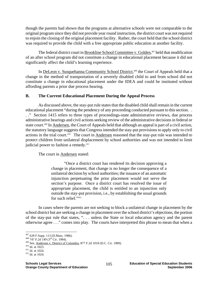though the parents had shown that the programs at alternative schools were not comparable to the original program since they did not provide year round instruction, the district court was not required to enjoin the closing of the original placement facility. Rather, the court held that the school district was required to provide the child with a free appropriate public education at another facility.

The federal district court in Brookline School Committee v. Golden,<sup>407</sup> held that modification of an after school program did not constitute a change in educational placement because it did not significantly affect the child's learning experience.

In DeLeon v. Susquehanna Community School District,<sup>408</sup> the Court of Appeals held that a change in the method of transportation of a severely disabled child to and from school did not constitute a change in educational placement under the IDEA and could be instituted without affording parents a prior due process hearing.

## **B. The Current Educational Placement During the Appeal Process**

As discussed above, the stay-put rule states that the disabled child shall remain in the current educational placement "during the pendency of any proceeding conducted pursuant to this section. . . ." Section 1415 refers to three types of proceedings-state administrative reviews, due process administrative hearings and civil actions seeking review of the administrative decisions in federal or state court.<sup>409</sup> In Andersen, the Court of Appeals held that although an appeal is part of a civil action, the statutory language suggests that Congress intended the stay-put provisions to apply only to civil actions in the trial court.<sup>410</sup> The court in Andersen reasoned that the stay-put rule was intended to protect children from unilateral displacement by school authorities and was not intended to limit judicial power to fashion a remedy.<sup>411</sup>

The court in Andersen stated:

"Once a district court has rendered its decision approving a change in placement, that change is no longer the consequence of a unilateral decision by school authorities; the issuance of an automatic injunction perpetuating the prior placement would not serve the section's purpose. Once a district court has resolved the issue of appropriate placement, the child is entitled to an injunction only outside the stay-put provision, i.e., by establishing the usual grounds for such relief."412

In cases where the parents are not seeking to block a unilateral change in placement by the school district but are seeking a change in placement over the school district's objections, the portion of the stay-put rule that states, ". . . unless the State or local education agency and the parent otherwise agree . . ." comes into play. The courts have interpreted this phrase to mean that when a

<sup>407 628</sup> F.Supp. 113 (D.Mass. 1986).

<sup>408 747</sup> F.2d 149 (3<sup>rd</sup> Cir. 1984).<br>
<sup>409</sup> See, <u>Andersen v. District of Columbia</u>, 877 F.2d 1018 (D.C. Cir. 1989).<br>
<sup>410</sup> Id. at 1023.<br>
<sup>411</sup> Id. at 1024.<br>
<sup>412</sup> Id. at 1024.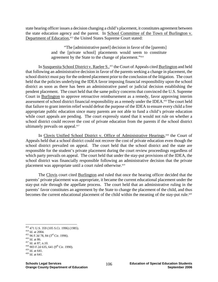state hearing officer issues a decision changing a child's placement, it constitutes agreement between the state education agency and the parent. In School Committee of the Town of Burlington v. Department of Education,<sup>413</sup> the United States Supreme Court stated:

> "The [administrative panel] decision in favor of the [parents] and the [private school] placements would seem to constitute agreement by the State to the change of placement."414

In Susquenita School District v. Raelee S.,<sup>415</sup> the Court of Appeals cited Burlington and held that following an administrative decision in favor of the parents seeking a change in placement, the school district must pay for the ordered placement prior to the conclusion of the litigation. The court held that the policies underlying the IDEA favor imposing financial responsibility upon the school district as soon as there has been an administrative panel or judicial decision establishing the pendent placement. The court held that the same policy concerns that convinced the U.S. Supreme Court in Burlington to approve retroactive reimbursement as a remedy, favor approving interim assessment of school district financial responsibility as a remedy under the IDEA.416 The court held that failure to grant interim relief would defeat the purpose of the IDEA to ensure every child a free appropriate public education since many parents are not able to fund a child's private education while court appeals are pending. The court expressly stated that it would not rule on whether a school district could recover the cost of private education from the parents if the school district ultimately prevails on appeal.<sup>417</sup>

In Clovis Unified School District v. Office of Administrative Hearings,<sup>418</sup> the Court of Appeals held that a school district could not recover the cost of private education even though the school district prevailed on appeal. The court held that the school district and the state are responsible for the student's private placement during the court review proceedings regardless of which party prevails on appeal. The court held that under the stay-put provisions of the IDEA, the school district was financially responsible following an administrative decision that the private placement was appropriate until a court ruled otherwise.<sup>419</sup>

The Clovis court cited Burlington and ruled that once the hearing officer decided that the parents' private placement was appropriate, it became the current educational placement under the stay-put rule through the appellate process. The court held that an administrative ruling in the parents' favor constitutes an agreement by the State to change the placement of the child, and thus becomes the current educational placement of the child within the meaning of the stay-put rule.<sup>420</sup>

1

<sup>&</sup>lt;sup>413</sup> 471 U.S. 359 (105 S.Ct. 1996) (1985).<br><sup>414</sup> Id. at 2004.<br><sup>415</sup> 96 F.3d 78, 84 (3<sup>rd</sup> Cir. 1996).<br><sup>416</sup> Id. at 86.<br><sup>418</sup> 903 F.2d 635, 641 (9<sup>th</sup> Cir. 1990).<br><sup>419</sup> Id. at 641.<br><sup>420</sup> Id. at 641.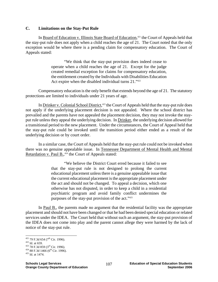#### **C. Limitations on the Stay-Put Rule**

In Board of Education v. Illinois State Board of Education,<sup>421</sup> the Court of Appeals held that the stay-put rule does not apply when a child reaches the age of 21. The Court noted that the only exception would be where there is a pending claim for compensatory education. The Court of Appeals stated:

> "We think that the stay-put provision does indeed cease to operate when a child reaches the age of 21. Except for the judge created remedial exception for claims for compensatory education, the entitlement created by the Individuals with Disabilities Education Act expire when the disabled individual turns 21."<sup>422</sup>

Compensatory education is the only benefit that extends beyond the age of 21. The statutory protections are limited to individuals under 21 years of age.

In Drinker v. Colonial School District,<sup>423</sup> the Court of Appeals held that the stay-put rule does not apply if the underlying placement decision is not appealed. Where the school district has prevailed and the parents have not appealed the placement decision, they may not invoke the stayput rule unless they appeal the underlying decision. In Drinker, the underlying decision allowed for a transitional period to the new placement. Under the circumstances, the Court of Appeal held that the stay-put rule could be invoked until the transition period either ended as a result of the underlying decision or by court order.

In a similar case, the Court of Appeals held that the stay-put rule could not be invoked when there was no genuine appealable issue. In Tennessee Department of Mental Health and Mental Retardation v. Paul B.,<sup>424</sup> the Court of Appeals stated:

> "We believe the District Court erred because it failed to see that the stay-put rule is not designed to prolong the current educational placement unless there is a genuine appealable issue that the current educational placement is the appropriate placement under the act and should not be changed. To appeal a decision, which one otherwise has not disputed, in order to keep a child in a residential psychiatric program and avoid family conflict undermines the purposes of the stay-put provision of the act."425

In Paul B., the parents made no argument that the residential facility was the appropriate placement and should not have been changed or that he had been denied special education or related services under the IDEA. The Court held that without such an argument, the stay-put provision of the IDEA does not come into play and the parent cannot allege they were harmed by the lack of notice of the stay-put rule.

<sup>&</sup>lt;u>.</u>

<sup>&</sup>lt;sup>421</sup> 79 F.3d 654 (7<sup>th</sup> Cir. 1996).<br><sup>422</sup> Id. at 659.<br><sup>423</sup> 78 F.3d 859 (3<sup>rd</sup> Cir. 1996).<br><sup>424</sup> 88 F.3d 1466 (6<sup>th</sup> Cir. 1996).<br><sup>425</sup> Id. at 1474.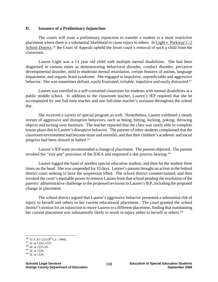#### **D. Issuance of a Preliminary Injunction**

The courts will issue a preliminary injunction to transfer a student to a more restrictive placement where there is a substantial likelihood to cause injury to others. In Light v. Parkway C-2 School District,<sup>426</sup> the Court of Appeals upheld the lower court's removal of such a child from the classroom.

Lauren Light was a 13 year old child with multiple mental disabilities. She had been diagnosed at various times as demonstrating behavioral disorder, conduct disorder, pervasive developmental disorder, mild to moderate mental retardation, certain features of autism, language impairment, and organic brain syndrome. She engaged in impulsive, unpredictable and aggressive behavior. She was sometimes defiant, easily frustrated, irritable, impulsive and easily distracted.<sup>427</sup>

Lauren was enrolled in a self-contained classroom for students with mental disabilities at a public middle school. In addition to the classroom teacher, Lauren's IEP required that she be accompanied by one full-time teacher and one full-time teacher's assistant throughout the school day.

She received a variety of special program as well. Nonetheless, Lauren exhibited a steady stream of aggressive and disruptive behaviors, such as biting, hitting, kicking, poking, throwing objects and turning over furniture. The teacher reported that the class was rarely able to complete lesson plans due to Lauren's disruptive behavior. The parents of other students complained that the classroom environment had become tense and stressful, and that their children's academic and social progress had been slowed or halted.428

Lauren's IEP team recommended a change of placement. The parents objected. The parents invoked the "stay-put" provision of the IDEA and requested a due process hearing.<sup>429</sup>

Lauren tugged the hand of another special education student, and then hit the student three times on the head. She was suspended for 10 days. Lauren's parents brought an action in the federal district court seeking to have the suspension lifted. The school district counterclaimed, and then invoked the court's equitable power to remove Lauren from that school pending the resolution of the parents' administrative challenge to the proposed revisions to Lauren's IEP, including the proposed change in placement.

The school district argued that Lauren's aggressive behavior presented a substantial risk of injury to herself and others in her current educational placement. The court granted the school district's motion for an injunction to move Lauren to a different placement, finding that maintaining her current placement was substantially likely to result in injury either to herself or others.<sup>430</sup>

<sup>&</sup>lt;u>.</u> <sup>426</sup> 41 F.3d 1223 (8<sup>th</sup> Cir. 1994).<br><sup>427</sup> Id. at 1224-1225.<br><sup>428</sup> Id. at 1225-26.<br><sup>429</sup> Id. at 1226.<br><sup>430</sup> Id. at 1226.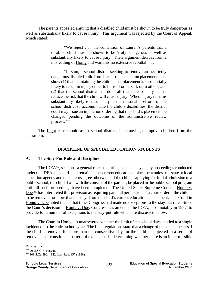The parents appealed arguing that a disabled child must be shown to be truly dangerous as well as substantially likely to cause injury. This argument was rejected by the Court of Appeal, which stated:

> "We reject . . . the contention of Lauren's parents that a disabled child must be shown to be 'truly' dangerous as well as substantially likely to cause injury. Their argument derives from a misreading of Honig and warrants no extensive rebuttal. . . .

> "In sum, a school district seeking to remove an assertedly dangerous disabled child from her current education placement must show (1) that maintaining the child in that placement is substantially likely to result in injury either to himself or herself, or to others, and (2) that the school district has done all that it reasonably can to reduce the risk that the child will cause injury. Where injury remains substantially likely to result despite the reasonable efforts of the school district to accommodate the child's disabilities, the district court may issue an injunction ordering that the child's placement be changed pending the outcome of the administrative review process."431

The Light case should assist school districts in removing disruptive children from the classroom.

## **DISCIPLINE OF SPECIAL EDUCATION STUDENTS**

## **A. The Stay-Put Rule and Discipline**

The IDEA<sup>432</sup>, sets forth a general rule that during the pendency of any proceedings conducted under the IDEA, the child shall remain in the current educational placement unless the state or local education agency and the parents agree otherwise. If the child is applying for initial admission to a public school, the child shall, with the consent of the parents, be placed in the public school program until all such proceedings have been completed. The United States Supreme Court in Honig v. Doe,<sup>433</sup> has interpreted this provision as requiring parental permission or a court order if the child is to be removed for more than ten days from the child's current educational placement. The Court in Honig v. Doe noted that at that time, Congress had made no exceptions to the stay-put rule. Since the Court's decision in Honig v. Doe, Congress has amended the IDEA, most notably in 1997, to provide for a number of exceptions to the stay-put rule which are discussed below.

The Court in Honig left unanswered whether the limit of ten school days applied to a single incident or to the entire school year. The final regulations state that a change of placement occurs if the child is removed for more than ten consecutive days or the child is subjected to a series of removals that constitute a pattern of exclusion. In determining whether there is an impermissible

<sup>&</sup>lt;sup>431</sup> Id. at 1228.

<sup>&</sup>lt;sup>432</sup> 20 U.S.C. § 1415(j).<br><sup>433</sup> 108 S.Ct. 592, 43 Ed.Law Rep. 857 (1988).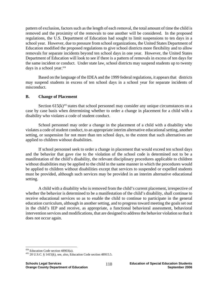pattern of exclusion, factors such as the length of each removal, the total amount of time the child is removed and the proximity of the removals to one another will be considered. In the proposed regulations, the U.S. Department of Education had sought to limit suspensions to ten days in a school year. However, due to pressure from school organizations, the United States Department of Education modified the proposed regulations to give school districts more flexibility and to allow removals for separate incidents beyond ten school days in one year. However, the United States Department of Education will look to see if there is a pattern of removals in excess of ten days for the same incident or conduct. Under state law, school districts may suspend students up to twenty days in a school year.<sup>434</sup>

Based on the language of the IDEA and the 1999 federal regulations, it appears that districts may suspend students in excess of ten school days in a school year for separate incidents of misconduct.

#### **B. Change of Placement**

Section  $615(k)^{435}$  states that school personnel may consider any unique circumstances on a case by case basis when determining whether to order a change in placement for a child with a disability who violates a code of student conduct.

 School personnel may order a change in the placement of a child with a disability who violates a code of student conduct, to an appropriate interim alternative educational setting, another setting, or suspension for not more than ten school days, to the extent that such alternatives are applied to children without disabilities.

 If school personnel seek to order a change in placement that would exceed ten school days and the behavior that gave rise to the violation of the school code is determined not to be a manifestation of the child's disability, the relevant disciplinary procedures applicable to children without disabilities may be applied to the child in the same manner in which the procedures would be applied to children without disabilities except that services to suspended or expelled students must be provided, although such services may be provided in an interim alternative educational setting.

 A child with a disability who is removed from the child's current placement, irrespective of whether the behavior is determined to be a manifestation of the child's disability, shall continue to receive educational services so as to enable the child to continue to participate in the general education curriculum, although in another setting, and to progress toward meeting the goals set out in the child's IEP and receive, as appropriate, a functional behavioral assessment, behavioral intervention services and modifications, that are designed to address the behavior violation so that it does not occur again.

<sup>1</sup> 

<sup>&</sup>lt;sup>434</sup> Education Code section 48903(a).  $43520$  U.S.C. § 1415(k), see, also, Education Code section 48915.5.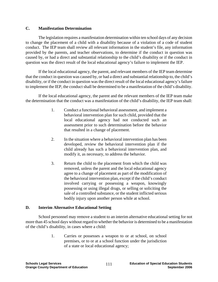## **C. Manifestation Determination**

 The legislation requires a manifestation determination within ten school days of any decision to change the placement of a child with a disability because of a violation of a code of student conduct. The IEP team shall review all relevant information in the student's file, any information provided by the parents, and teacher observations, to determine if the conduct in question was caused by, or had a direct and substantial relationship to the child's disability or if the conduct in question was the direct result of the local educational agency's failure to implement the IEP.

 If the local educational agency, the parent, and relevant members of the IEP team determine that the conduct in question was caused by, or had a direct and substantial relationship to, the child's disability, or if the conduct in question was the direct result of the local educational agency's failure to implement the IEP, the conduct shall be determined to be a manifestation of the child's disability.

 If the local educational agency, the parent and the relevant members of the IEP team make the determination that the conduct was a manifestation of the child's disability, the IEP team shall:

- 1. Conduct a functional behavioral assessment, and implement a behavioral intervention plan for such child, provided that the local educational agency had not conducted such an assessment prior to such determination before the behavior that resulted in a change of placement.
- 2. In the situation where a behavioral intervention plan has been developed, review the behavioral intervention plan if the child already has such a behavioral intervention plan, and modify it, as necessary, to address the behavior.
- 3. Return the child to the placement from which the child was removed, unless the parent and the local educational agency agree to a change of placement as part of the modification of the behavioral intervention plan, except if the child's conduct involved carrying or possessing a weapon, knowingly possessing or using illegal drugs, or selling or soliciting the sale of a controlled substance, or the student inflicted serious bodily injury upon another person while at school.

## **D. Interim Alternative Educational Setting**

 School personnel may remove a student to an interim alternative educational setting for not more than 45 school days without regard to whether the behavior is determined to be a manifestation of the child's disability, in cases where a child:

> 1. Carries or possesses a weapon to or at school, on school premises, or to or at a school function under the jurisdiction of a state or local educational agency;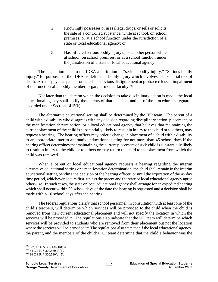- 2. Knowingly possesses or uses illegal drugs, or sells or solicits the sale of a controlled substance, while at school, on school premises, or at a school function under the jurisdiction of a state or local educational agency; or
- 3. Has inflicted serious bodily injury upon another person while at school, on school premises, or at a school function under the jurisdiction of a state or local educational agency.

 The legislation adds to the IDEA a definition of "serious bodily injury." "Serious bodily injury," for purposes of the IDEA, is defined as bodily injury which involves a substantial risk of death, extreme physical pain, protracted and obvious disfigurement or protracted loss or impairment of the function of a bodily member, organ, or mental faculty.436

 Not later than the date on which the decision to take disciplinary action is made, the local educational agency shall notify the parents of that decision, and all of the procedural safeguards accorded under Section 1415(k).

 The alternative educational setting shall be determined by the IEP team. The parent of a child with a disability who disagrees with any decision regarding disciplinary action, placement, or the manifestation determination, or a local educational agency that believes that maintaining the current placement of the child is substantially likely to result in injury to the child or to others, may request a hearing. The hearing officer may order a change in placement of a child with a disability to an appropriate interim alternative educational setting for not more than 45 school days if the hearing officer determines that maintaining the current placement of such child is substantially likely to result in injury to the child or to others or may return the child to the placement from which the child was removed.

 When a parent or local educational agency requests a hearing regarding the interim alternative educational setting or a manifestation determination, the child shall remain in the interim educational setting pending the decision of the hearing officer, or until the expiration of the 45 day time period, whichever occurs first, unless the parent and the state or local educational agency agree otherwise. In such cases, the state or local educational agency shall arrange for an expedited hearing which shall occur within 20 school days of the date the hearing is requested and a decision shall be made within 10 school days after the hearing.

 The federal regulations clarify that school personnel, in consultation with at least one of the child's teachers, will determine which services will be provided to the child when the child is removed from their current educational placement and will not specify the location in which the services will be provided.<sup>437</sup> The regulations also indicate that the IEP team will determine which services will be provided to students who are removed from their placement but not the location where the services will be provided.<sup>438</sup> The regulations also state that if the local educational agency, the parent, and the members of the child's IEP team determine that the child's behavior was the

<sup>&</sup>lt;sup>436</sup> See, 18 U.S.C. § 1365(h)(3).

 $^{437}$  34 C.F.R. § 300.530(d)(4).<br><sup>438</sup> 34 C.F.R. § 300.530(d)(5).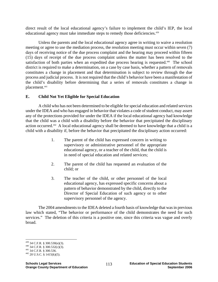direct result of the local educational agency's failure to implement the child's IEP, the local educational agency must take immediate steps to remedy those deficiencies.<sup>439</sup>

 Unless the parents and the local educational agency agree in writing to waive a resolution meeting or agree to use the mediation process, the resolution meeting must occur within seven (7) days of receiving notice of the due process complaint and the hearing may proceed within fifteen (15) days of receipt of the due process complaint unless the matter has been resolved to the satisfaction of both parties when an expedited due process hearing is requested.<sup>440</sup> The school district is required to make a determination, on a case by case basis, whether a pattern of removals constitutes a change in placement and that determination is subject to review through the due process and judicial process. It is not required that the child's behavior have been a manifestation of the child's disability before determining that a series of removals constitutes a change in placement.441

## **E. Child Not Yet Eligible for Special Education**

 A child who has not been determined to be eligible for special education and related services under the IDEA and who has engaged in behavior that violates a code of student conduct, may assert any of the protections provided for under the IDEA if the local educational agency had knowledge that the child was a child with a disability before the behavior that precipitated the disciplinary action occurred.442 A local educational agency shall be deemed to have knowledge that a child is a child with a disability if, before the behavior that precipitated the disciplinary action occurred:

- 1. The parent of the child has expressed concern in writing to supervisory or administrative personnel of the appropriate educational agency, or a teacher of the child, that the child is in need of special education and related services;
- 2. The parent of the child has requested an evaluation of the child; or
- 3. The teacher of the child, or other personnel of the local educational agency, has expressed specific concerns about a pattern of behavior demonstrated by the child, directly to the Director of Special Education of such agency or to other supervisory personnel of the agency.

 The 2004 amendments to the IDEA deleted a fourth basis of knowledge that was in previous law which stated, "The behavior or performance of the child demonstrates the need for such services." The deletion of this criteria is a positive one, since this criteria was vague and overly broad.

<sup>439 34</sup> C.F.R. § 300.530(e)(3).

<sup>440 34</sup> C.F.R. § 300.532(c)(3).<br>
441 34 C.F.R. § 300.536.<br>
442 20 U.S.C. § 1415(k)(5).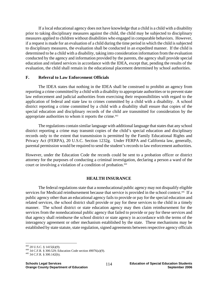If a local educational agency does not have knowledge that a child is a child with a disability prior to taking disciplinary measures against the child, the child may be subjected to disciplinary measures applied to children without disabilities who engaged in comparable behaviors. However, if a request is made for an evaluation of a child during the time period in which the child is subjected to disciplinary measures, the evaluation shall be conducted in an expedited manner. If the child is determined to be a child with a disability, taking into consideration information from the evaluation conducted by the agency and information provided by the parents, the agency shall provide special education and related services in accordance with the IDEA, except that, pending the results of the evaluation, the child shall remain in the educational placement determined by school authorities.

## **F. Referral to Law Enforcement Officials**

The IDEA states that nothing in the IDEA shall be construed to prohibit an agency from reporting a crime committed by a child with a disability to appropriate authorities or to prevent state law enforcement and judicial authorities from exercising their responsibilities with regard to the application of federal and state law to crimes committed by a child with a disability. A school district reporting a crime committed by a child with a disability shall ensure that copies of the special education and disciplinary records of the child are transmitted for consideration by the appropriate authorities to whom it reports the crime.<sup>443</sup>

The regulations contain similar language with additional language that states that any school district reporting a crime may transmit copies of the child's special education and disciplinary records only to the extent that transmission is permitted by the Family Educational Rights and Privacy Act (FERPA), 20 U.S.C. Section 1232g. Under FERPA and California law, generally, parental permission would be required to send the student's records to law enforcement authorities.

However, under the Education Code the records could be sent to a probation officer or district attorney for the purposes of conducting a criminal investigation, declaring a person a ward of the court or involving a violation of a condition of probation.<sup>444</sup>

## **HEALTH INSURANCE**

The federal regulations state that a noneducational public agency may not disqualify eligible services for Medicaid reimbursement because that service is provided in the school context.<sup>445</sup> If a public agency other than an educational agency fails to provide or pay for the special education and related services, the school district shall provide or pay for these services to the child in a timely manner. The school district or state education agency may then claim reimbursement for the services from the noneducational public agency that failed to provide or pay for these services and that agency shall reimburse the school district or state agency in accordance with the terms of the interagency agreement or other mechanism established by the state. These mechanisms may be established by state statute, state regulation, signed agreements between respective agency officials

<sup>443 20</sup> U.S.C. § 1415(k)(9).

<sup>444 34</sup> C.F.R. § 300.529; Education Code section 49076(a)(9).  $445$  34 C.F.R. § 300.142(b).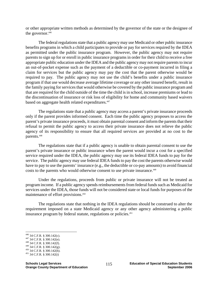or other appropriate written methods as determined by the governor of the state or the designee of the governor.<sup>446</sup>

The federal regulations state that a public agency may use Medicaid or other public insurance benefits programs in which a child participates to provide or pay for services required by the IDEA as permitted under the public insurance program. However, the public agency may not require parents to sign up for or enroll in public insurance programs in order for their child to receive a free appropriate public education under the IDEA and the public agency may not require parents to incur an out-of-pocket expense such as the payment of a deductible or co-payment incurred in filing a claim for services but the public agency may pay the cost that the parent otherwise would be required to pay. The public agency may not use the child's benefits under a public insurance program if that use would decrease average lifetime coverage or any other insured benefit, result in the family paying for services that would otherwise be covered by the public insurance program and that are required for the child outside of the time the child is in school, increase premiums or lead to the discontinuation of insurance or risk loss of eligibility for home and community based waivers based on aggregate health related expenditures.<sup>447</sup>

The regulations state that a public agency may access a parent's private insurance proceeds only if the parent provides informed consent. Each time the public agency proposes to access the parent's private insurance proceeds, it must obtain parental consent and inform the parents that their refusal to permit the public agency to access their private insurance does not relieve the public agency of its responsibility to ensure that all required services are provided at no cost to the parents.448

The regulations state that if a public agency is unable to obtain parental consent to use the parent's private insurance or public insurance when the parent would incur a cost for a specified service required under the IDEA, the public agency may use its federal IDEA funds to pay for the service. The public agency may use federal IDEA funds to pay the cost the parents otherwise would have to pay to use the parents' insurance (e.g., the deductible or co-pay amounts) to avoid financial costs to the parents who would otherwise consent to use private insurance.449

Under the regulations, proceeds from public or private insurance will not be treated as program income. If a public agency spends reimbursements from federal funds such as Medicaid for services under the IDEA, those funds will not be considered state or local funds for purposes of the maintenance of effort provisions.450

The regulations state that nothing in the IDEA regulations should be construed to alter the requirement imposed on a state Medicaid agency or any other agency administering a public insurance program by federal statute, regulations or policies.<sup>451</sup>

 $446$  34 C.F.R. § 300.142(c).

<sup>447 34</sup> C.F.R. § 300.142(e).<br>
448 34 C.F.R. § 300.142(f).<br>
449 34 C.F.R. § 300.142(g).<br>
450 34 C.F.R. § 300.142(h).<br>
451 34 C.F.R. § 300.142(i)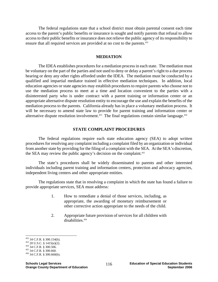The federal regulations state that a school district must obtain parental consent each time access to the parent's public benefits or insurance is sought and notify parents that refusal to allow access to their public benefits or insurance does not relieve the public agency of its responsibility to ensure that all required services are provided at no cost to the parents.<sup>452</sup>

#### **MEDIATION**

The IDEA establishes procedures for a mediation process in each state. The mediation must be voluntary on the part of the parties and not used to deny or delay a parent's right to a due process hearing or deny any other rights afforded under the IDEA. The mediation must be conducted by a qualified and impartial mediator trained in effective mediation techniques. In addition, local education agencies or state agencies may establish procedures to require parents who choose not to use the mediation process to meet at a time and location convenient to the parties with a disinterested party who is under contract with a parent training or information center or an appropriate alternative dispute resolution entity to encourage the use and explain the benefits of the mediation process to the parents. California already has in place a voluntary mediation process. It will be necessary to amend state law to provide for parent training and information center or alternative dispute resolution involvement.<sup>453</sup> The final regulations contain similar language.<sup>454</sup>

#### **STATE COMPLAINT PROCEDURES**

The federal regulations require each state education agency (SEA) to adopt written procedures for resolving any complaint including a complaint filed by an organization or individual from another state by providing for the filing of a complaint with the SEA. At the SEA's discretion, the SEA may review the public agency's decision on the complaint.<sup>455</sup>

The state's procedures shall be widely disseminated to parents and other interested individuals including parent training and information centers, protection and advocacy agencies, independent living centers and other appropriate entities.

The regulations state that in resolving a complaint in which the state has found a failure to provide appropriate services, SEA must address:

- 1. How to remediate a denial of those services, including, as appropriate, the awarding of monetary reimbursement or other corrective action appropriate to the needs of the child.
- 2. Appropriate future provision of services for all children with disabilities<sup>456</sup>

 $452$  34 C.F.R. § 300.154(b).

<sup>453 20</sup> U.S.C. § 1415(e)(2). 454 34 C.F.R. § 300.506. 455 34 C.F.R. § 300.660. 456 34 C.F.R. § 300.660(b).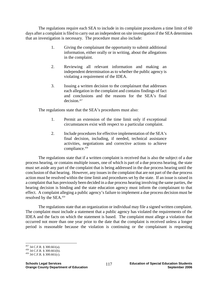The regulations require each SEA to include in its complaint procedures a time limit of 60 days after a complaint is filed to carry out an independent on site investigation if the SEA determines that an investigation is necessary. The procedure must also include:

- 1. Giving the complainant the opportunity to submit additional information, either orally or in writing, about the allegations in the complaint.
- 2. Reviewing all relevant information and making an independent determination as to whether the public agency is violating a requirement of the IDEA.
- 3. Issuing a written decision to the complainant that addresses each allegation in the complaint and contains findings of fact and conclusions and the reasons for the SEA's final decision.<sup>457</sup>

The regulations state that the SEA's procedures must also:

- 1. Permit an extension of the time limit only if exceptional circumstances exist with respect to a particular complaint.
- 2. Include procedures for effective implementation of the SEA's final decision, including, if needed, technical assistance activities, negotiations and corrective actions to achieve compliance.458

The regulations state that if a written complaint is received that is also the subject of a due process hearing, or contains multiple issues, one of which is part of a due process hearing, the state must set aside any part of the complaint that is being addressed in the due process hearing until the conclusion of that hearing. However, any issues in the complaint that are not part of the due process action must be resolved within the time limit and procedures set by the state. If an issue is raised in a complaint that has previously been decided in a due process hearing involving the same parties, the hearing decision is binding and the state education agency must inform the complainant to that effect. A complaint alleging a public agency's failure to implement a due process decision must be resolved by the SEA.459

The regulations state that an organization or individual may file a signed written complaint. The complaint must include a statement that a public agency has violated the requirements of the IDEA and the facts on which the statement is based. The complaint must allege a violation that occurred not more than one year prior to the date that the complaint is received unless a longer period is reasonable because the violation is continuing or the complainant is requesting

 $^{457}$  34 C.F.R. § 300.661(a).

 $^{458}$  34 C.F.R. § 300.661(b).<br><sup>459</sup> 34 C.F.R. § 300.661(c).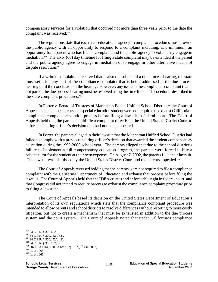compensatory services for a violation that occurred not more than three years prior to the date the complaint was received.460

The regulations state that each state educational agency's complaint procedures must provide the public agency with an opportunity to respond to a complaint including, at a minimum, an opportunity for a parent who has filed a complaint and the public agency to voluntarily engage in mediation.461 The sixty (60) day timeline for filing a state complaint may be extended if the parent and the public agency agree to engage in mediation or to engage in other alternative means of dispute resolution.<sup>462</sup>

If a written complaint is received that is also the subject of a due process hearing, the state must set aside any part of the compliance complaint that is being addressed in the due process hearing until the conclusion of the hearing. However, any issue in the compliance complaint that is not part of the due process hearing must be resolved using the time limit and procedures described in the state complaint procedures.<sup>463</sup>

In Porter v. Board of Trustees of Manhattan Beach Unified School District,<sup>464</sup> the Court of Appeals held that the parents of a special education student were not required to exhaust California's compliance complaint resolution process before filing a lawsuit in federal court. The Court of Appeals held that the parents could file a complaint directly in the United States District Court to enforce a hearing officer's decision that had not been appealed.

 In Porter, the parents alleged in their lawsuit that the Manhattan Unified School District had failed to comply with a previous hearing officer's decision that awarded the student compensatory education during the 1999-2000 school year. The parents alleged that due to the school district's failure to implement a full compensatory education program, the parents were forced to hire a private tutor for the student at their own expense. On August 7, 2002, the parents filed their lawsuit. The lawsuit was dismissed by the United States District Court and the parents appealed.<sup>465</sup>

 The Court of Appeals reversed holding that he parents were not required to file a compliance complaint with the California Department of Education and exhaust that process before filing the lawsuit. The Court of Appeals held that the IDEA creates and enforceable right in federal court, and that Congress did not intend to require parents to exhaust the compliance complaint procedure prior to filing a lawsuit.<sup>466</sup>

 The Court of Appeals based its decision on the United States Department of Education's interpretation of its own regulations which state that the compliance complaint procedure was intended to allow parents and school districts to resolve differences without resorting to more costly litigation, but not to create a mechanism that must be exhausted in addition to the due process system and the court system. The Court of Appeals noted that under California's compliance

 $^{460}$  34 C.F.R. § 300.662.

<sup>461 34</sup> C.F.R. § 300.152(a)(3).<br>
462 34 C.F.R. § 300.152(b)(1).<br>
463 34 C.F.R. § 300.152(c).<br>
464 307 F.3d 1064, 170 Ed.Law Rep. 152 (9<sup>th</sup> Cir. 2002).<br>
<sup>465</sup> Id. at 1065.<br>
<sup>466</sup> Id. at 1066.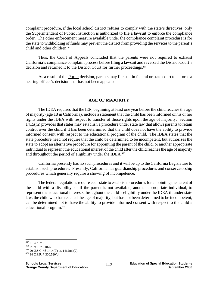complaint procedure, if the local school district refuses to comply with the state's directives, only the Superintendent of Public Instruction is authorized to file a lawsuit to enforce the compliance order. The other enforcement measure available under the compliance complaint procedure is for the state to withholding of funds may prevent the district from providing the services to the parent's child and other children.<sup>467</sup>

 Thus, the Court of Appeals concluded that the parents were not required to exhaust California's compliance complaint process before filing a lawsuit and reversed the District Court's decision and returned it to the District Court for further proceedings.<sup>468</sup>

 As a result of the Porter decision, parents may file suit in federal or state court to enforce a hearing officer's decision that has not been appealed.

#### **AGE OF MAJORITY**

The IDEA requires that the IEP, beginning at least one year before the child reaches the age of majority (age 18 in California), include a statement that the child has been informed of his or her rights under the IDEA with respect to transfer of those rights upon the age of majority. Section 1415(m) provides that states may establish a procedure under state law that allows parents to retain control over the child if it has been determined that the child does not have the ability to provide informed consent with respect to the educational program of the child. The IDEA states that the state procedure need not require that the child be determined to be incompetent, but authorizes the state to adopt an alternative procedure for appointing the parent of the child, or another appropriate individual to represent the educational interest of the child after the child reaches the age of majority and throughout the period of eligibility under the IDEA.<sup>469</sup>

California presently has no such procedures and it will be up to the California Legislature to establish such procedures. Presently, California has guardianship procedures and conservatorship procedures which generally require a showing of incompetence.

The federal regulations require each state to establish procedures for appointing the parent of the child with a disability, or if the parent is not available, another appropriate individual, to represent the educational interests throughout the child's eligibility under the IDEA if, under state law, the child who has reached the age of majority, but has not been determined to be incompetent, can be determined not to have the ability to provide informed consent with respect to the child's educational program.470

<sup>&</sup>lt;sup>467</sup> Id. at 1073.

<sup>468</sup> Id. at 1073-1075<br><sup>469</sup> 20 U.S.C. §§ 1414(d)(1), 1415(m)(2).<br><sup>470</sup> 34 C.F.R. § 300.520(b).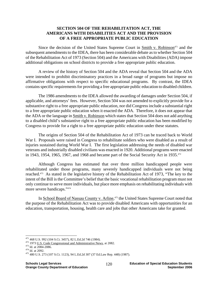## **SECTION 504 OF THE REHABILITATION ACT, THE AMERICANS WITH DISABILITIES ACT AND THE PROVISION OF A FREE APPROPRIATE PUBLIC EDUCATION**

Since the decision of the United States Supreme Court in Smith v. Robinson<sup> $471$ </sup> and the subsequent amendments to the IDEA, there has been considerable debate as to whether Section 504 of the Rehabilitation Act of 1973 (Section 504) and the Americans with Disabilities (ADA) impose additional obligations on school districts to provide a free appropriate public education.

A review of the history of Section 504 and the ADA reveal that Section 504 and the ADA were intended to prohibit discriminatory practices in a broad range of programs but impose no affirmative obligations with respect to specific educational programs. By contrast, the IDEA contains specific requirements for providing a free appropriate public education to disabled children.

The 1986 amendments to the IDEA allowed the awarding of damages under Section 504, if applicable, and attorneys' fees. However, Section 504 was not amended to explicitly provide for a substantive right to a free appropriate public education, nor did Congress include a substantial right to a free appropriate public education when it enacted the ADA. Therefore, it does not appear that the ADA or the language in Smith v. Robinson which states that Section 504 does not add anything to a disabled child's substantive right to a free appropriate public education has been modified by Congress to provide for a right to a free appropriate public education under these statutes.

The origins of Section 504 of the Rehabilitation Act of 1973 can be traced back to World War I. Proposals were raised in Congress to rehabilitate soldiers who were disabled as a result of injuries sustained during World War I. The first legislation addressing the needs of disabled war veterans and industrially disabled civilians was enacted in 1920. Additional programs were enacted in 1943, 1954, 1965, 1967, and 1968 and became part of the Social Security Act in 1935.<sup>472</sup>

Although Congress has estimated that over three million handicapped people were rehabilitated under those programs, many severely handicapped individuals were not being reached.473 As stated in the legislative history of the Rehabilitation Act of 1973, "The key to the intent of the Bill is the Committee's belief that the basic vocational rehabilitation program must not only continue to serve more individuals, but place more emphasis on rehabilitating individuals with more severe handicaps."474

In School Board of Nassau County v. Arline,<sup>475</sup> the United States Supreme Court noted that the purpose of the Rehabilitation Act was to provide disabled Americans with opportunities for an education, transportation, housing, health care and jobs that other Americans take for granted.

<sup>471 468</sup> U.S. 992 (104 S.Ct. 3457), 82 L.Ed.2d 746 (1984).

<sup>&</sup>lt;sup>472</sup> 1973 <u>U.S. Code Congressional and Administrative News</u>, at 2082.<br><sup>473</sup> Id. at 2084-2086.<br><sup>474</sup> Id. at 2092.<br><sup>475</sup> 480 U.S. 273 (107 S.Ct. 1123), 94 L.Ed.2d 307 (37 Ed.Law Rep. 448) (1987).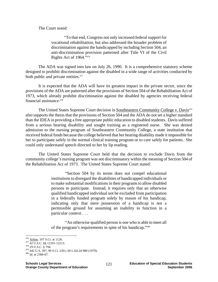The Court noted:

"To that end, Congress not only increased federal support for vocational rehabilitation, but also addressed the broader problem of discrimination against the handicapped by including Section 504, an anti-discrimination provision patterned after Title VI of the Civil Rights Act of 1964."476

The ADA was signed into law on July 26, 1990. It is a comprehensive statutory scheme designed to prohibit discrimination against the disabled in a wide range of activities conducted by both public and private entities.<sup>477</sup>

It is expected that the ADA will have its greatest impact in the private sector, since the provisions of the ADA are patterned after the provisions of Section 504 of the Rehabilitation Act of 1973, which already prohibit discrimination against the disabled by agencies receiving federal financial assistance.478

The United States Supreme Court decision in Southeastern Community College v. Davis<sup>479</sup> also supports the thesis that the provisions of Section 504 and the ADA do not set a higher standard than the IDEA in providing a free appropriate public education to disabled students. Davis suffered from a serious hearing disability and sought training as a registered nurse. She was denied admission to the nursing program of Southeastern Community College, a state institution that received federal funds because the college believed that her hearing disability made it impossible for her to participate safely in the normal clinical training program or to care safely for patients. She could only understand speech directed to her by lip reading.

The United States Supreme Court held that the decision to exclude Davis from the community college's nursing program was not discriminatory within the meaning of Section 504 of the Rehabilitation Act of 1973. The United States Supreme Court stated:

> "Section 504 by its terms does not compel educational institutions to disregard the disabilities of handicapped individuals or to make substantial modifications in their programs to allow disabled persons to participate. Instead, it requires only that an otherwise qualified handicapped individual not be excluded from participation in a federally funded program solely by reason of his handicap, indicating only that mere possession of a handicap is not a permissible ground for assuming an inability to function in a particular context . . .

> "An otherwise qualified person is one who is able to meet all of the program's requirements in spite of his handicap."480

 $476$  Arline, 107 S.Ct. at 1126.

<sup>477 42</sup> U.S.C. §§ 12101-12213.<br><sup>478</sup> 29 U.S.C. § 794.<br><sup>479</sup> 442 U.S. 397, 99 S.Ct. 2361, 60 L.Ed.2d 980 (1979).<br><sup>480</sup> Id. at 2366-67.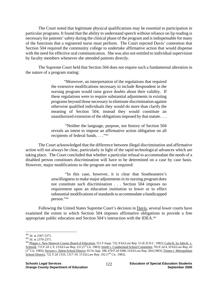The Court noted that legitimate physical qualifications may be essential to participation in particular programs. It found that the ability to understand speech without reliance on lip reading is necessary for patients' safety during the clinical phase of the program and is indispensable for many of the functions that a registered nurse must perform. The Court rejected Davis' contention that Section 504 required the community college to undertake affirmative action that would dispense with the need for effective oral communication. She was also not entitled to individual supervision by faculty members whenever she attended patients directly.

The Supreme Court held that Section 504 does not require such a fundamental alteration in the nature of a program stating:

> "Moreover, an interpretation of the regulations that required the extensive modifications necessary to include Respondent in the nursing program would raise grave doubts about their validity. If these regulations were to require substantial adjustments in existing programs beyond those necessary to eliminate discrimination against otherwise qualified individuals they would do more than clarify the meaning of Section 504, instead they would constitute an unauthorized extension of the obligations imposed by that statute. . . .

> "Neither the language, purpose, nor history of Section 504 reveals an intent to impose an affirmative action obligation on all recipients of federal funds. . . ."481

The Court acknowledged that the difference between illegal discrimination and affirmative action will not always be clear, particularly in light of the rapid technological advances which are taking place. The Court concluded that whether a particular refusal to accommodate the needs of a disabled person constitutes discrimination will have to be determined on a case by case basis. However, major modifications to the program are not required:

> "In this case, however, it is clear that Southeastern's unwillingness to make major adjustments in its nursing program does not constitute such discrimination . . . Section 504 imposes no requirement upon an education institution to lower or to effect substantial modifications of standards to accommodate a handicapped person."482

Following the United States Supreme Court's decision in Davis, several lower courts have examined the extent to which Section 504 imposes affirmative obligations to provide a free appropriate public education and Section 504's interaction with the IDEA.483

 $481$  Id. at 2367-2371.

<sup>&</sup>lt;sup>482</sup> Id. at 2370-2371.<br><sup>483</sup> Phipps v. New Hanover County Board of Education, 551 F.Supp. 732, 8 Ed.Law Rep. 15 (E.D.N.C. 1982); Colin K. by John K. v. Schmidt, 715 F.2d 1, 9, 13 Ed.Law Rep. 221 (1<sup>st</sup> Cir. 1983); Smith v. Cumberland School Committee, 703 F.2d 4, 10 Ed.Law Rep. 43 (1st Cir. 1983); Stewart v. Salem School District, 65 Or.App. 188, 670 P.2d 1048, 14 Ed.Law Rep. 204 (1983); Timms v. Metropolitan School District, 722 F.2d 1310, 1317-19, 15 Ed.Law Rep. 102 (7<sup>th</sup> Cir. 1983).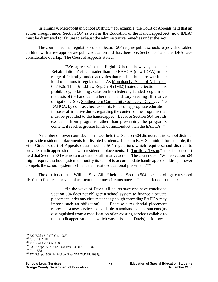In Timms v. Metropolitan School District,<sup>484</sup> for example, the Court of Appeals held that an action brought under Section 504 as well as the Education of the Handicapped Act (now IDEA) must be dismissed for failure to exhaust the administrative remedies under the Act.

The court noted that regulations under Section 504 require public schools to provide disabled children with a free appropriate public education and that, therefore, Section 504 and the IDEA have considerable overlap. The Court of Appeals stated:

> "We agree with the Eighth Circuit, however, that the Rehabilitation Act is broader than the EAHCA (now IDEA) in the range of federally funded activities that reach us but narrower in the kind of actions it regulates. . . . As Monahan [v. State of Nebraska, 687 F.2d 1164 [6 Ed.Law Rep. 520] (1982)] notes . . . Section 504 is prohibitory, forbidding exclusion from federally-funded programs on the basis of the handicap, rather than mandatory, creating affirmative obligations. See, Southeastern Community College v. Davis . . . The EAHCA, by contrast, because of its focus on appropriate education, imposes affirmative duties regarding the content of the programs that must be provided to the handicapped. Because Section 504 forbids exclusion from programs rather than prescribing the program's content, it reaches grosser kinds of misconduct than the EAHCA."485

A number of lower court decisions have held that Section 504 did not require school districts to provide residential placements for disabled students. In Colin K. v. Schmidt,<sup>486</sup> for example, the First Circuit Court of Appeals questioned the 504 regulations which require school districts to provide handicapped students with residential placements. In Turillo v. Tyson,<sup>487</sup> the district court held that Section 504 was not a mandate for affirmative action. The court noted, "While Section 504 might require a school system to modify its school to accommodate handicapped children, it never compels the school system to finance a private educational placement."488

The district court in William S. v. Gill,<sup>489</sup> held that Section 504 does not obligate a school district to finance a private placement under any circumstances. The district court noted:

> "In the wake of Davis, all courts save one have concluded Section 504 does not obligate a school system to finance a private placement under any circumstances (though conceding EAHCA may impose such an obligation) . . . Because a residential placement represents a new service not available to nonhandicapped students (as distinguished from a modification of an existing service available to nonhandicapped students, which was at issue in Davis), it follows a

<sup>484 722</sup> F.2d 1310 (7<sup>th</sup> Cir. 1983).

<sup>485</sup> Id. at 1317-18.<br><sup>486</sup> 715 F.2d 1 (1<sup>st</sup> Cir. 1983).<br><sup>487</sup> 535 F.Supp. 577, 3 Ed.Law Rep. 639 (D.R.I. 1982).<br><sup>488</sup> 572 F.Supp. 509, 14 Ed.Law Rep. 279 (N.D.Ill. 1983).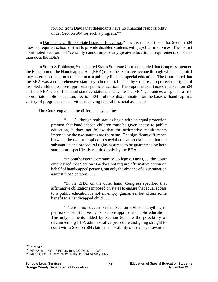fortiori from Davis that defendants have no financial responsibility under Section 504 for such a program."490

In Darlene L. v. Illinois State Board of Education,<sup>491</sup> the district court held that Section 504 does not require a school district to provide disabled students with psychiatric services. The district court noted Section 504 "certainly cannot impose any greater educational requirements on states than does the IDEA."

In Smith v. Robinson,<sup>492</sup> the United States Supreme Court concluded that Congress intended the Education of the Handicapped Act (EHA) to be the exclusive avenue through which a plaintiff may assert an equal protection claim to a publicly financed special education. The Court noted that the EHA was a comprehensive statutory scheme established by Congress to protect the rights of disabled children to a free appropriate public education. The Supreme Court noted that Section 504 and the EHA are different substantive statutes and while the EHA guarantees a right to a free appropriate public education, Section 504 prohibits discrimination on the basis of handicap in a variety of programs and activities receiving federal financial assistance.

The Court explained the difference by stating:

". . . [A]lthough both statues begin with an equal protection premise that handicapped children must be given access to public education, it does not follow that the affirmative requirements imposed by the two statutes are the same. The significant difference between the two, as applied to special education claims, is that the substantive and procedural rights assumed to be guaranteed by both statutes are specifically required only by the EHA . . .

"In Southeastern Community College v. Davis, . . . the Court emphasized that Section 504 does not require affirmative action on behalf of handicapped persons, but only the absence of discrimination against those persons. . . .

"In the EHA, on the other hand, Congress specified that affirmative obligations imposed on states to ensure that equal access to a public education is not an empty guarantee, but offers some benefit to a handicapped child . . .

"There is no suggestion that Section 504 adds anything to petitioners' substantive rights to a free appropriate public education. The only elements added by Section 504 are the possibility of circumventing EHA administrative procedure and going straight to court with a Section 504 claim, the possibility of a damages award in

 $490$  Id. at 517.

<sup>&</sup>lt;sup>491</sup> 568 F.Supp. 1340, 13 Ed.Law Rep. 282 (N.D. Ill. 1983).<br><sup>492</sup> 468 U.S. 992 (104 S.Ct. 3457, 3468), 82 L.Ed.2d 746 (1984).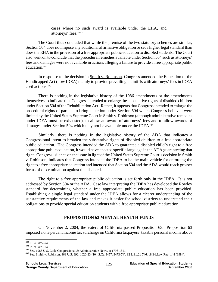cases where no such award is available under the EHA, and attorneys' fees."493

The Court thus concluded that while the premise of the two statutory schemes are similar, Section 504 does not impose any additional affirmative obligation or set a higher legal standard than does the EHA in the provision of a free appropriate public education to disabled students. The Court also went on to conclude that the procedural remedies available under Section 504 such as attorneys' fees and damages were not available in actions alleging a failure to provide a free appropriate public education.494

In response to the decision in Smith v. Robinson, Congress amended the Education of the Handicapped Act (now IDEA) mainly to provide prevailing plaintiffs with attorneys' fees in IDEA civil actions.495

There is nothing in the legislative history of the 1986 amendments or the amendments themselves to indicate that Congress intended to enlarge the substantive rights of disabled children under Section 504 of the Rehabilitation Act. Rather, it appears that Congress intended to enlarge the procedural rights of parents to bring an action under Section 504 which Congress believed were limited by the United States Supreme Court in Smith v. Robinson (although administrative remedies under IDEA must be exhausted), to allow an award of attorneys' fees and to allow awards of damages under Section 504 which may not be available under the IDEA.<sup>496</sup>

Similarly, there is nothing in the legislative history of the ADA that indicates a Congressional intent to broaden the substantive rights of disabled children to a free appropriate public education. Had Congress intended the ADA to guarantee a disabled child's right to a free appropriate public education, it would have enacted specific language in the ADA guaranteeing that right. Congress' silence on the issue in light of the United States Supreme Court's decision in Smith v. Robinson, indicates that Congress intended the IDEA to be the main vehicle for enforcing the right to a free appropriate education and intended that Section 504 and the ADA would reach grosser forms of discrimination against the disabled.

The right to a free appropriate public education is set forth only in the IDEA. It is not addressed by Section 504 or the ADA. Case law interpreting the IDEA has developed the Rowley standard for determining whether a free appropriate public education has been provided. Establishing a single legal standard under the IDEA allows for a clearer understanding of the substantive requirements of the law and makes it easier for school districts to understand their obligations to provide special education students with a free appropriate public education.

## **PROPOSITION 63 MENTAL HEALTH FUNDS**

On November 2, 2004, the voters of California passed Proposition 63. Proposition 63 imposed a one percent income tax surcharge on California taxpayers' taxable personal income above

<sup>&</sup>lt;sup>493</sup> Id. at 3472-74.

<sup>&</sup>lt;sup>494</sup> Id. at 3473-74.<br><sup>495</sup> See, 1986 <u>U.S. Code Congressional & Administrative News</u>, at 1798-1811.<br><sup>496</sup> See, <u>Smith v. Robinson</u>, 468 U.S. 992, 1020-23 (104 S.Ct. 3457, 3473-74), 82 L.Ed.2d 746, 18 Ed.Law Rep. 148 (1984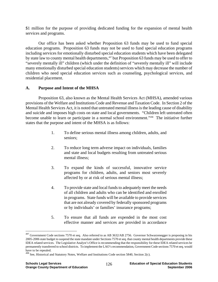\$1 million for the purpose of providing dedicated funding for the expansion of mental health services and programs.

 Our office has been asked whether Proposition 63 funds may be used to fund special education programs. Proposition 63 funds may not be used to fund special education programs including services for emotionally disturbed special education students which have been delegated by state law to county mental health departments,<sup>497</sup> but Proposition 63 funds may be used to offer to "severely mentally ill" children (which under the definition of "severely mentally ill" will include many emotionally disturbed special education students) services which may decrease the number of children who need special education services such as counseling, psychological services, and residential placement.

# **A. Purpose and Intent of the MHSA**

 Proposition 63, also known as the Mental Health Services Act (MHSA), amended various provisions of the Welfare and Institutions Code and Revenue and Taxation Code. In Section 2 of the Mental Health Services Act, it is noted that untreated mental illness is the leading cause of disability and suicide and imposes high costs on state and local governments. "Children left untreated often become unable to learn or participate in a normal school environment."498 The initiative further states that the purpose and intent of the MHSA is as follows:

- 1. To define serious mental illness among children, adults, and seniors;
- 2. To reduce long term adverse impact on individuals, families and state and local budgets resulting from untreated serious mental illness;
- 3. To expand the kinds of successful, innovative service programs for children, adults, and seniors most severely affected by or at risk of serious mental illness;
- 4. To provide state and local funds to adequately meet the needs of all children and adults who can be identified and enrolled in programs. State funds will be available to provide services that are not already covered by federally sponsored programs or by individuals' or families' insurance programs;
- 5. To ensure that all funds are expended in the most cost effective manner and services are provided in accordance

<sup>&</sup>lt;sup>497</sup> Government Code sections 7570 et seq. Also referred to as AB 3632/AB 2756. Governor Schwarzenegger is proposing in his 2005-2006 state budget to suspend the state mandate under Sections 7570 et seq. that county mental health departments provide these IDEA related services. The Legislative Analyst's Office is recommending that the responsibility for these IDEA related services be permanently transferred to school districts. To implement the LAO's recommendation, Government Code sections 7570 et seq. would have to be repealed.

 $498$  See, Historical and Statutory Notes, Welfare and Institutions Code section 5840, Section 2(c).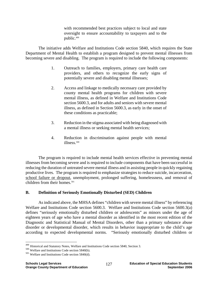with recommended best practices subject to local and state oversight to ensure accountability to taxpayers and to the public.499

 The initiative adds Welfare and Institutions Code section 5840, which requires the State Department of Mental Health to establish a program designed to prevent mental illnesses from becoming severe and disabling. The program is required to include the following components:

- 1. Outreach to families, employers, primary care health care providers, and others to recognize the early signs of potentially severe and disabling mental illnesses;
- 2. Access and linkage to medically necessary care provided by county mental health programs for children with severe mental illness, as defined in Welfare and Institutions Code section 5600.3, and for adults and seniors with severe mental illness, as defined in Section 5600.3, as early in the onset of these conditions as practicable;
- 3. Reduction in the stigma associated with being diagnosed with a mental illness or seeking mental health services;
- 4. Reduction in discrimination against people with mental illness.<sup>500</sup>

The program is required to include mental health services effective in preventing mental illnesses from becoming severe and is required to include components that have been successful in reducing the duration of untreated severe mental illness and in assisting people in quickly regaining productive lives. The program is required to emphasize strategies to reduce suicide, incarceration, school failure or dropout, unemployment, prolonged suffering, homelessness, and removal of children from their homes.<sup>501</sup>

## **B. Definition of Seriously Emotionally Disturbed (SED) Children**

 As indicated above, the MHSA defines "children with severe mental illness" by referencing Welfare and Institutions Code section 5600.3. Welfare and Institutions Code section 5600.3(a) defines "seriously emotionally disturbed children or adolescents" as minors under the age of eighteen years of age who have a mental disorder as identified in the most recent edition of the Diagnostic and Statistical Manual of Mental Disorders, other than a primary substance abuse disorder or developmental disorder, which results in behavior inappropriate to the child's age according to expected developmental norms. "Seriously emotionally disturbed children or

<sup>&</sup>lt;sup>499</sup> Historical and Statutory Notes, Welfare and Institutions Code section 5840, Section 3.<br><sup>500</sup> Welfare and Institutions Code section 5840(d).<br><sup>501</sup> Welfare and Institutions Code section 5840(d).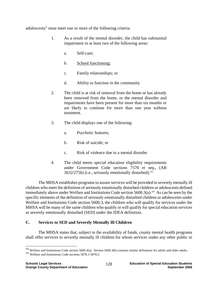adolescents" must meet one or more of the following criteria:

- 1. As a result of the mental disorder, the child has substantial impairment in at least two of the following areas:
	- a. Self-care;
	- b. School functioning;
	- c. Family relationships; or
	- d. Ability to function in the community
- 2. The child is at risk of removal from the home or has already been removed from the home, or the mental disorder and impairments have been present for more than six months or are likely to continue for more than one year without treatment.
- 3. The child displays one of the following:
	- a. Psychotic features;
	- b. Risk of suicide; or
	- c. Risk of violence due to a mental disorder
- 4. The child meets special education eligibility requirements under Government Code sections 7570 et seq., (AB  $3632/2756$ ) (i.e., seriously emotionally disturbed).<sup>502</sup>

 The MHSA establishes programs to assure services will be provided to severely mentally ill children who meet the definition of seriously emotionally disturbed children or adolescents defined immediately above under Welfare and Institutions Code section  $5600.3(a)$ .<sup>503</sup> As can be seen by the specific elements of the definition of seriously emotionally disturbed children or adolescents under Welfare and Institutions Code section 5600.3, the children who will qualify for services under the MHSA will be many of the same children who qualify or will qualify for special education services as severely emotionally disturbed (SED) under the IDEA definition.

# **C. Services to SED and Severely Mentally Ill Children**

 The MHSA states that, subject to the availability of funds, county mental health programs shall offer services to severely mentally ill children for whom services under any other public or

 $^{502}$  Welfare and Institutions Code section 5600.3(a). Section 5600.3(b) contains similar definitions for adults and older adults.  $^{503}$  Welfare and Institutions Code sections 5878.1-5878.3.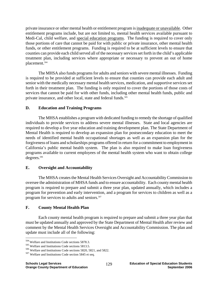private insurance or other mental health or entitlement program is inadequate or unavailable. Other entitlement programs include, but are not limited to, mental health services available pursuant to Medi-Cal, child welfare, and special education programs. The funding is required to cover only those portions of care that cannot be paid for with public or private insurance, other mental health funds, or other entitlement programs. Funding is required to be at sufficient levels to ensure that counties can provide each child served all of the necessary services set forth in the child's applicable treatment plan, including services where appropriate or necessary to prevent an out of home placement.504

 The MHSA also funds programs for adults and seniors with severe mental illnesses. Funding is required to be provided at sufficient levels to ensure that counties can provide each adult and senior with the medically necessary mental health services, medication, and supportive services set forth in their treatment plan. The funding is only required to cover the portions of those costs of services that cannot be paid for with other funds, including other mental health funds, public and private insurance, and other local, state and federal funds.<sup>505</sup>

## **D. Education and Training Programs**

 The MHSA establishes a program with dedicated funding to remedy the shortage of qualified individuals to provide services to address severe mental illnesses. State and local agencies are required to develop a five year education and training development plan. The State Department of Mental Health is required to develop an expansion plan for postsecondary education to meet the needs of identified mental health occupational shortages as well as an expansion plan for the forgiveness of loans and scholarships programs offered in return for a commitment to employment in California's public mental health system. The plan is also required to make loan forgiveness programs available to current employees of the mental health system who want to obtain college degrees.<sup>506</sup>

# **E. Oversight and Accountability**

 The MHSA creates the Mental Health Services Oversight and Accountability Commission to oversee the administration of MHSA funds and to ensure accountability. Each county mental health program is required to prepare and submit a three year plan, updated annually, which includes a program for prevention and early intervention, and a program for services to children as well as a program for services to adults and seniors.<sup>507</sup>

# **F. County Mental Health Plan**

 Each county mental health program is required to prepare and submit a three year plan that must be updated annually and approved by the State Department of Mental Health after review and comment by the Mental Health Services Oversight and Accountability Commission. The plan and update must include all of the following:

1

<sup>&</sup>lt;sup>504</sup> Welfare and Institutions Code sections 5878.3.<br><sup>505</sup> Welfare and Institutions Code sections 5813.5.<br><sup>506</sup> Welfare and Institutions Code section 5845 et seq.<br><sup>507</sup> Welfare and Institutions Code section 5845 et seq.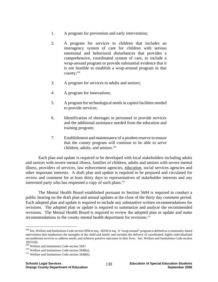- 1. A program for prevention and early intervention;
- 2. A program for services to children that includes an interagency system of care for children with serious emotional and behavioral disturbances that provides a comprehensive, coordinated system of care, to include a wrap-around program or provide substantial evidence that it is not feasible to establish a wrap-around program in that  $countv$ ;<sup>508</sup>
- 3. A program for services to adults and seniors;
- 4. A program for innovations;
- 5. A program for technological needs in capitol facilities needed to provide services;
- 6. Identification of shortages in personnel to provide services and the additional assistance needed from the education and training program;
- 7. Establishment and maintenance of a prudent reserve to ensure that the county program will continue to be able to serve children, adults, and seniors.<sup>509</sup>

 Each plan and update is required to be developed with local stakeholders including adults and seniors with severe mental illness, families of children, adults and seniors with severe mental illness, providers of services, law enforcement agencies, education, social services agencies and other important interests. A draft plan and update is required to be prepared and circulated for review and comment for at least thirty days to representatives of stakeholder interests and any interested party who has requested a copy of such plans.<sup>510</sup>

 The Mental Health Board established pursuant to Section 5604 is required to conduct a public hearing on the draft plan and annual updates at the close of the thirty day comment period. Each adopted plan and update is required to include any substantive written recommendations for revisions. The adopted plan or update is required to summarize and analyze the recommended revisions. The Mental Health Board is required to review the adopted plan or update and make recommendations to the county mental health department for revisions.<sup>511</sup>

<u>.</u>

<sup>508</sup> See, Welfare and Institutions Code section 5850 et seq., 18250 et seq. A "wrap-around" program is defined as a community-based intervention that emphasizes the strengths of the child and family and includes the delivery of coordinated, highly individualized unconditional services to address needs, and achieves positive outcomes in their lives. See, Welfare and Institutions Code section

<sup>18251(</sup>d).<br><sup>509</sup> Welfare and Institutions Code section 5847.

 $^{510}$  Welfare and Institutions Code section 5848(a).<br> $^{511}$  Welfare and Institutions Code section 5848(b).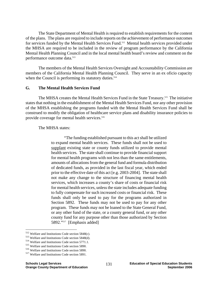The State Department of Mental Health is required to establish requirements for the content of the plans. The plans are required to include reports on the achievement of performance outcomes for services funded by the Mental Health Services Fund.<sup>512</sup> Mental health services provided under the MHSA are required to be included in the review of program performance by the California Mental Health Planning Council and in the local mental health board's review and comment on the performance outcome data.<sup>513</sup>

 The members of the Mental Health Services Oversight and Accountability Commission are members of the California Mental Health Planning Council. They serve in an ex oficio capacity when the Council is performing its statutory duties.<sup>514</sup>

#### **G. The Mental Health Services Fund**

The MHSA creates the Mental Health Services Fund in the State Treasury.<sup>515</sup> The initiative states that nothing in the establishment of the Mental Health Services Fund, nor any other provision of the MHSA establishing the programs funded with the Mental Health Services Fund shall be construed to modify the obligation of healthcare service plans and disability insurance policies to provide coverage for mental health services.<sup>516</sup>

#### The MHSA states:

 "The funding established pursuant to this act shall be utilized to expand mental health services. These funds shall not be used to supplant existing state or county funds utilized to provide mental health services. The state shall continue to provide financial support for mental health programs with not less than the same entitlements, amounts of allocations from the general fund and formula distribution of dedicated funds, as provided in the last fiscal year, which ended prior to the effective date of this act [e.g. 2003-2004]. The state shall not make any change to the structure of financing mental health services, which increases a county's share of costs or financial risk for mental health services, unless the state includes adequate funding to fully compensate for such increased costs or financial risk. These funds shall only be used to pay for the programs authorized in Section 5892. These funds may not be used to pay for any other program. These funds may not be loaned to the State General Fund, or any other fund of the state, or a county general fund, or any other county fund for any purpose other than those authorized by Section 5892."517 [Emphasis added]

 $512$  Welfare and Institutions Code section 5848(c).

<sup>&</sup>lt;sup>513</sup> Welfare and Institutions Code section 5848(d).<br><sup>514</sup> Welfare and Institutions Code section 5771.1.<br><sup>515</sup> Welfare and Institutions Code section 5890.<br><sup>516</sup> Welfare and Institutions Code section 5890.<br><sup>517</sup> Welfare an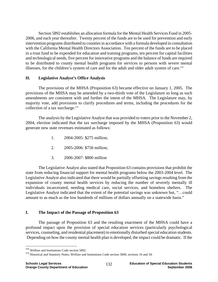Section 5892 establishes an allocation formula for the Mental Health Services Fund in 2005- 2006, and each year thereafter. Twenty percent of the funds are to be used for prevention and early intervention programs distributed to counties in accordance with a formula developed in consultation with the California Mental Health Directors Association. Ten percent of the funds are to be placed in a trust fund to be expended for education and training programs, ten percent for capital facilities and technological needs, five percent for innovative programs and the balance of funds are required to be distributed to county mental health programs for services to persons with severe mental illnesses, for the children's system of care and for the adult and older adult system of care.<sup>518</sup>

## **H. Legislative Analyst's Office Analysis**

 The provisions of the MHSA (Proposition 63) became effective on January 1, 2005. The provisions of the MHSA may be amended by a two-thirds vote of the Legislature so long as such amendments are consistent with and further the intent of the MHSA. The Legislature may, by majority vote, add provisions to clarify procedures and terms, including the procedures for the collection of a tax surcharge. $519$ 

 The analysis by the Legislative Analyst that was provided to voters prior to the November 2, 2004, election indicated that the tax surcharge imposed by the MHSA (Proposition 63) would generate new state revenues estimated as follows:

- 1. 2004-2005: \$275 million;
- 2. 2005-2006: \$750 million;
- 3. 2006-2007: \$800 million

 The Legislative Analyst also stated that Proposition 63 contains provisions that prohibit the state from reducing financial support for mental health programs below the 2003-2004 level. The Legislative Analyst also indicated that there would be partially offsetting savings resulting from the expansion of county mental health services by reducing the number of severely mentally ill individuals incarcerated, needing medical care, social services, and homeless shelters. The Legislative Analyst indicated that the extent of the potential savings was unknown but, "…could amount to as much as the low hundreds of millions of dollars annually on a statewide basis."

# **I. The Impact of the Passage of Proposition 63**

 The passage of Proposition 63 and the resulting enactment of the MHSA could have a profound impact upon the provision of special education services (particularly psychological services, counseling, and residential placement) to emotionally disturbed special education students. Depending on how the county mental health plan is developed, the impact could be dramatic. If the

<sup>518</sup> Welfare and Institutions Code section 5892.

<sup>519</sup> Historical and Statutory Notes, Welfare and Institutions Code section 5840, sections 16 and 18.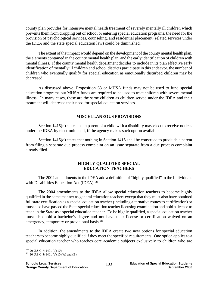county plan provides for intensive mental health treatment of severely mentally ill children which prevents them from dropping out of school or entering special education programs, the need for the provision of psychological services, counseling, and residential placement (related services under the IDEA and the state special education law) could be diminished.

 The extent of that impact would depend on the development of the county mental health plan, the elements contained in the county mental health plan, and the early identification of children with mental illness. If the county mental health department decides to include in its plan effective early identification of mentally ill children and school districts participate in this endeavor, the number of children who eventually qualify for special education as emotionally disturbed children may be decreased.

 As discussed above, Proposition 63 or MHSA funds may not be used to fund special education programs but MHSA funds are required to be used to treat children with severe mental illness. In many cases, these are the same children as children served under the IDEA and their treatment will decrease their need for special education services.

## **MISCELLANEOUS PROVISIONS**

Section 1415(n) states that a parent of a child with a disability may elect to receive notices under the IDEA by electronic mail, if the agency makes such option available.

Section 1415(o) states that nothing in Section 1415 shall be construed to preclude a parent from filing a separate due process complaint on an issue separate from a due process complaint already filed.

## **HIGHLY QUALIFIED SPECIAL EDUCATION TEACHERS**

 The 2004 amendments to the IDEA add a definition of "highly qualified" to the Individuals with Disabilities Education Act (IDEA).<sup>520</sup>

 The 2004 amendments to the IDEA allow special education teachers to become highly qualified in the same manner as general education teachers except that they must also have obtained full state certification as a special education teacher (including alternative routes to certification) or must also have passed the State special education teacher licensing examination and hold a license to teach in the State as a special education teacher. To be highly qualified, a special education teacher must also hold a bachelor's degree and not have their license or certification waived on an emergency, temporary or provisional basis.<sup>521</sup>

 In addition, the amendments to the IDEA create two new options for special education teachers to become highly qualified if they meet the specified requirements. One option applies to a special education teacher who teaches core academic subjects exclusively to children who are

 $\overline{a}$ 

 $520$  20 U.S.C. § 1401 (a)(10).<br> $521$  20 U.S.C. § 1401 (a)(10)(A) and (B).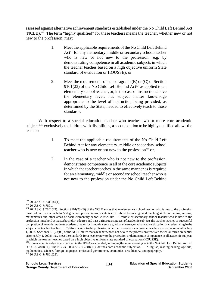assessed against alternative achievement standards established under the No Child Left Behind Act (NCLB).<sup>522</sup> The term "highly qualified" for these teachers means the teacher, whether new or not new to the profession, may:

- 1. Meet the applicable requirements of the No Child Left Behind Act<sup>523</sup> for any elementary, middle or secondary school teacher who is new or not new to the profession (e.g. by demonstrating competence in all academic subjects in which the teacher teaches based on a high objective uniform State standard of evaluation or HOUSSE); or
- 2. Meet the requirements of subparagraph (B) or (C) of Section 9101(23) of the No Child Left Behind Act<sup>524</sup> as applied to an elementary school teacher, or, in the case of instruction above the elementary level, has subject matter knowledge appropriate to the level of instruction being provided, as determined by the State, needed to effectively teach to those standards.

 With respect to a special education teacher who teaches two or more core academic subjects<sup>525</sup> exclusively to children with disabilities, a second option to be highly qualified allows the teacher:

- 1. To meet the applicable requirements of the No Child Left Behind Act for any elementary, middle or secondary school teacher who is new or not new to the profession $526$  or,
- 2. In the case of a teacher who is not new to the profession, demonstrates competence in all of the core academic subjects in which the teacher teaches in the same manner as is required for an elementary, middle or secondary school teacher who is not new to the profession under the No Child Left Behind

 $522$  20 U.S.C. § 6311(b)(1).

 $523$  20 U.S.C. § 7801.<br> $524$  20 U.S.C. § 7801(23). Section 9101(23)(B) of the NCLB states that an elementary school teacher who is new to the profession must hold at least a bachelor's degree and pass a rigorous state test of subject knowledge and teaching skills in reading, writing, mathematics and other areas of basic elementary school curriculum. A middle or secondary school teacher who is new to the profession must hold at least a bachelor's degree and pass a rigorous state test of academic subjects the teacher teaches or successful completion of an undergraduate academic major (or its equivalent), a graduate degree, or advanced certification or credentialing in the subjects the teacher teaches. In California, new to the profession is defined as someone who receives their credential on or after July 1, 2002. Section 9101(23)(C) of the NCLB states that a teacher who is not new to the profession (received their California credential prior to July 1, 2002) may meet the standards for a teacher new to the profession or demonstrate competence in all academic subjects

in which the teacher teaches based on a high objective uniform state standard of evaluation (HOUSSE).<br><sup>525</sup> Core academic subjects are defined in the IDEA as amended, as having the same meaning as in the No Child Left Behi U.S.C. § 7801(11). The NCLB, 20 U.S.C. § 7801(11), defines core academic subject as, . . . "English, reading or language arts, mathematics, science, foreign languages, civics and government, economics, arts, history, and geography." 526 20 U.S.C. § 7801(23).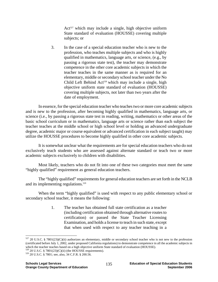Act<sup>527</sup> which may include a single, high objective uniform State standard of evaluation (HOUSSE) covering multiple subjects; or

3. In the case of a special education teacher who is new to the profession, who teaches multiple subjects and who is highly qualified in mathematics, language arts, or science, (e.g., by passing a rigorous state test), the teacher may demonstrate competence in the other core academic subjects in which the teacher teaches in the same manner as is required for an elementary, middle or secondary school teacher under the No Child Left Behind Act<sup>528</sup> which may include a single, high objective uniform state standard of evaluation (HOUSSE) covering multiple subjects, not later than two years after the date of employment.

 In essence, for the special education teacher who teaches two or more core academic subjects and is new to the profession, after becoming highly qualified in mathematics, language arts, or science (i.e., by passing a rigorous state test in reading, writing, mathematics or other areas of the basic school curriculum or in mathematics, language arts or science rather than each subject the teacher teaches at the middle school or high school level or holding an advanced undergraduate degree, academic major or course equivalent or advanced certification in each subject taught) may utilize the HOUSSE procedures to become highly qualified in other core academic subjects.

 It is somewhat unclear what the requirements are for special education teachers who do not exclusively teach students who are assessed against alternate standard or teach two or more academic subjects exclusively to children with disabilities.

 Most likely, teachers who do not fit into one of these two categories must meet the same "highly qualified" requirement as general education teachers.

 The "highly qualified" requirements for general education teachers are set forth in the NCLB and its implementing regulations.<sup>529</sup>

When the term "highly qualified" is used with respect to any public elementary school or secondary school teacher, it means the following:

> 1. The teacher has obtained full state certification as a teacher (including certification obtained through alternative routes to certification) or passed the State Teacher Licensing Examination, and holds a license to teach in such state, except that when used with respect to any teacher teaching in a

<u>.</u>

 $527$  20 U.S.C. § 7801(23)(C)(ii) authorizes an elementary, middle or secondary school teacher who is not new to the profession (certificated before July 1, 2002, under proposed California regulations) to demonstrate competence in all the academic subjects in which the teacher teaches based on a high objective uniform State standard of evaluation (HOUSSE).  $528$  20 U.S.C. § 7801(23)(C)(ii) (the HOUSSE requirements).  $529$  20 U.S.C. § 7801; see, also, 34 C.F.R. § 200.56.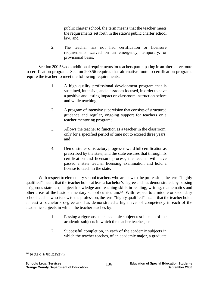public charter school, the term means that the teacher meets the requirements set forth in the state's public charter school law, and

2. The teacher has not had certification or licensure requirements waived on an emergency, temporary, or provisional basis.

 Section 200.56 adds additional requirements for teachers participating in an alternative route to certification program. Section 200.56 requires that alternative route to certification programs require the teacher to meet the following requirements:

- 1. A high quality professional development program that is sustained, intensive, and classroom focused, in order to have a positive and lasting impact on classroom instruction before and while teaching;
- 2. A program of intensive supervision that consists of structured guidance and regular, ongoing support for teachers or a teacher mentoring program;
- 3. Allows the teacher to function as a teacher in the classroom, only for a specified period of time not to exceed three years; and
- 4. Demonstrates satisfactory progress toward full certification as prescribed by the state, and the state ensures that through its certification and licensure process, the teacher will have passed a state teacher licensing examination and hold a license to teach in the state.

 With respect to elementary school teachers who are new to the profession, the term "highly qualified" means that the teacher holds at least a bachelor's degree and has demonstrated, by passing a rigorous state test, subject knowledge and teaching skills in reading, writing, mathematics and other areas of the basic elementary school curriculum.530 With respect to a middle or secondary school teacher who is new to the profession, the term "highly qualified" means that the teacher holds at least a bachelor's degree and has demonstrated a high level of competency in each of the academic subjects in which the teacher teaches by:

- 1. Passing a rigorous state academic subject test in each of the academic subjects in which the teacher teaches, or
- 2. Successful completion, in each of the academic subjects in which the teacher teaches, of an academic major, a graduate

 $\overline{a}$ 530 20 U.S.C. § 7801(23)(B)(i).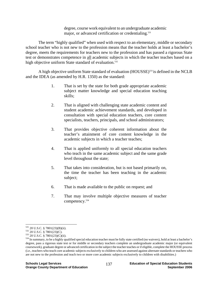degree, course work equivalent to an undergraduate academic major, or advanced certification or credentialing.<sup>531</sup>

 The term "highly qualified" when used with respect to an elementary, middle or secondary school teacher who is not new to the profession means that the teacher holds at least a bachelor's degree, meets the requirements for teachers new to the profession and has passed a rigorous State test or demonstrates competence in all academic subjects in which the teacher teaches based on a high objective uniform State standard of evaluation.<sup>532</sup>

A high objective uniform State standard of evaluation (HOUSSE)<sup>533</sup> is defined in the NCLB and the IDEA (as amended by H.R. 1350) as the standard:

- 1. That is set by the state for both grade appropriate academic subject matter knowledge and special education teaching skills;
- 2. That is aligned with challenging state academic content and student academic achievement standards, and developed in consultation with special education teachers, core content specialists, teachers, principals, and school administrators;
- 3. That provides objective coherent information about the teacher's attainment of core content knowledge in the academic subjects in which a teacher teaches;
- 4. That is applied uniformly to all special education teachers who teach in the same academic subject and the same grade level throughout the state;
- 5. That takes into consideration, but is not based primarily on, the time the teacher has been teaching in the academic subject;
- 6. That is made available to the public on request; and
- 7. That may involve multiple objective measures of teacher competency.534

 $^{531}$  20 U.S.C. § 7801(23)(B)(ii).

<sup>&</sup>lt;sup>532</sup> 20 U.S.C. § 7801(25)(D)(L).<br><sup>532</sup> 20 U.S.C. § 7801(23)(C).<br><sup>533</sup> 20 U.S.C. § 7801(23)(C)(ii).<br><sup>534</sup> In summary, to be a highly qualified special education teacher must be fully state certified (no waivers), hold at degree, pass a rigorous state test or for middle or secondary teachers complete an undergraduate academic major (or equivalent coursework), graduate degree or advanced certification in the subject the teacher teaches or if eligible, complete the HOUSSE process (i.e., teachers who teach core academic subjects exclusively to children who are assessed against alternate standards or teachers who are not new to the profession and teach two or more core academic subjects exclusively to children with disabilities.)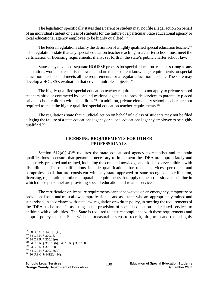The legislation specifically states that a parent or student may not file a legal action on behalf of an individual student or class of students for the failure of a particular State educational agency or local educational agency employee to be highly qualified.<sup>535</sup>

The federal regulations clarify the definition of a highly qualified special education teacher.<sup>536</sup> The regulations state that any special education teacher teaching in a charter school must meet the certification or licensing requirements, if any, set forth in the state's public charter school law.

States may develop a separate HOUSSE process for special education teachers so long as any adaptations would not establish a lower standard to the content knowledge requirements for special education teachers and meets all the requirements for a regular education teacher. The state may develop a HOUSSE evaluation that covers multiple subjects.<sup>537</sup>

The highly qualified special education teacher requirements do not apply to private school teachers hired or contracted by local educational agencies to provide services to parentally placed private school children with disabilities.<sup>538</sup> In addition, private elementary school teachers are not required to meet the highly qualified special education teacher requirements.<sup>539</sup>

 The regulations state that a judicial action on behalf of a class of students may not be filed alleging the failure of a state educational agency or a local educational agency employee to be highly qualified.540

## **LICENSING REQUIREMENTS FOR OTHER PROFESSIONALS**

Section  $612(a)(14)^{541}$  requires the state educational agency to establish and maintain qualifications to ensure that personnel necessary to implement the IDEA are appropriately and adequately prepared and trained, including the content knowledge and skills to serve children with disabilities. These qualifications include qualifications for related services, personnel and paraprofessional that are consistent with any state approved or state recognized certification, licensing, registration or other comparable requirements that apply to the professional discipline in which those personnel are providing special education and related services.

 The certification or licensure requirements cannot be waived on an emergency, temporary or provisional basis and must allow paraprofessionals and assistants who are appropriately trained and supervised, in accordance with state law, regulation or written policy, in meeting the requirements of the IDEA, to be used in assisting in the provision of special education and related services to children with disabilities. The State is required to ensure compliance with these requirements and adopt a policy that the State will take measurable steps to recruit, hire, train and retain highly

 $^{535}$  20 U.S.C. § 1401(10)(E).

<sup>536 34</sup> C.F.R. § 300.18.<br>
537 34 C.F.R. § 300.18(e).<br>
538 34 C.F.R. § 300.18(h); 34 C.F.R. § 300.138.<br>
539 34 C.F.R. § 300.138.<br>
540 34 C.F.R. § 300.156(e).<br>
541 20 U.S.C. § 1412(a)(14).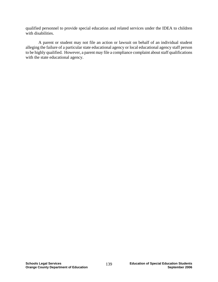qualified personnel to provide special education and related services under the IDEA to children with disabilities.

 A parent or student may not file an action or lawsuit on behalf of an individual student alleging the failure of a particular state educational agency or local educational agency staff person to be highly qualified. However, a parent may file a compliance complaint about staff qualifications with the state educational agency.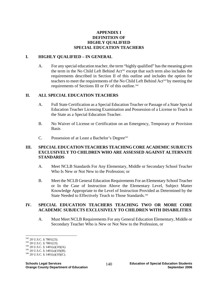# **APPENDIX I DEFINITION OF HIGHLY QUALIFIED SPECIAL EDUCATION TEACHERS**

## **I. HIGHLY QUALIFIED – IN GENERAL**

A. For any special education teacher, the term "highly qualified" has the meaning given the term in the No Child Left Behind  $Act<sup>542</sup>$  except that such term also includes the requirements described in Section II of this outline and includes the option for teachers to meet the requirements of the No Child Left Behind Act<sup>543</sup> by meeting the requirements of Sections III or IV of this outline.<sup>544</sup>

### **II. ALL SPECIAL EDUCATION TEACHERS**

- A. Full State Certification as a Special Education Teacher or Passage of a State Special Education Teacher Licensing Examination and Possession of a License to Teach in the State as a Special Education Teacher.
- B. No Waiver of License or Certification on an Emergency, Temporary or Provision **Basis**
- C. Possession of at Least a Bachelor's Degree<sup>545</sup>

### **III. SPECIAL EDUCATION TEACHERS TEACHING CORE ACADEMIC SUBJECTS EXCLUSIVELY TO CHILDREN WHO ARE ASSESSED AGAINST ALTERNATE STANDARDS**

- A. Meet NCLB Standards For Any Elementary, Middle or Secondary School Teacher Who Is New or Not New to the Profession; or
- B. Meet the NCLB General Education Requirements For an Elementary School Teacher or In the Case of Instruction Above the Elementary Level, Subject Matter Knowledge Appropriate to the Level of Instruction Provided as Determined by the State Needed to Effectively Teach to Those Standards.<sup>546</sup>

### **IV. SPECIAL EDUCATION TEACHERS TEACHING TWO OR MORE CORE ACADEMIC SUBJECTS EXCLUSIVELY TO CHILDREN WITH DISABILITIES**

A. Must Meet NCLB Requirements For any General Education Elementary, Middle or Secondary Teacher Who is New or Not New to the Profession, or

 $^{542}$  20 U.S.C. § 7801(23).

<sup>543 20</sup> U.S.C. § 7801(23).<br>
543 20 U.S.C. § 7801(23).<br>
544 20 U.S.C. § 1401(a)(10)(A).<br>
545 20 U.S.C. § 1401(a)(10)(B).<br>
546 20 U.S.C. § 1401(a)(10)(C).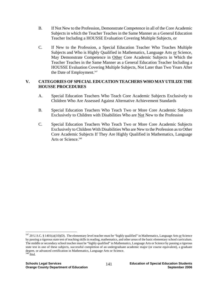- B. If Not New to the Profession, Demonstrate Competence in all of the Core Academic Subjects in which the Teacher Teaches in the Same Manner as a General Education Teacher Including a HOUSSE Evaluation Covering Multiple Subjects, or
- C. If New to the Profession, a Special Education Teacher Who Teaches Multiple Subjects and Who is Highly Qualified in Mathematics, Language Arts or Science, May Demonstrate Competence in Other Core Academic Subjects in Which the Teacher Teaches in the Same Manner as a General Education Teacher Including a HOUSSE Evaluation Covering Multiple Subjects, Not Later than Two Years After the Date of Employment.<sup>547</sup>

## **V. CATEGORIES OF SPECIAL EDUCATION TEACHERS WHO MAY UTILIZE THE HOUSSE PROCEDURES**

- A. Special Education Teachers Who Teach Core Academic Subjects Exclusively to Children Who Are Assessed Against Alternative Achievement Standards
- B. Special Education Teachers Who Teach Two or More Core Academic Subjects Exclusively to Children with Disabilities Who are Not New to the Profession
- C. Special Education Teachers Who Teach Two or More Core Academic Subjects Exclusively to Children With Disabilities Who are New to the Profession as to Other Core Academic Subjects If They Are Highly Qualified in Mathematics, Language Arts or Science.<sup>548</sup>

 $547$  20 U.S.C. § 1401(a)(10)(D). The elementary level teacher must be "highly qualified" in Mathematics, Language Arts or Science by passing a rigorous state test of teaching skills in reading, mathematics, and other areas of the basic elementary school curriculum. The middle or secondary school teacher must be "highly qualified" in Mathematics, Language Arts or Science by passing a rigorous state test in one of these subjects, successful completion of an undergraduate academic major (or course equivalent), a graduate degree, or advanced certification in Mathematics, Language Arts or Science. 548 Ibid.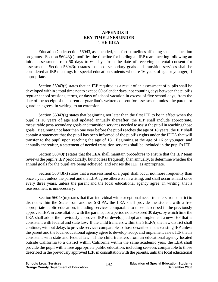#### **APPENDIX II KEY TIMELINES UNDER THE IDEA**

Education Code section 56043, as amended, sets forth timelines affecting special education programs. Section 56043(c) modifies the timeline for holding an IEP team meeting following an initial assessment from 50 days to 60 days from the date of receiving parental consent for assessment. Section 56043(e) states that post-secondary goals and transition services shall be considered at IEP meetings for special education students who are 16 years of age or younger, if appropriate.

Section 56043(f) states that an IEP required as a result of an assessment of pupils shall be developed within a total time not to exceed 60 calendar days, not counting days between the pupil's regular school sessions, terms, or days of school vacation in excess of five school days, from the date of the receipt of the parent or guardian's written consent for assessment, unless the parent or guardian agrees, in writing, to an extension.

Section  $56043(g)$  states that beginning not later than the first IEP to be in effect when the pupil is 16 years of age and updated annually thereafter, the IEP shall include appropriate, measurable post-secondary goals and transition services needed to assist the pupil in reaching those goals. Beginning not later than one year before the pupil reaches the age of 18 years, the IEP shall contain a statement that the pupil has been informed of the pupil's rights under the IDEA that will transfer to the pupil upon reaching the age of 18. Beginning at the age of 16 or younger, and annually thereafter, a statement of needed transition services shall be included in the pupil's IEP.

Section 56043(j) states that the LEA shall maintain procedures to ensure that the IEP team reviews the pupil's IEP periodically, but not less frequently than annually, to determine whether the annual goals for the pupil are being achieved, and revises the IEP, as appropriate.

Section 56043(k) states that a reassessment of a pupil shall occur not more frequently than once a year, unless the parent and the LEA agree otherwise in writing, and shall occur at least once every three years, unless the parent and the local educational agency agree, in writing, that a reassessment is unnecessary.

Section 56043(m) states that if an individual with exceptional needs transfers from district to district within the State from another SELPA, the LEA shall provide the student with a free appropriate public education, including services comparable to those described in the previously approved IEP, in consultation with the parents, for a period not to exceed 30 days, by which time the LEA shall adopt the previously approved IEP or develop, adopt and implement a new IEP that is consistent with federal and state law. If the child transfers within the SELPA, the new district shall continue, without delay, to provide services comparable to those described in the existing IEP unless the parent and the local educational agency agree to develop, adopt and implement a new IEP that is consistent with state and federal law. If the child transfers from an educational agency located outside California to a district within California within the same academic year, the LEA shall provide the pupil with a free appropriate public education, including services comparable to those described in the previously approved IEP, in consultation with the parents, until the local educational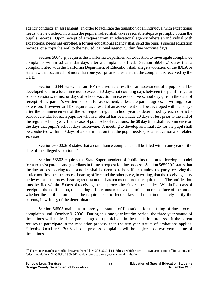agency conducts an assessment. In order to facilitate the transition of an individual with exceptional needs, the new school in which the pupil enrolled shall take reasonable steps to promptly obtain the pupil's records. Upon receipt of a request from an educational agency where an individual with exceptional needs has enrolled, a former educational agency shall send the pupil's special education records, or a copy thereof, to the new educational agency within five working days.

Section 56043(p) requires the California Department of Education to investigate compliance complaints within 60 calendar days after a complaint is filed. Section 56043(z) states that a complaint filed with the California Department of Education shall allege a violation of the IDEA or state law that occurred not more than one year prior to the date that the complaint is received by the CDE.

Section 56344 states that an IEP required as a result of an assessment of a pupil shall be developed within a total time not to exceed 60 days, not counting days between the pupil's regular school sessions, terms, or days of school vacation in excess of five school days, from the date of receipt of the parent's written consent for assessment, unless the parent agrees, in writing, to an extension. However, an IEP required as a result of an assessment shall be developed within 30 days after the commencement of the subsequent regular school year as determined by each district's school calendar for each pupil for whom a referral has been made 20 days or less prior to the end of the regular school year. In the case of pupil school vacations, the 60 day time shall recommence on the days that pupil's school days reconvene. A meeting to develop an initial IEP for the pupil shall be conducted within 30 days of a determination that the pupil needs special education and related services.

Section 56500.2(b) states that a compliance complaint shall be filed within one year of the date of the alleged violation.<sup>549</sup>

Section 56502 requires the State Superintendent of Public Instruction to develop a model form to assist parents and guardians in filing a request for due process. Section 56502(d) states that the due process hearing request notice shall be deemed to be sufficient unless the party receiving the notice notifies the due process hearing officer and the other party, in writing, that the receiving party believes the due process hearing request notice has not met the notice requirement. The notification must be filed within 15 days of receiving the due process hearing request notice. Within five days of receipt of the notification, the hearing officer must make a determination on the face of the notice whether the notification meets the requirements of federal law and must immediately notify the parents, in writing, of the determination.

Section 56505 maintains a three year statute of limitations for the filing of due process complaints until October 9, 2006. During this one year interim period, the three year statute of limitations will apply if the parents agree to participate in the mediation process. If the parent refuses to participate in the mediation process, then the two year statute of limitations applies. Effective October 9, 2006, all due process complaints will be subject to a two year statute of limitations.

<sup>&</sup>lt;sup>549</sup> There appears to be a conflict between federal law, 20 U.S.C. § 1415(b)(6), which refers to a two year statute of limitations, and federal regulations, 34 C.F.R. § 300.662, which refers to a one year statute of limitations.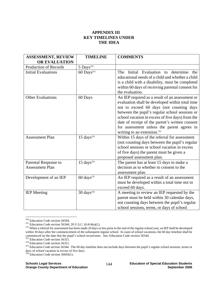## **APPENDIX III KEY TIMELINES UNDER THE IDEA**

| <b>ASSESSMENT, REVIEW</b>                      | <b>TIMELINE</b>          | <b>COMMENTS</b>                                                                                                                                                                                                                                                                                                                                                                                  |
|------------------------------------------------|--------------------------|--------------------------------------------------------------------------------------------------------------------------------------------------------------------------------------------------------------------------------------------------------------------------------------------------------------------------------------------------------------------------------------------------|
| <b>OR EVALUATION</b>                           |                          |                                                                                                                                                                                                                                                                                                                                                                                                  |
| Production of Records                          | $5$ Days <sup>550</sup>  |                                                                                                                                                                                                                                                                                                                                                                                                  |
| <b>Initial Evaluations</b>                     | $60$ Days <sup>551</sup> | Initial Evaluation to determine<br>The<br>the<br>educational needs of a child and whether a child<br>is a child with a disability, must be completed<br>within 60 days of receiving parental consent for<br>the evaluation.                                                                                                                                                                      |
| <b>Other Evaluations</b>                       | 60 Days                  | An IEP required as a result of an assessment or<br>evaluation shall be developed within total time<br>not to exceed 60 days (not counting days<br>between the pupil's regular school sessions or<br>school vacation in excess of five days) from the<br>date of receipt of the parent's written consent<br>for assessment unless the parent agrees in<br>writing to an extension. <sup>552</sup> |
| <b>Assessment Plan</b>                         | $15 \text{ days}^{553}$  | Within 15 days of the referral for assessment<br>(not counting days between the pupil's regular<br>school sessions or school vacation in excess<br>of five days) the parent must be given a<br>proposed assessment plan.                                                                                                                                                                         |
| Parental Response to<br><b>Assessment Plan</b> | $15 \text{ days}^{554}$  | The parent has at least 15 days to make a<br>decision as to whether to consent to the<br>assessment plan.                                                                                                                                                                                                                                                                                        |
| Development of an IEP                          | $60 \;{\rm days}^{555}$  | An IEP required as a result of an assessment<br>must be developed within a total time not to<br>exceed 60 days.                                                                                                                                                                                                                                                                                  |
| <b>IEP</b> Meeting                             | $30 \;{\rm days^{556}}$  | A meeting to review an IEP requested by the<br>parent must be held within 30 calendar days,<br>not counting days between the pupil's regular<br>school sessions, terms, or days of school                                                                                                                                                                                                        |

<sup>&</sup>lt;sup>550</sup> Education Code section 56504.

Education Code section 56344; 20 U.S.C. § 1414(a)(1).<br>  $551$  Education Code section 56344; 20 U.S.C. § 1414(a)(1).<br>  $552$  When a referral for assessment has been made 20 days or less prior to the end of the regular school within 30 days after the commencement of the subsequent regular school. In cases of school vacations, the 60 day timeline shall be commenced on the date that the pupil's school reconvenes. See, Education Code section 56344.<br>
<sup>553</sup> Education Code section 56321.<br>
<sup>554</sup> Education Code section 56321.<br>
<sup>554</sup> Education Code section 56321.<br>
<sup>555</sup> Education C

days of school vacation in excess of five days.

<sup>&</sup>lt;sup>556</sup> Education Code section 56043(1).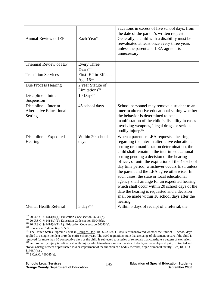|                                                                   |                                                 | vacations in excess of five school days, from<br>the date of the parent's written request.                                                                                                                                                                                                                                                                                                                                                                                                                                                                                                                                                                  |
|-------------------------------------------------------------------|-------------------------------------------------|-------------------------------------------------------------------------------------------------------------------------------------------------------------------------------------------------------------------------------------------------------------------------------------------------------------------------------------------------------------------------------------------------------------------------------------------------------------------------------------------------------------------------------------------------------------------------------------------------------------------------------------------------------------|
| <b>Annual Review of IEP</b>                                       | Each Year <sup>557</sup>                        | Generally, a child with a disability must be<br>reevaluated at least once every three years<br>unless the parent and LEA agree it is<br>unnecessary.                                                                                                                                                                                                                                                                                                                                                                                                                                                                                                        |
| <b>Triennial Review of IEP</b>                                    | <b>Every Three</b><br>Years <sup>558</sup>      |                                                                                                                                                                                                                                                                                                                                                                                                                                                                                                                                                                                                                                                             |
| <b>Transition Services</b>                                        | First IEP in Effect at<br>Age 16559             |                                                                                                                                                                                                                                                                                                                                                                                                                                                                                                                                                                                                                                                             |
| Due Process Hearing                                               | 2 year Statute of<br>Limitations <sup>560</sup> |                                                                                                                                                                                                                                                                                                                                                                                                                                                                                                                                                                                                                                                             |
| Discipline - Initial<br>Suspension                                | $10$ Days <sup>561</sup>                        |                                                                                                                                                                                                                                                                                                                                                                                                                                                                                                                                                                                                                                                             |
| Discipline - Interim<br><b>Alternative Educational</b><br>Setting | 45 school days                                  | School personnel may remove a student to an<br>interim alternative educational setting whether<br>the behavior is determined to be a<br>manifestation of the child's disability in cases<br>involving weapons, illegal drugs or serious<br>bodily injury. <sup>562</sup>                                                                                                                                                                                                                                                                                                                                                                                    |
| Discipline - Expedited<br>Hearing                                 | Within 20 school<br>days                        | When a parent or LEA requests a hearing<br>regarding the interim alternative educational<br>setting or a manifestation determination, the<br>child shall remain in the interim educational<br>setting pending a decision of the hearing<br>officer, or until the expiration of the 45 school<br>day time period, whichever occurs first, unless<br>the parent and the LEA agree otherwise. In<br>such cases, the state or local educational<br>agency shall arrange for an expedited hearing<br>which shall occur within 20 school days of the<br>date the hearing is requested and a decision<br>shall be made within 10 school days after the<br>hearing. |
| <b>Mental Health Referral</b>                                     | $5 \ days$                                      | Within 5 days of receipt of a referral, the                                                                                                                                                                                                                                                                                                                                                                                                                                                                                                                                                                                                                 |

 $557$  20 U.S.C. § 1414(d)(4); Education Code section 56043(d).

obvious disfigurement or protracted loss or impairment of the function of a bodily member, organ or mental faculty. See, 18 U.S.C.  $§1365(h)(3).$ 

563 2 C.A.C. §60045(a).

<sup>&</sup>lt;sup>558</sup> 20 U.S.C. § 1414(a)(2); Education Code section 56043(k).<br><sup>559</sup> 20 U.S.C. § 1414(a)(1)(A). Education Code section 54043(e).<br><sup>559</sup> 20 U.S.C. § 1414(d)(1)(A). Education Code section 54043(e).<br><sup>560</sup> Education Code secti applied to a single incident or to the entire school year. The 1999 regulations state that a change of placement occurs if the child is removed for more than 10 consecutive days or the child is subjected to a series of removals that constitute a pattern of exclusion.<br><sup>562</sup> Serious bodily injury is defined as bodily injury which involves a substantial risk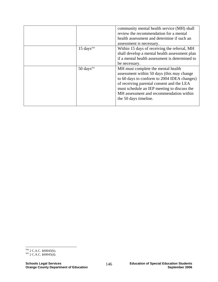|                         | community mental health service (MH) shall     |
|-------------------------|------------------------------------------------|
|                         | review the recommendation for a mental         |
|                         | health assessment and determine if such an     |
|                         | assessment is necessary.                       |
| $15 \text{ days}^{564}$ | Within 15 days of receiving the referral, MH   |
|                         | shall develop a mental health assessment plan  |
|                         | if a mental health assessment is determined to |
|                         | be necessary.                                  |
| $50 \text{ days}^{565}$ | MH must complete the mental health             |
|                         | assessment within 50 days (this may change     |
|                         | to 60 days to conform to 2004 IDEA changes)    |
|                         | of receiving parental consent and the LEA      |
|                         | must schedule an IEP meeting to discuss the    |
|                         | MH assessment and recommendation within        |
|                         | the 50 days timeline.                          |
|                         |                                                |

<sup>&</sup>lt;sup>564</sup> 2 C.A.C. §60045(b).<br><sup>565</sup> 2 C.A.C. §60045(d).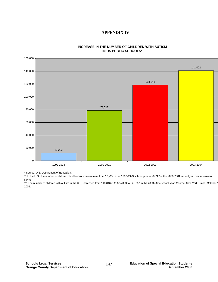

#### **INCREASE IN THE NUMBER OF CHILDREN WITH AUTISM IN US PUBLIC SCHOOLS\***

 **APPENDIX IV** 

\* Source, U.S. Department of Education.

\*\* In the U.S., the number of children identified with autism rose from 12,222 in the 1992-1993 school year to 78,717 in the 2000-2001 school year, an increase of 644%.

\*\*\* The number of children with autism in the U.S. increased from 118,846 in 2002-2003 to 141,002 in the 2003-2004 school year. Source, New York Times, October 1 2004.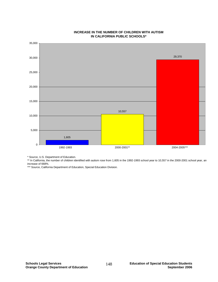

#### **INCREASE IN THE NUMBER OF CHILDREN WITH AUTISM IN CALIFORNIA PUBLIC SCHOOLS\***

\* Source, U.S. Department of Education.

\*\* In California, the number of children identified with autism rose from 1,605 in the 1992-1993 school year to 10,557 in the 2000-2001 school year, an increase of 668%.

\*\*\* Source, California Department of Education, Special Education Division.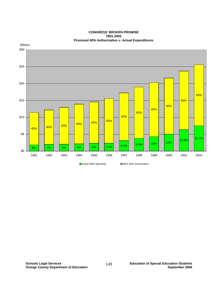

#### **CONGRESS' BROKEN PROMISE 1991-2002 Promised 40% Authorization v. Actual Expenditures**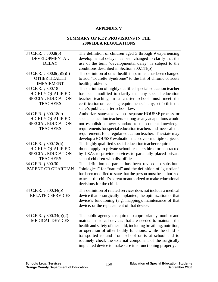#### **APPENDIX V**

#### **SUMMARY OF KEY PROVISIONS IN THE 2006 IDEA REGULATIONS**

| 34 C.F.R. § 300.8(b)<br>DEVELOPMENTAL<br><b>DELAY</b>                                           | The definition of children aged 3 through 9 experiencing<br>developmental delays has been changed to clarify that the<br>use of the term "developmental delay" is subject to the<br>conditions described in Section 300.111(b).                                                                                                                                                                                                           |
|-------------------------------------------------------------------------------------------------|-------------------------------------------------------------------------------------------------------------------------------------------------------------------------------------------------------------------------------------------------------------------------------------------------------------------------------------------------------------------------------------------------------------------------------------------|
| 34 C.F.R. § 300.8(c)(9)(i)<br><b>OTHER HEALTH</b><br><b>IMPAIRMENT</b>                          | The definition of other health impairment has been changed<br>to add "Tourette Syndrome" to the list of chronic or acute<br>health problems.                                                                                                                                                                                                                                                                                              |
| 34 C.F.R. § 300.18<br><b>HIGHLY QUALIFIED</b><br><b>SPECIAL EDUCATION</b><br><b>TEACHERS</b>    | The definition of highly qualified special education teacher<br>has been modified to clarify that any special education<br>teacher teaching in a charter school must meet the<br>certification or licensing requirements, if any, set forth in the<br>state's public charter school law.                                                                                                                                                  |
| 34 C.F.R. § 300.18(e)<br><b>HIGHLY QUALIFIED</b><br><b>SPECIAL EDUCATION</b><br><b>TEACHERS</b> | Authorizes states to develop a separate HOUSSE process for<br>special education teachers so long as any adaptations would<br>not establish a lower standard to the content knowledge<br>requirements for special education teachers and meets all the<br>requirements for a regular education teacher. The state may<br>develop a HOUSSE evaluation that covers multiple subjects.                                                        |
| 34 C.F.R. § 300.18(h)<br><b>HIGHLY QUALIFIED</b><br><b>SPECIAL EDUCATION</b><br><b>TEACHERS</b> | The highly qualified special education teacher requirements<br>do not apply to private school teachers hired or contracted<br>by LEAs to provide services to parentally placed private<br>school children with disabilities.                                                                                                                                                                                                              |
| 34 C.F.R. § 300.30<br>PARENT OR GUARDIAN                                                        | The definition of parent has been revised to substitute<br>"biological" for "natural" and the definition of "guardian"<br>has been modified to state that the person must be authorized<br>to act as the child's parent or authorized to make educational<br>decisions for the child.                                                                                                                                                     |
| 34 C.F.R. § 300.34(b)<br><b>RELATED SERVICES</b>                                                | The definition of related services does not include a medical<br>device that is surgically implanted, the optimization of that<br>device's functioning (e.g. mapping), maintenance of that<br>device, or the replacement of that device.                                                                                                                                                                                                  |
| 34 C.F.R. § 300.34(b)(2)<br><b>MEDICAL DEVICES</b>                                              | The public agency is required to appropriately monitor and<br>maintain medical devices that are needed to maintain the<br>health and safety of the child, including breathing, nutrition,<br>or operation of other bodily functions, while the child is<br>transported to and from school or is at school and to<br>routinely check the external component of the surgically<br>implanted device to make sure it is functioning properly. |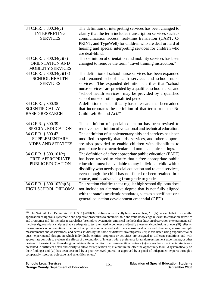| 34 C.F.R. § 300.34(c)<br><b>INTERPRETING</b><br><b>SERVICES</b>      | The definition of interpreting services has been changed to<br>clarify that the term includes transcription services such as<br>communication access, real-time translation (CART, C-<br>PRINT, and TypeWell) for children who are deaf or hard of<br>hearing and special interpreting services for children who                                    |
|----------------------------------------------------------------------|-----------------------------------------------------------------------------------------------------------------------------------------------------------------------------------------------------------------------------------------------------------------------------------------------------------------------------------------------------|
| 34 C.F.R. § 300.34(c)(7)                                             | are deaf-blind.<br>The definition of orientation and mobility services has been                                                                                                                                                                                                                                                                     |
| ORIENTATION AND<br><b>MOBILITY SERVICES</b>                          | changed to remove the term "travel training instruction."                                                                                                                                                                                                                                                                                           |
| 34 C.F.R. § 300.34(c)(13)<br><b>SCHOOL HEALTH</b><br><b>SERVICES</b> | The definition of school nurse services has been expanded<br>and renamed school health services and school nurse<br>services. The expanded definition clarifies that "school<br>nurse services" are provided by a qualified school nurse, and<br>"school health services" may be provided by a qualified<br>school nurse or other qualified person. |
| 34 C.F.R. § 300.35<br><b>SCIENTIFICALLY</b><br><b>BASED RESEARCH</b> | A definition of scientifically based research has been added<br>that incorporates the definition of that term from the No<br>Child Left Behind Act. <sup>566</sup>                                                                                                                                                                                  |
| 34 C.F.R. § 300.39                                                   | The definition of special education has been revised to                                                                                                                                                                                                                                                                                             |
| <b>SPECIAL EDUCATION</b>                                             | remove the definition of vocational and technical education.                                                                                                                                                                                                                                                                                        |
| 34 C.F.R. § 300.42<br><b>SUPPLEMENTARY</b>                           | The definition of supplementary aids and services has been                                                                                                                                                                                                                                                                                          |
| <b>AIDES AND SERVICES</b>                                            | modified to specify that aids, services, and other supports<br>are also provided to enable children with disabilities to<br>participate in extracurricular and non-academic settings.                                                                                                                                                               |
| 34 C.F.R. § 300.101(c)                                               | The definition of a free appropriate public education (FAPE)                                                                                                                                                                                                                                                                                        |
| <b>FREE APPROPRIATE</b>                                              | has been revised to clarify that a free appropriate public                                                                                                                                                                                                                                                                                          |
| <b>PUBLIC EDUCATION</b>                                              | education must be available to any individual child with a                                                                                                                                                                                                                                                                                          |
|                                                                      | disability who needs special education and related services,<br>even though the child has not failed or been retained in a                                                                                                                                                                                                                          |
|                                                                      | course, and is advancing from grade to grade.                                                                                                                                                                                                                                                                                                       |
| 34 C.F.R. § 300.107(a)(3)<br>HIGH SCHOOL DIPLOMA                     | This section clarifies that a regular high school diploma does<br>not include an alternative degree that is not fully aligned                                                                                                                                                                                                                       |
|                                                                      | with the state's academic standards, such as a certificate or a<br>general education development credential (GED).                                                                                                                                                                                                                                  |

<sup>566</sup> The No Child Left Behind Act, 20 U.S.C. §7801(37), defines scientifically based research as, ". . .(A) research that involves the application of rigorous, systematic and objective procedures to obtain reliable and valid knowledge relevant to education activities and programs; and (B) includes research that (i) employs systematic, empirical methods that draw on observation or experiment; (ii) involves rigorous data analyses that are adequate to test the stated hypotheses and justify the general conclusions drawn; (iii) relies on measurements or observational methods that provide reliable and valid data across evaluators and observers, across multiple measurements and observations, and across studies by the same or different investigators; (iv) is evaluated using experimental or quasi-experimental designs in which individuals, entities, programs or activities are assigned to different conditions and with appropriate controls to evaluate the effects of the condition of interest, with a preference for random-assignment experiments, or other designs to the extent that those designs contain within-condition or across-condition controls; (v) ensures that experimental studies are presented in sufficient detail and clarity to allow for replication or, at a minimum, offer the opportunity to build systematically on their findings; and (vi) has been accepted by a peer-reviewed journal or approved by a panel of independent experts through a comparably rigorous, objective, and scientific review."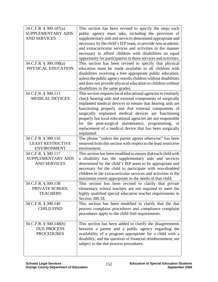| 34 C.F.R. § 300.107(a)                   | This section has been revised to specify the steps each                                                         |
|------------------------------------------|-----------------------------------------------------------------------------------------------------------------|
| SUPPLEMENTARY AIDS                       | public agency must take, including the provision of                                                             |
| <b>AND SERVICES</b>                      | supplementary aids and services determined appropriate and                                                      |
|                                          | necessary by the child's IEP team, to provide non-academic                                                      |
|                                          | and extracurricular services and activities in the manner                                                       |
|                                          | necessary to afford children with disabilities an equal                                                         |
|                                          | opportunity for participation in those services and activities.                                                 |
| 34 C.F.R. § 300.108(a)                   | This section has been revised to specify that physical                                                          |
| PHYSICAL EDUCATION                       | education must be made available to all children with                                                           |
|                                          | disabilities receiving a free appropriate public education,                                                     |
|                                          | unless the public agency enrolls children without disabilities                                                  |
|                                          | and does not provide physical education to children without                                                     |
|                                          | disabilities in the same grades.                                                                                |
| 34 C.F.R. § 300.113                      | This section requires local educational agencies to routinely                                                   |
| <b>MEDICAL DEVICES</b>                   | check hearing aids and external components of surgically                                                        |
|                                          | implanted medical devices to ensure that hearing aids are                                                       |
|                                          | functioning properly and that external components of                                                            |
|                                          | surgically implanted medical devices are functioning                                                            |
|                                          | properly but local educational agencies are not responsible                                                     |
|                                          | for the post-surgical maintenance, programming, or                                                              |
|                                          | replacement of a medical device that has been surgically                                                        |
|                                          | implanted.                                                                                                      |
| 34 C.F.R. § 300.116                      | The phrase "unless the parent agrees otherwise" has been                                                        |
| <b>LEAST RESTRICTIVE</b>                 | removed from this section with respect to the least restrictive                                                 |
| <b>ENVIRONMENT</b>                       | environment.                                                                                                    |
| 34 C.F.R. § 300.117                      | This section has been modified to ensure that each child with                                                   |
| SUPPLEMENTARY AIDS                       | a disability has the supplementary aids and services                                                            |
| <b>AND SERVICES</b>                      | determined by the child's IEP team to be appropriate and                                                        |
|                                          | necessary for the child to participate with non-disabled                                                        |
|                                          | children in the extracurricular services and activities to the                                                  |
|                                          | maximum extent appropriate to the needs of that child.                                                          |
| 34 C.F.R. § 300.138                      | This section has been revised to clarify that private                                                           |
| PRIVATE SCHOOL                           | elementary school teachers are not required to meet the                                                         |
| <b>TEACHERS</b>                          | highly qualified special education teacher requirements in<br>Section 300.18.                                   |
|                                          |                                                                                                                 |
| 34 C.F.R. § 300.140<br><b>CHILD FIND</b> | This section has been modified to clarify that the due<br>process complaint procedures and compliance complaint |
|                                          | procedures apply to the child find requirements.                                                                |
|                                          |                                                                                                                 |
| 34 C.F.R. § 300.148(b)                   | This section has been added to clarify the disagreements                                                        |
| <b>DUE PROCESS</b>                       | between a parent and a public agency regarding the                                                              |
| <b>PROCEDURES</b>                        | availability of a program appropriate for a child with a                                                        |
|                                          | disability, and the question of financial reimbursement, are                                                    |
|                                          | subject to the due process procedures.                                                                          |
|                                          |                                                                                                                 |
|                                          |                                                                                                                 |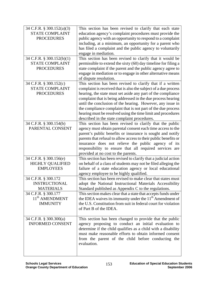| 34 C.F.R. § 300.152(a)(3)<br><b>STATE COMPLAINT</b><br><b>PROCEDURES</b><br>34 C.F.R. § 300.152(b)(1)<br><b>STATE COMPLAINT</b><br><b>PROCEDURES</b> | This section has been revised to clarify that each state<br>education agency's complaint procedures must provide the<br>public agency with an opportunity to respond to a complaint<br>including, at a minimum, an opportunity for a parent who<br>has filed a complaint and the public agency to voluntarily<br>engage in mediation.<br>This section has been revised to clarify that it would be<br>permissible to extend the sixty (60) day timeline for filing a<br>state complaint if the parent and the public agency agree to<br>engage in mediation or to engage in other alternative means |
|------------------------------------------------------------------------------------------------------------------------------------------------------|-----------------------------------------------------------------------------------------------------------------------------------------------------------------------------------------------------------------------------------------------------------------------------------------------------------------------------------------------------------------------------------------------------------------------------------------------------------------------------------------------------------------------------------------------------------------------------------------------------|
| 34 C.F.R. § 300.152(c)<br><b>STATE COMPLAINT</b><br><b>PROCEDURES</b>                                                                                | of dispute resolution.<br>This section has been revised to clarify that if a written<br>complaint is received that is also the subject of a due process<br>hearing, the state must set aside any part of the compliance<br>complaint that is being addressed in the due process hearing<br>until the conclusion of the hearing. However, any issue in<br>the compliance complaint that is not part of the due process<br>hearing must be resolved using the time limit and procedures<br>described in the state complaint procedures.                                                               |
| 34 C.F.R. § 300.154(b)<br>PARENTAL CONSENT                                                                                                           | This section has been revised to clarify that the public<br>agency must obtain parental consent each time access to the<br>parent's public benefits or insurance is sought and notify<br>parents that refusal to allow access to their public benefits or<br>insurance does not relieve the public agency of its<br>responsibility to ensure that all required services are<br>provided at no cost to the parents.                                                                                                                                                                                  |
| 34 C.F.R. § 300.156(e)<br><b>HIGHLY QUALIFIED</b><br><b>EMPLOYEES</b>                                                                                | This section has been revised to clarify that a judicial action<br>on behalf of a class of students may not be filed alleging the<br>failure of a state education agency or local educational<br>agency employee to be highly qualified.                                                                                                                                                                                                                                                                                                                                                            |
| 34 C.F.R. § 300.172<br><b>INSTRUCTIONAL</b><br><b>MATERIALS</b>                                                                                      | This section has been revised to make clear that states must<br>adopt the National Instructional Materials Accessibility<br>Standard published as Appendix C to the regulations.                                                                                                                                                                                                                                                                                                                                                                                                                    |
| 34 C.F.R. § 300.177<br>11 <sup>th</sup> AMENDMENT<br><b>IMMUNITY</b>                                                                                 | This section makes clear that a state that accepts funds under<br>the IDEA waives its immunity under the 11 <sup>th</sup> Amendment of<br>the U.S. Constitution from suit in federal court for violation<br>of Part B of the IDEA.                                                                                                                                                                                                                                                                                                                                                                  |
| 34 C.F.R. § 300.300(a)<br><b>INFORMED CONSENT</b>                                                                                                    | This section has been changed to provide that the public<br>agency proposing to conduct an initial evaluation to<br>determine if the child qualifies as a child with a disability<br>must make reasonable efforts to obtain informed consent<br>from the parent of the child before conducting the<br>evaluation.                                                                                                                                                                                                                                                                                   |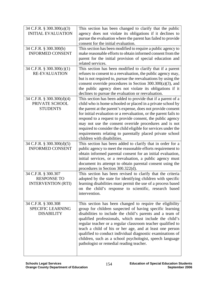| 34 C.F.R. § 300.300(a)(3)<br><b>INITIAL EVALUATION</b> | This section has been changed to clarify that the public<br>agency does not violate its obligations if it declines to    |
|--------------------------------------------------------|--------------------------------------------------------------------------------------------------------------------------|
|                                                        | pursue the evaluation where the parent has failed to provide                                                             |
|                                                        | consent for the initial evaluation.                                                                                      |
| 34 C.F.R. § 300.300(b)                                 | This section has been modified to require a public agency to                                                             |
| <b>INFORMED CONSENT</b>                                | make reasonable efforts to obtain informed consent from the                                                              |
|                                                        | parent for the initial provision of special education and<br>related services.                                           |
| 34 C.F.R. $\S$ 300.300(c)(1)                           | This section has been modified to clarify that if a parent                                                               |
| <b>RE-EVALUATION</b>                                   | refuses to consent to a reevaluation, the public agency may,                                                             |
|                                                        | but is not required to, pursue the reevaluations by using the                                                            |
|                                                        | consent override procedures in Section $300.300(a)(3)$ , and<br>the public agency does not violate its obligations if it |
|                                                        | declines to pursue the evaluation or reevaluation.                                                                       |
| 34 C.F.R. § 300.300(d)(4)                              | This section has been added to provide that if a parent of a                                                             |
| PRIVATE SCHOOL                                         | child who is home schooled or placed in a private school by                                                              |
| <b>STUDENTS</b>                                        | the parent at the parent's expense, does not provide consent                                                             |
|                                                        | for initial evaluation or a reevaluation, or the parent fails to                                                         |
|                                                        | respond to a request to provide consent, the public agency                                                               |
|                                                        | may not use the consent override procedures and is not<br>required to consider the child eligible for services under the |
|                                                        | requirements relating to parentally placed private school                                                                |
|                                                        | children with disabilities.                                                                                              |
| 34 C.F.R. § 300.300(d)(5)                              | This section has been added to clarify that in order for a                                                               |
| <b>INFORMED CONSENT</b>                                | public agency to meet the reasonable efforts requirement to                                                              |
|                                                        | obtain informed parental consent for an initial evaluation,                                                              |
|                                                        | initial services, or a reevaluation, a public agency must<br>document its attempt to obtain parental consent using the   |
|                                                        | procedures in Section 300.322(d).                                                                                        |
| 34 C.F.R. § 300.307                                    | This section has been revised to clarify that the criteria                                                               |
| <b>RESPONSE TO</b>                                     | adopted by the state for identifying children with specific                                                              |
| <b>INTERVENTION (RTI)</b>                              | learning disabilities must permit the use of a process based                                                             |
|                                                        | on the child's response to scientific, research based<br>intervention.                                                   |
|                                                        |                                                                                                                          |
| 34 C.F.R. § 300.308                                    | This section has been changed to require the eligibility                                                                 |
| <b>SPECIFIC LEARNING</b>                               | group for children suspected of having specific learning                                                                 |
| <b>DISABILITY</b>                                      | disabilities to include the child's parents and a team of                                                                |
|                                                        | qualified professionals, which must include the child's<br>regular teacher or a regular classroom teacher qualified to   |
|                                                        | teach a child of his or her age, and at least one person                                                                 |
|                                                        | qualified to conduct individual diagnostic examinations of                                                               |
|                                                        | children, such as a school psychologist, speech language                                                                 |
|                                                        | pathologist or remedial reading teacher.                                                                                 |
|                                                        |                                                                                                                          |

Π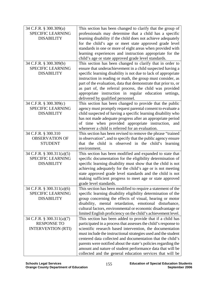| 34 C.F.R. § 300.309(a)    | This section has been changed to clarify that the group of                                                              |
|---------------------------|-------------------------------------------------------------------------------------------------------------------------|
| SPECIFIC LEARNING         | professionals may determine that a child has a specific                                                                 |
| <b>DISABILITY</b>         | learning disability if the child does not achieve adequately                                                            |
|                           | for the child's age or meet state approved grade level                                                                  |
|                           | standards in one or more of eight areas when provided with                                                              |
|                           | learning experiences and instruction appropriate for the                                                                |
|                           | child's age or state approved grade level standards.                                                                    |
| 34 C.F.R. § 300.309(b)    | This section has been changed to clarify that in order to                                                               |
| <b>SPECIFIC LEARNING</b>  | ensure that underachievement in a child suspected having a                                                              |
| <b>DISABILITY</b>         | specific learning disability is not due to lack of appropriate                                                          |
|                           | instruction in reading or math, the group must consider, as                                                             |
|                           | part of the evaluation, data that demonstrate that prior to, or                                                         |
|                           | as part of, the referral process, the child was provided                                                                |
|                           | appropriate instruction in regular education settings,                                                                  |
|                           | delivered by qualified personnel.                                                                                       |
| 34 C.F.R. § 300.309(c)    | This section has been changed to provide that the public                                                                |
| <b>SPECIFIC LEARNING</b>  | agency must promptly request parental consent to evaluate a                                                             |
| <b>DISABILITY</b>         | child suspected of having a specific learning disability who                                                            |
|                           | has not made adequate progress after an appropriate period                                                              |
|                           | of time when provided appropriate instruction, and                                                                      |
|                           | whenever a child is referred for an evaluation.                                                                         |
| 34 C.F.R. § 300.310       | This section has been revised to remove the phrase "trained"                                                            |
| <b>OBSERVATION OF</b>     | in observation", and to specify that the public agency ensure                                                           |
| <b>STUDENT</b>            | that the child is observed in the child's learning                                                                      |
|                           | environment.                                                                                                            |
| 34 C.F.R. § 300.311(a)(5) | This section has been modified and expanded to state that                                                               |
| <b>SPECIFIC LEARNING</b>  | specific documentation for the eligibility determination of                                                             |
| <b>DISABILITY</b>         | specific learning disability must show that the child is not                                                            |
|                           | achieving adequately for the child's age or is not meeting<br>state approved grade level standards and the child is not |
|                           | making sufficient progress to meet age or state approved                                                                |
|                           | grade level standards.                                                                                                  |
| 34 C.F.R. § 300.311(a)(6) | This section has been modified to require a statement of the                                                            |
| <b>SPECIFIC LEARNING</b>  | specific learning disability eligibility determination of the                                                           |
| <b>DISABILITY</b>         | group concerning the effects of visual, hearing or motor                                                                |
|                           | disability, mental retardation, emotional disturbance,                                                                  |
|                           | cultural factors, environmental or economic disadvantage or                                                             |
|                           | limited English proficiency on the child's achievement level.                                                           |
| 34 C.F.R. § 300.311(a)(7) | This section has been added to provide that if a child has                                                              |
| <b>RESPONSE TO</b>        | participated in a process that assesses the child's response to                                                         |
| <b>INTERVENTION (RTI)</b> | scientific research based intervention, the documentation                                                               |
|                           | must include the instructional strategies used and the student                                                          |
|                           | centered data collected and documentation that the child's                                                              |
|                           | parents were notified about the state's policies regarding the                                                          |
|                           | amount and nature of student performance data that will be                                                              |
|                           | collected and the general education services that will be                                                               |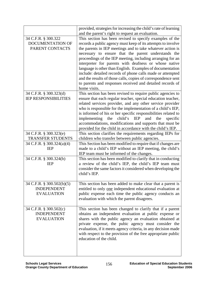|                                         | provided, strategies for increasing the child's rate of learning<br>and the parent's right to request an evaluation.       |
|-----------------------------------------|----------------------------------------------------------------------------------------------------------------------------|
| 34 C.F.R. § 300.322                     | This section has been revised to specify examples of the                                                                   |
| <b>DOCUMENTATION OF</b>                 | records a public agency must keep of its attempts to involve                                                               |
| PARENT CONTACTS                         | the parents in IEP meetings and to take whatever action is                                                                 |
|                                         | necessary to ensure that the parent understands the                                                                        |
|                                         | proceedings of the IEP meeting, including arranging for an                                                                 |
|                                         | interpreter for parents with deafness or whose native                                                                      |
|                                         | language is other than English. Examples of documentation                                                                  |
|                                         | include: detailed records of phone calls made or attempted                                                                 |
|                                         | and the results of those calls, copies of correspondence sent                                                              |
|                                         | to parents and responses received and detailed records of                                                                  |
|                                         | home visits.                                                                                                               |
| 34 C.F.R. § 300.323(d)                  | This section has been revised to require public agencies to                                                                |
| <b>IEP RESPONSIBILITIES</b>             | ensure that each regular teacher, special education teacher,                                                               |
|                                         | related services provider, and any other service provider                                                                  |
|                                         | who is responsible for the implementation of a child's IEP,                                                                |
|                                         | is informed of his or her specific responsibilities related to                                                             |
|                                         | implementing<br>child's IEP<br>and<br>the<br>the<br>specific                                                               |
|                                         | accommodations, modifications and supports that must be                                                                    |
|                                         | provided for the child in accordance with the child's IEP.                                                                 |
| 34 C.F.R. § 300.323(e)                  | This section clarifies the requirements regarding IEPs for                                                                 |
| TRANSFER STUDENTS                       | children who transfer between public agencies.                                                                             |
| 34 C.F.R. § 300.324(a)(4)<br><b>IEP</b> | This Section has been modified to require that if changes are<br>made to a child's IEP without an IEP meeting, the child's |
|                                         | IEP team must be informed of the changes.                                                                                  |
| 34 C.F.R. § 300.324(b)                  | This section has been modified to clarify that in conducting                                                               |
| <b>IEP</b>                              | a review of the child's IEP, the child's IEP team must                                                                     |
|                                         | consider the same factors it considered when developing the                                                                |
|                                         | child's IEP.                                                                                                               |
|                                         |                                                                                                                            |
| 34 C.F.R. § 300.502(b)(5)               | This section has been added to make clear that a parent is                                                                 |
| <b>INDEPENDENT</b>                      | entitled to only one independent educational evaluation at                                                                 |
| <b>EVALUATION</b>                       | public expense each time the public agency conducts an                                                                     |
|                                         | evaluation with which the parent disagrees.                                                                                |
| 34 C.F.R. § 300.502(c)                  | This section has been changed to clarify that if a parent                                                                  |
| <b>INDEPENDENT</b>                      | obtains an independent evaluation at public expense or                                                                     |
| <b>EVALUATION</b>                       | shares with the public agency an evaluation obtained at                                                                    |
|                                         | private expense, the pubic agency must consider the                                                                        |
|                                         | evaluation, if it meets agency criteria, in any decision made                                                              |
|                                         | with respect to the provision of the free appropriate public                                                               |
|                                         | education of the child.                                                                                                    |
|                                         |                                                                                                                            |
|                                         |                                                                                                                            |
|                                         |                                                                                                                            |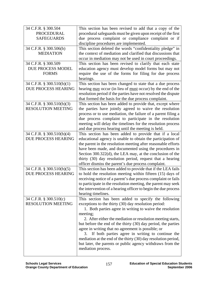| 34 C.F.R. § 300.504       | This section has been revised to add that a copy of the        |
|---------------------------|----------------------------------------------------------------|
| <b>PROCEDURAL</b>         | procedural safeguards must be given upon receipt of the first  |
| <b>SAFEGUARDS</b>         | due process complaint or compliance complaint or if            |
|                           | discipline procedures are implemented.                         |
| 34 C.F.R. § 300.506(b)    | This section deleted the words "confidentiality pledge" in     |
| <b>MEDIATION</b>          | the context of mediation and clarified that discussions that   |
|                           | occur in mediation may not be used in court proceedings.       |
| 34 C.F.R. § 300.509       | This section has been revised to clarify that each state       |
| DUE PROCESS MODEL         | education agency must develop model forms but may not          |
| <b>FORMS</b>              | require the use of the forms for filing for due process        |
|                           | hearings.                                                      |
| 34 C.F.R. § 300.510(b)(1) | This section has been changed to state that a due process      |
| DUE PROCESS HEARING       | hearing may occur (in lieu of must occur) by the end of the    |
|                           | resolution period if the parties have not resolved the dispute |
|                           | that formed the basis for the due process complaint.           |
| 34 C.F.R. § 300.510(b)(3) | This section has been added to provide that, except where      |
| <b>RESOLUTION MEETING</b> | the parties have jointly agreed to waive the resolution        |
|                           | process or to use mediation, the failure of a parent filing a  |
|                           | due process complaint to participate in the resolution         |
|                           | meeting will delay the timelines for the resolution process    |
|                           | and due process hearing until the meeting is held.             |
| 34 C.F.R. § 300.510(b)(4) | This section has been added to provide that if a local         |
| DUE PROCESS HEARING       | educational agency is unable to obtain the participation of    |
|                           | the parent in the resolution meeting after reasonable efforts  |
|                           | have been made, and documented using the procedures in         |
|                           | Section 300.322(d), the LEA may, at the conclusion of the      |
|                           | thirty (30) day resolution period, request that a hearing      |
|                           | officer dismiss the parent's due process complaint.            |
| 34 C.F.R. § 300.510(b)(5) | This section has been added to provide that if the LEA fails   |
| DUE PROCESS HEARING       | to hold the resolution meeting within fifteen (15) days of     |
|                           | receiving notice of a parent's due process complaint or fails  |
|                           | to participate in the resolution meeting, the parent may seek  |
|                           | the intervention of a hearing officer to begin the due process |
|                           | hearing timelines.                                             |
| 34 C.F.R. § 300.510(c)    | This section has been added to specify the following           |
| <b>RESOLUTION MEETING</b> | exceptions to the thirty (30) day resolution period:           |
|                           | 1. Both parties agree in writing to waive the resolution       |
|                           | meeting;                                                       |
|                           | 2. After either the mediation or resolution meeting starts,    |
|                           | but before the end of the thirty (30) day period, the parties  |
|                           | agree in writing that no agreement is possible; or             |
|                           | 3. If both parties agree in writing to continue the            |
|                           | mediation at the end of the thirty (30) day resolution period, |
|                           | but later, the parents or public agency withdraws from the     |
|                           | mediation process.                                             |
|                           |                                                                |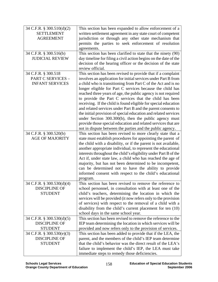| 34 C.F.R. § 300.510(d)(2)                        | This section has been expanded to allow enforcement of a                                                                         |
|--------------------------------------------------|----------------------------------------------------------------------------------------------------------------------------------|
| <b>SETTLEMENT</b>                                | written settlement agreement in any state court of competent                                                                     |
| <b>AGREEMENT</b>                                 | jurisdiction or through any other state mechanism that                                                                           |
|                                                  | permits the parties to seek enforcement of resolution                                                                            |
|                                                  | agreements.                                                                                                                      |
| 34 C.F.R. § 300.516(b)                           | This section has been clarified to state that the ninety (90)                                                                    |
| <b>JUDICIAL REVIEW</b>                           | day timeline for filing a civil action begins on the date of the                                                                 |
|                                                  | decision of the hearing officer or the decision of the state                                                                     |
|                                                  | review official.                                                                                                                 |
| 34 C.F.R. § 300.518                              | This section has been revised to provide that if a complaint                                                                     |
| PART C SERVICES -                                | involves an application for initial services under Part B from                                                                   |
| <b>INFANT SERVICES</b>                           | a child who is transitioning from Part C of the Act and is no                                                                    |
|                                                  | longer eligible for Part C services because the child has                                                                        |
|                                                  | reached three years of age, the public agency is not required                                                                    |
|                                                  | to provide the Part C services that the child has been                                                                           |
|                                                  | receiving. If the child is found eligible for special education                                                                  |
|                                                  | and related services under Part B and the parent consents to                                                                     |
|                                                  | the initial provision of special education and related services                                                                  |
|                                                  | under Section 300.300(b), then the public agency must                                                                            |
|                                                  | provide those special education and related services that are                                                                    |
|                                                  | not in dispute between the parties and the public agency.                                                                        |
| 34 C.F.R. § 300.520(b)<br><b>AGE OF MAJORITY</b> | This section has been revised to more clearly state that a                                                                       |
|                                                  | state must establish procedures for appointing the parent of                                                                     |
|                                                  | the child with a disability, or if the parent is not available,                                                                  |
|                                                  | another appropriate individual, to represent the educational<br>interests throughout the child's eligibility under Part B of the |
|                                                  | Act if, under state law, a child who has reached the age of                                                                      |
|                                                  | majority, but has not been determined to be incompetent,                                                                         |
|                                                  | can be determined not to have the ability to provide                                                                             |
|                                                  | informed consent with respect to the child's educational                                                                         |
|                                                  | program.                                                                                                                         |
| 34 C.F.R. § 300.530(d)(4)                        | This section has been revised to remove the reference to                                                                         |
| <b>DISCIPLINE OF</b>                             | school personnel, in consultation with at least one of the                                                                       |
| <b>STUDENT</b>                                   | child's teachers, determining the location in which the                                                                          |
|                                                  | services will be provided (it now refers only to the provision                                                                   |
|                                                  | of services) with respect to the removal of a child with a                                                                       |
|                                                  | disability from the child's current placement for ten (10)                                                                       |
|                                                  | school days in the same school year.                                                                                             |
| 34 C.F.R. § 300.530(d)(5)                        | This section has been revised to remove the reference to the                                                                     |
| <b>DISCIPLINE OF</b>                             | IEP team determining the location in which services will be                                                                      |
| <b>STUDENT</b>                                   | provided and now refers only to the provision of services.                                                                       |
| 34 C.F.R. § 300.530(e)(3)                        | This section has been added to provide that if the LEA, the                                                                      |
| <b>DISCIPLINE OF</b>                             | parent, and the members of the child's IEP team determine                                                                        |
| <b>STUDENT</b>                                   | that the child's behavior was the direct result of the LEA's                                                                     |
|                                                  | failure to implement the child's IEP, the LEA must take                                                                          |
|                                                  | immediate steps to remedy those deficiencies.                                                                                    |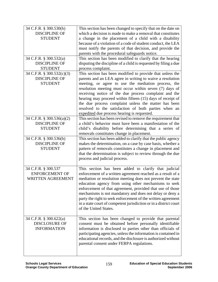| 34 C.F.R. § 300.530(h)    | This section has been changed to specify that on the date on      |
|---------------------------|-------------------------------------------------------------------|
| <b>DISCIPLINE OF</b>      | which a decision is made to make a removal that constitutes       |
| <b>STUDENT</b>            | a change in the placement of a child with a disability            |
|                           | because of a violation of a code of student conduct, the LEA      |
|                           | must notify the parents of that decision, and provide the         |
|                           | parents with the procedural safeguards notice.                    |
| 34 C.F.R. § 300.532(a)    | This section has been modified to clarify that the hearing        |
| <b>DISCIPLINE OF</b>      | disputing the discipline of a child is requested by filing a due  |
| <b>STUDENT</b>            | process complaint.                                                |
| 34 C.F.R. § 300.532(c)(3) | This section has been modified to provide that unless the         |
| <b>DISCIPLINE OF</b>      | parents and an LEA agree in writing to waive a resolution         |
| <b>STUDENT</b>            | meeting, or agree to use the mediation process, the               |
|                           | resolution meeting must occur within seven (7) days of            |
|                           | receiving notice of the due process complaint and the             |
|                           | hearing may proceed within fifteen (15) days of receipt of        |
|                           | the due process complaint unless the matter has been              |
|                           | resolved to the satisfaction of both parties when an              |
|                           | expedited due process hearing is requested.                       |
| 34 C.F.R. § 300.536(a)(2) | This section has been revised to remove the requirement that      |
| <b>DISCIPLINE OF</b>      | a child's behavior must have been a manifestation of the          |
| <b>STUDENT</b>            | child's disability before determining that a series of            |
|                           | removals constitutes change in placement.                         |
| 34 C.F.R. § 300.536(b)    | This section has been added to clarify that the public agency     |
| <b>DISCIPLINE OF</b>      | makes the determination, on a case by case basis, whether a       |
| <b>STUDENT</b>            | pattern of removals constitutes a change in placement and         |
|                           | that the determination is subject to review through the due       |
|                           | process and judicial process.                                     |
|                           |                                                                   |
| 34 C.F.R. § 300.537       | This section has been added to clarify that judicial              |
| <b>ENFORCEMENT OF</b>     | enforcement of a written agreement reached as a result of a       |
| <b>WRITTEN AGREEMENT</b>  | mediation or resolution meeting does not prevent the state        |
|                           | education agency from using other mechanisms to seek              |
|                           | enforcement of that agreement, provided that use of those         |
|                           | mechanisms is not mandatory and does not delay or deny a          |
|                           | party the right to seek enforcement of the written agreement      |
|                           | in a state court of competent jurisdiction or in a district court |
|                           | of the United States.                                             |
|                           |                                                                   |
| 34 C.F.R. § 300.622(a)    | This section has been changed to provide that parental            |
| <b>DISCLOSURE OF</b>      | consent must be obtained before personally identifiable           |
| <b>INFORMATION</b>        | information is disclosed to parties other than officials of       |
|                           | participating agencies, unless the information is contained in    |
|                           | educational records, and the disclosure is authorized without     |
|                           | parental consent under FERPA regulations.                         |
|                           |                                                                   |
|                           |                                                                   |